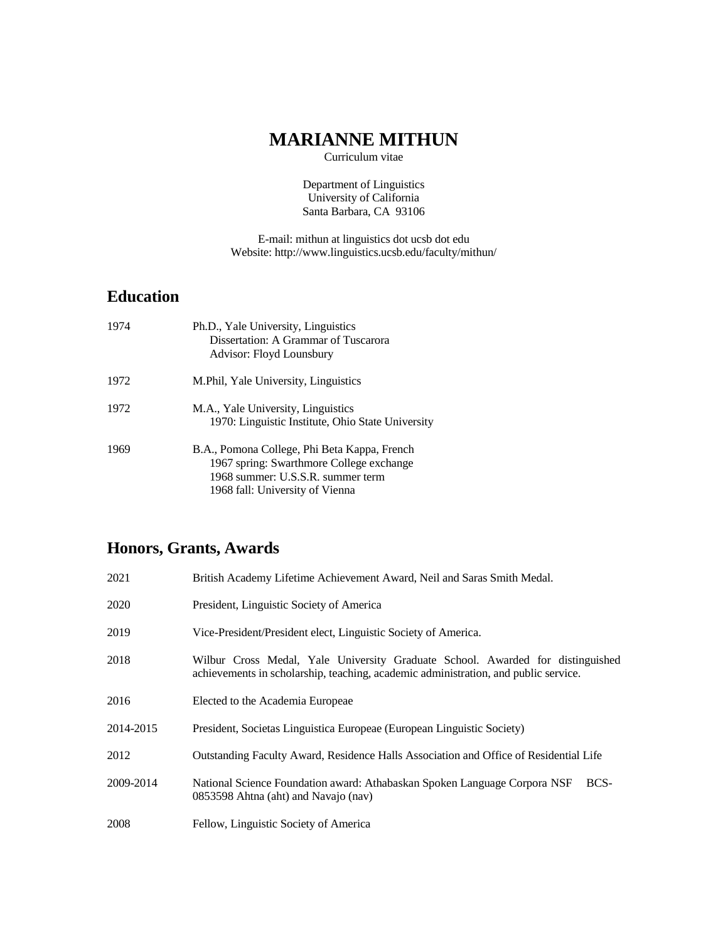## **MARIANNE MITHUN**

Curriculum vitae

Department of Linguistics University of California Santa Barbara, CA 93106

E-mail: mithun at linguistics dot ucsb dot edu Website: http://www.linguistics.ucsb.edu/faculty/mithun/

## **Education**

| 1974 | Ph.D., Yale University, Linguistics<br>Dissertation: A Grammar of Tuscarora<br>Advisor: Floyd Lounsbury                                                          |
|------|------------------------------------------------------------------------------------------------------------------------------------------------------------------|
| 1972 | M. Phil, Yale University, Linguistics                                                                                                                            |
| 1972 | M.A., Yale University, Linguistics<br>1970: Linguistic Institute, Ohio State University                                                                          |
| 1969 | B.A., Pomona College, Phi Beta Kappa, French<br>1967 spring: Swarthmore College exchange<br>1968 summer: U.S.S.R. summer term<br>1968 fall: University of Vienna |

## **Honors, Grants, Awards**

| 2021      | British Academy Lifetime Achievement Award, Neil and Saras Smith Medal.                                                                                               |
|-----------|-----------------------------------------------------------------------------------------------------------------------------------------------------------------------|
| 2020      | President, Linguistic Society of America                                                                                                                              |
| 2019      | Vice-President/President elect, Linguistic Society of America.                                                                                                        |
| 2018      | Wilbur Cross Medal, Yale University Graduate School. Awarded for distinguished<br>achievements in scholarship, teaching, academic administration, and public service. |
| 2016      | Elected to the Academia Europeae                                                                                                                                      |
| 2014-2015 | President, Societas Linguistica Europeae (European Linguistic Society)                                                                                                |
| 2012      | Outstanding Faculty Award, Residence Halls Association and Office of Residential Life                                                                                 |
| 2009-2014 | National Science Foundation award: Athabaskan Spoken Language Corpora NSF<br>BCS-<br>0853598 Ahtna (aht) and Navajo (nav)                                             |
| 2008      | Fellow, Linguistic Society of America                                                                                                                                 |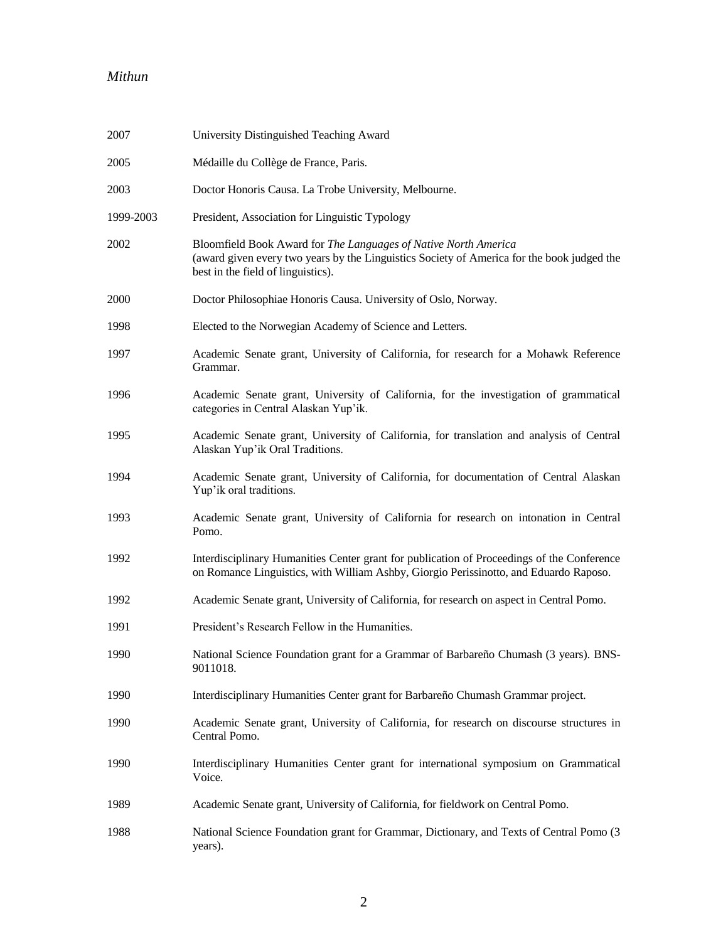| 2007        | University Distinguished Teaching Award                                                                                                                                                             |
|-------------|-----------------------------------------------------------------------------------------------------------------------------------------------------------------------------------------------------|
| 2005        | Médaille du Collège de France, Paris.                                                                                                                                                               |
| 2003        | Doctor Honoris Causa. La Trobe University, Melbourne.                                                                                                                                               |
| 1999-2003   | President, Association for Linguistic Typology                                                                                                                                                      |
| 2002        | Bloomfield Book Award for The Languages of Native North America<br>(award given every two years by the Linguistics Society of America for the book judged the<br>best in the field of linguistics). |
| <b>2000</b> | Doctor Philosophiae Honoris Causa. University of Oslo, Norway.                                                                                                                                      |
| 1998        | Elected to the Norwegian Academy of Science and Letters.                                                                                                                                            |
| 1997        | Academic Senate grant, University of California, for research for a Mohawk Reference<br>Grammar.                                                                                                    |
| 1996        | Academic Senate grant, University of California, for the investigation of grammatical<br>categories in Central Alaskan Yup'ik.                                                                      |
| 1995        | Academic Senate grant, University of California, for translation and analysis of Central<br>Alaskan Yup'ik Oral Traditions.                                                                         |
| 1994        | Academic Senate grant, University of California, for documentation of Central Alaskan<br>Yup'ik oral traditions.                                                                                    |
| 1993        | Academic Senate grant, University of California for research on intonation in Central<br>Pomo.                                                                                                      |
| 1992        | Interdisciplinary Humanities Center grant for publication of Proceedings of the Conference<br>on Romance Linguistics, with William Ashby, Giorgio Perissinotto, and Eduardo Raposo.                 |
| 1992        | Academic Senate grant, University of California, for research on aspect in Central Pomo.                                                                                                            |
| 1991        | President's Research Fellow in the Humanities.                                                                                                                                                      |
| 1990        | National Science Foundation grant for a Grammar of Barbareño Chumash (3 years). BNS-<br>9011018.                                                                                                    |
| 1990        | Interdisciplinary Humanities Center grant for Barbareño Chumash Grammar project.                                                                                                                    |
| 1990        | Academic Senate grant, University of California, for research on discourse structures in<br>Central Pomo.                                                                                           |
| 1990        | Interdisciplinary Humanities Center grant for international symposium on Grammatical<br>Voice.                                                                                                      |
| 1989        | Academic Senate grant, University of California, for fieldwork on Central Pomo.                                                                                                                     |
| 1988        | National Science Foundation grant for Grammar, Dictionary, and Texts of Central Pomo (3)<br>years).                                                                                                 |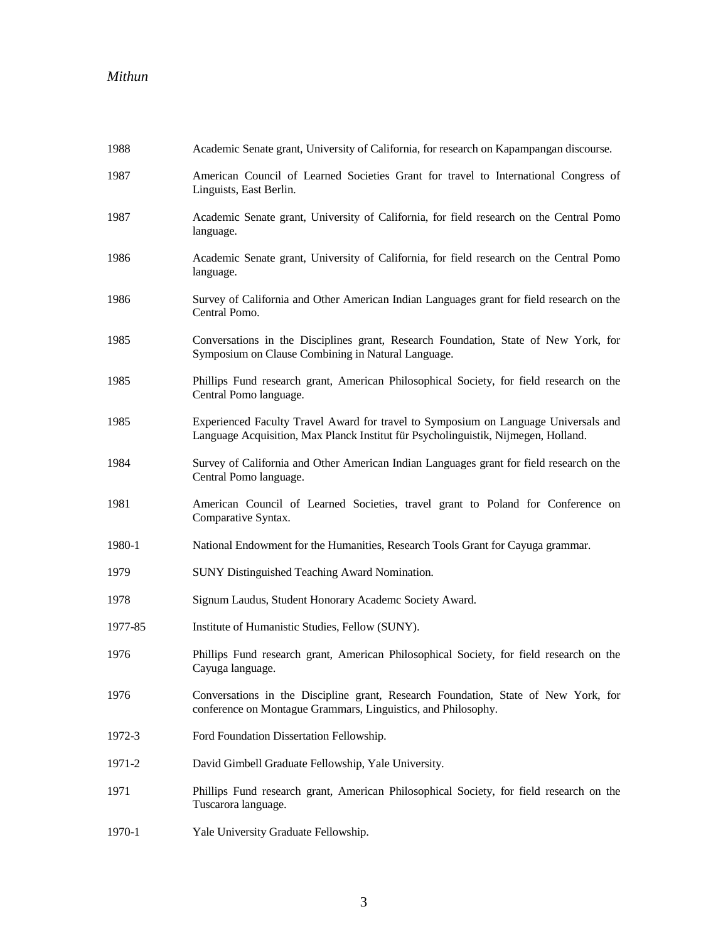| 1988    | Academic Senate grant, University of California, for research on Kapampangan discourse.                                                                                   |
|---------|---------------------------------------------------------------------------------------------------------------------------------------------------------------------------|
| 1987    | American Council of Learned Societies Grant for travel to International Congress of<br>Linguists, East Berlin.                                                            |
| 1987    | Academic Senate grant, University of California, for field research on the Central Pomo<br>language.                                                                      |
| 1986    | Academic Senate grant, University of California, for field research on the Central Pomo<br>language.                                                                      |
| 1986    | Survey of California and Other American Indian Languages grant for field research on the<br>Central Pomo.                                                                 |
| 1985    | Conversations in the Disciplines grant, Research Foundation, State of New York, for<br>Symposium on Clause Combining in Natural Language.                                 |
| 1985    | Phillips Fund research grant, American Philosophical Society, for field research on the<br>Central Pomo language.                                                         |
| 1985    | Experienced Faculty Travel Award for travel to Symposium on Language Universals and<br>Language Acquisition, Max Planck Institut für Psycholinguistik, Nijmegen, Holland. |
| 1984    | Survey of California and Other American Indian Languages grant for field research on the<br>Central Pomo language.                                                        |
| 1981    | American Council of Learned Societies, travel grant to Poland for Conference on<br>Comparative Syntax.                                                                    |
| 1980-1  | National Endowment for the Humanities, Research Tools Grant for Cayuga grammar.                                                                                           |
| 1979    | SUNY Distinguished Teaching Award Nomination.                                                                                                                             |
| 1978    | Signum Laudus, Student Honorary Academc Society Award.                                                                                                                    |
| 1977-85 | Institute of Humanistic Studies, Fellow (SUNY).                                                                                                                           |
| 1976    | Phillips Fund research grant, American Philosophical Society, for field research on the<br>Cayuga language.                                                               |
| 1976    | Conversations in the Discipline grant, Research Foundation, State of New York, for<br>conference on Montague Grammars, Linguistics, and Philosophy.                       |
| 1972-3  | Ford Foundation Dissertation Fellowship.                                                                                                                                  |
| 1971-2  | David Gimbell Graduate Fellowship, Yale University.                                                                                                                       |
| 1971    | Phillips Fund research grant, American Philosophical Society, for field research on the<br>Tuscarora language.                                                            |
| 1970-1  | Yale University Graduate Fellowship.                                                                                                                                      |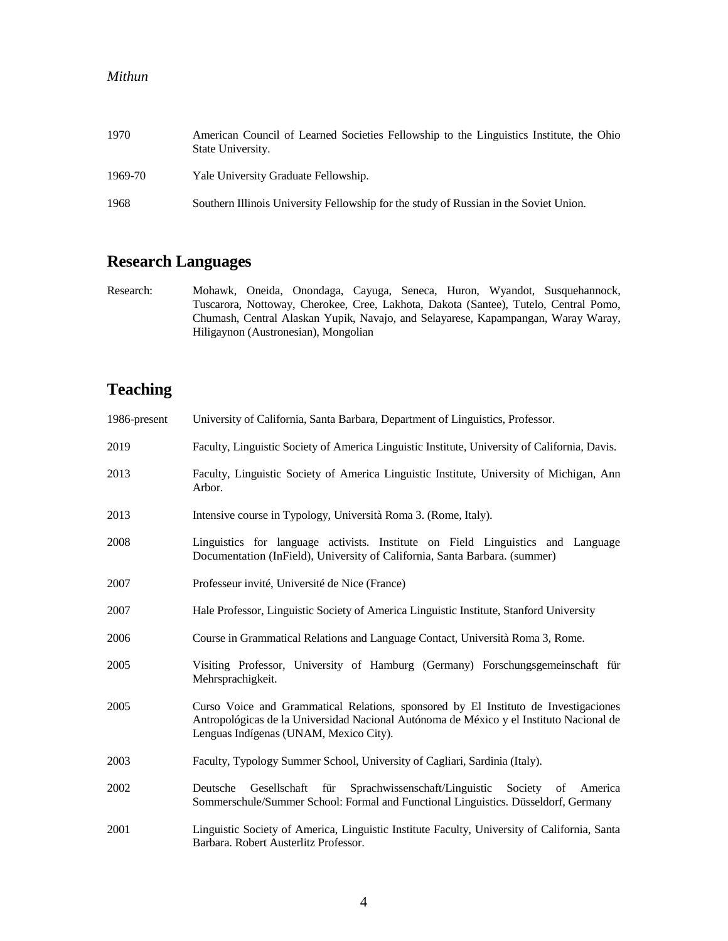| 1970    | American Council of Learned Societies Fellowship to the Linguistics Institute, the Ohio<br>State University. |
|---------|--------------------------------------------------------------------------------------------------------------|
| 1969-70 | Yale University Graduate Fellowship.                                                                         |
| 1968    | Southern Illinois University Fellowship for the study of Russian in the Soviet Union.                        |

## **Research Languages**

Research: Mohawk, Oneida, Onondaga, Cayuga, Seneca, Huron, Wyandot, Susquehannock, Tuscarora, Nottoway, Cherokee, Cree, Lakhota, Dakota (Santee), Tutelo, Central Pomo, Chumash, Central Alaskan Yupik, Navajo, and Selayarese, Kapampangan, Waray Waray, Hiligaynon (Austronesian), Mongolian

# **Teaching**

| 1986-present | University of California, Santa Barbara, Department of Linguistics, Professor.                                                                                                                                           |
|--------------|--------------------------------------------------------------------------------------------------------------------------------------------------------------------------------------------------------------------------|
| 2019         | Faculty, Linguistic Society of America Linguistic Institute, University of California, Davis.                                                                                                                            |
| 2013         | Faculty, Linguistic Society of America Linguistic Institute, University of Michigan, Ann<br>Arbor.                                                                                                                       |
| 2013         | Intensive course in Typology, Università Roma 3. (Rome, Italy).                                                                                                                                                          |
| 2008         | Linguistics for language activists. Institute on Field Linguistics and Language<br>Documentation (InField), University of California, Santa Barbara. (summer)                                                            |
| 2007         | Professeur invité, Université de Nice (France)                                                                                                                                                                           |
| 2007         | Hale Professor, Linguistic Society of America Linguistic Institute, Stanford University                                                                                                                                  |
| 2006         | Course in Grammatical Relations and Language Contact, Università Roma 3, Rome.                                                                                                                                           |
| 2005         | Visiting Professor, University of Hamburg (Germany) Forschungsgemeinschaft für<br>Mehrsprachigkeit.                                                                                                                      |
| 2005         | Curso Voice and Grammatical Relations, sponsored by El Instituto de Investigaciones<br>Antropológicas de la Universidad Nacional Autónoma de México y el Instituto Nacional de<br>Lenguas Indígenas (UNAM, Mexico City). |
| 2003         | Faculty, Typology Summer School, University of Cagliari, Sardinia (Italy).                                                                                                                                               |
| 2002         | Deutsche<br>Gesellschaft<br>für Sprachwissenschaft/Linguistic Society of America<br>Sommerschule/Summer School: Formal and Functional Linguistics. Düsseldorf, Germany                                                   |
| 2001         | Linguistic Society of America, Linguistic Institute Faculty, University of California, Santa<br>Barbara. Robert Austerlitz Professor.                                                                                    |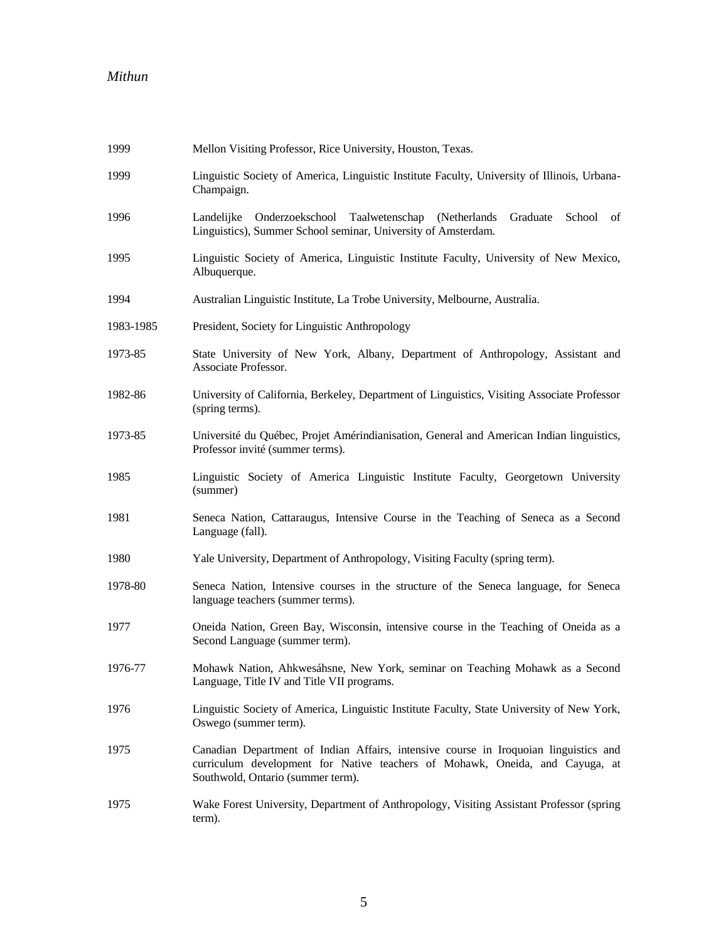| 1999      | Mellon Visiting Professor, Rice University, Houston, Texas.                                                                                                                                               |
|-----------|-----------------------------------------------------------------------------------------------------------------------------------------------------------------------------------------------------------|
| 1999      | Linguistic Society of America, Linguistic Institute Faculty, University of Illinois, Urbana-<br>Champaign.                                                                                                |
| 1996      | Landelijke Onderzoekschool Taalwetenschap (Netherlands<br>Graduate<br>School of<br>Linguistics), Summer School seminar, University of Amsterdam.                                                          |
| 1995      | Linguistic Society of America, Linguistic Institute Faculty, University of New Mexico,<br>Albuquerque.                                                                                                    |
| 1994      | Australian Linguistic Institute, La Trobe University, Melbourne, Australia.                                                                                                                               |
| 1983-1985 | President, Society for Linguistic Anthropology                                                                                                                                                            |
| 1973-85   | State University of New York, Albany, Department of Anthropology, Assistant and<br>Associate Professor.                                                                                                   |
| 1982-86   | University of California, Berkeley, Department of Linguistics, Visiting Associate Professor<br>(spring terms).                                                                                            |
| 1973-85   | Université du Québec, Projet Amérindianisation, General and American Indian linguistics,<br>Professor invité (summer terms).                                                                              |
| 1985      | Linguistic Society of America Linguistic Institute Faculty, Georgetown University<br>(summer)                                                                                                             |
| 1981      | Seneca Nation, Cattaraugus, Intensive Course in the Teaching of Seneca as a Second<br>Language (fall).                                                                                                    |
| 1980      | Yale University, Department of Anthropology, Visiting Faculty (spring term).                                                                                                                              |
| 1978-80   | Seneca Nation, Intensive courses in the structure of the Seneca language, for Seneca<br>language teachers (summer terms).                                                                                 |
| 1977      | Oneida Nation, Green Bay, Wisconsin, intensive course in the Teaching of Oneida as a<br>Second Language (summer term).                                                                                    |
| 1976-77   | Mohawk Nation, Ahkwesáhsne, New York, seminar on Teaching Mohawk as a Second<br>Language, Title IV and Title VII programs.                                                                                |
| 1976      | Linguistic Society of America, Linguistic Institute Faculty, State University of New York,<br>Oswego (summer term).                                                                                       |
| 1975      | Canadian Department of Indian Affairs, intensive course in Iroquoian linguistics and<br>curriculum development for Native teachers of Mohawk, Oneida, and Cayuga, at<br>Southwold, Ontario (summer term). |
| 1975      | Wake Forest University, Department of Anthropology, Visiting Assistant Professor (spring<br>term).                                                                                                        |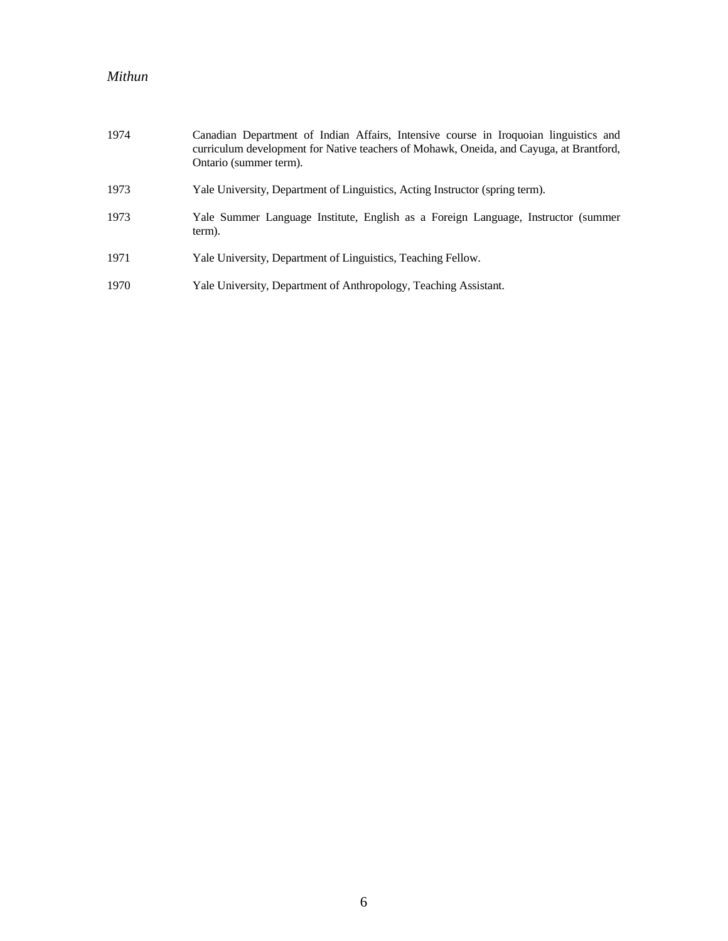| 1974 | Canadian Department of Indian Affairs, Intensive course in Iroquoian linguistics and<br>curriculum development for Native teachers of Mohawk, Oneida, and Cayuga, at Brantford,<br>Ontario (summer term). |
|------|-----------------------------------------------------------------------------------------------------------------------------------------------------------------------------------------------------------|
| 1973 | Yale University, Department of Linguistics, Acting Instructor (spring term).                                                                                                                              |
| 1973 | Yale Summer Language Institute, English as a Foreign Language, Instructor (summer<br>term).                                                                                                               |
| 1971 | Yale University, Department of Linguistics, Teaching Fellow.                                                                                                                                              |
| 1970 | Yale University, Department of Anthropology, Teaching Assistant.                                                                                                                                          |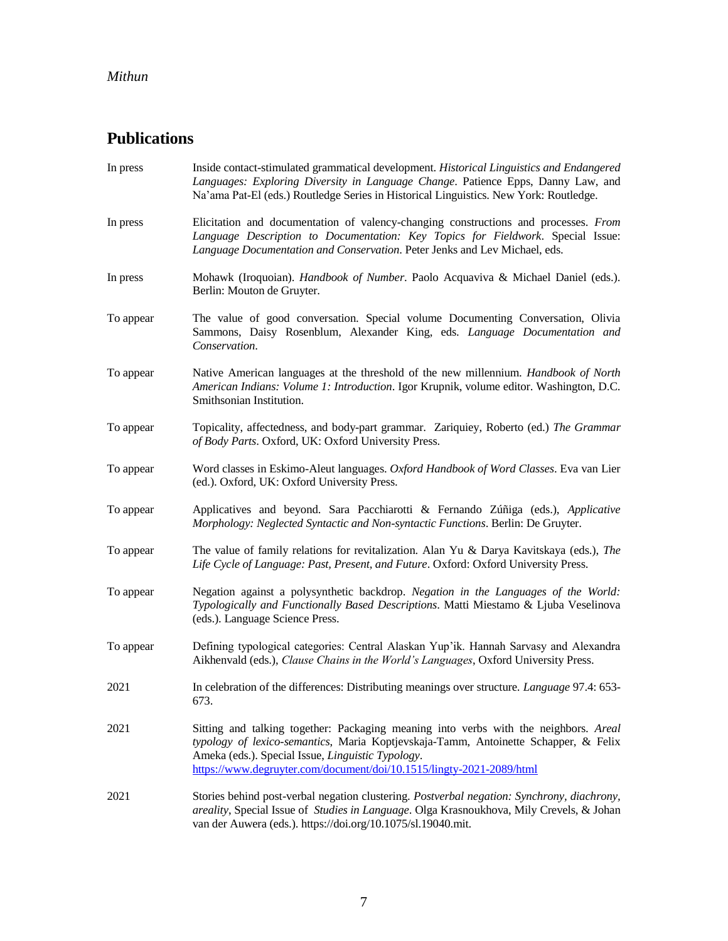# **Publications**

| In press  | Inside contact-stimulated grammatical development. Historical Linguistics and Endangered<br>Languages: Exploring Diversity in Language Change. Patience Epps, Danny Law, and<br>Na'ama Pat-El (eds.) Routledge Series in Historical Linguistics. New York: Routledge.                                    |
|-----------|----------------------------------------------------------------------------------------------------------------------------------------------------------------------------------------------------------------------------------------------------------------------------------------------------------|
| In press  | Elicitation and documentation of valency-changing constructions and processes. From<br>Language Description to Documentation: Key Topics for Fieldwork. Special Issue:<br>Language Documentation and Conservation. Peter Jenks and Lev Michael, eds.                                                     |
| In press  | Mohawk (Iroquoian). Handbook of Number. Paolo Acquaviva & Michael Daniel (eds.).<br>Berlin: Mouton de Gruyter.                                                                                                                                                                                           |
| To appear | The value of good conversation. Special volume Documenting Conversation, Olivia<br>Sammons, Daisy Rosenblum, Alexander King, eds. Language Documentation and<br>Conservation.                                                                                                                            |
| To appear | Native American languages at the threshold of the new millennium. Handbook of North<br>American Indians: Volume 1: Introduction. Igor Krupnik, volume editor. Washington, D.C.<br>Smithsonian Institution.                                                                                               |
| To appear | Topicality, affectedness, and body-part grammar. Zariquiey, Roberto (ed.) The Grammar<br>of Body Parts. Oxford, UK: Oxford University Press.                                                                                                                                                             |
| To appear | Word classes in Eskimo-Aleut languages. Oxford Handbook of Word Classes. Eva van Lier<br>(ed.). Oxford, UK: Oxford University Press.                                                                                                                                                                     |
| To appear | Applicatives and beyond. Sara Pacchiarotti & Fernando Zúñiga (eds.), Applicative<br>Morphology: Neglected Syntactic and Non-syntactic Functions. Berlin: De Gruyter.                                                                                                                                     |
| To appear | The value of family relations for revitalization. Alan Yu & Darya Kavitskaya (eds.), The<br>Life Cycle of Language: Past, Present, and Future. Oxford: Oxford University Press.                                                                                                                          |
| To appear | Negation against a polysynthetic backdrop. Negation in the Languages of the World:<br>Typologically and Functionally Based Descriptions. Matti Miestamo & Ljuba Veselinova<br>(eds.). Language Science Press.                                                                                            |
| To appear | Defining typological categories: Central Alaskan Yup'ik. Hannah Sarvasy and Alexandra<br>Aikhenvald (eds.), Clause Chains in the World's Languages, Oxford University Press.                                                                                                                             |
| 2021      | In celebration of the differences: Distributing meanings over structure. Language 97.4: 653-<br>673.                                                                                                                                                                                                     |
| 2021      | Sitting and talking together: Packaging meaning into verbs with the neighbors. Areal<br>typology of lexico-semantics, Maria Koptjevskaja-Tamm, Antoinette Schapper, & Felix<br>Ameka (eds.). Special Issue, Linguistic Typology.<br>https://www.degruyter.com/document/doi/10.1515/lingty-2021-2089/html |
| 2021      | Stories behind post-verbal negation clustering. Postverbal negation: Synchrony, diachrony,<br>areality, Special Issue of Studies in Language. Olga Krasnoukhova, Mily Crevels, & Johan<br>van der Auwera (eds.). https://doi.org/10.1075/sl.19040.mit.                                                   |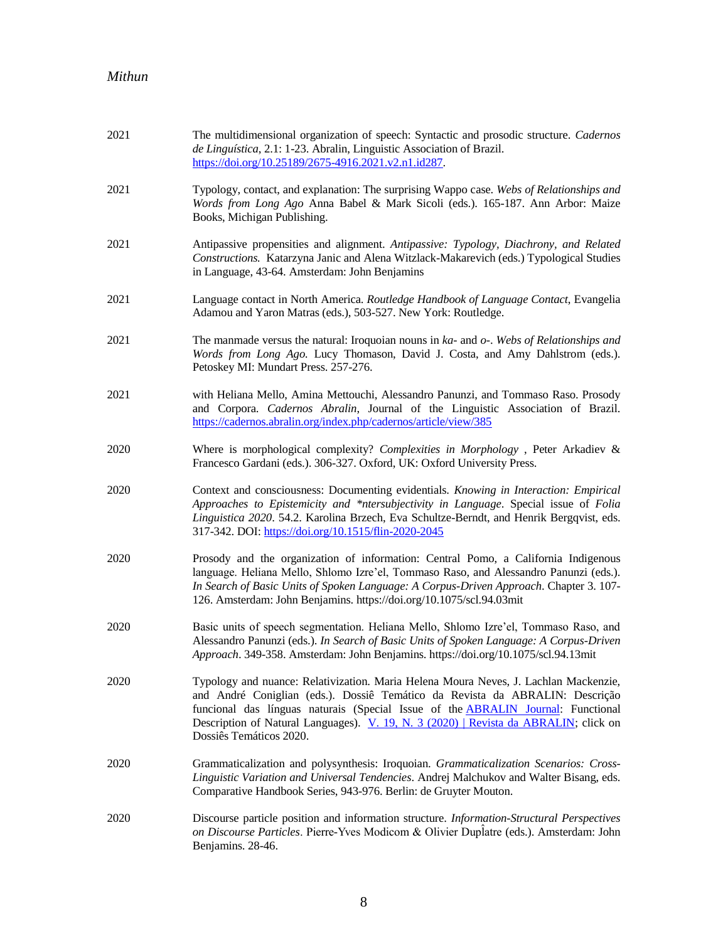| 2021 | The multidimensional organization of speech: Syntactic and prosodic structure. Cadernos<br>de Linguística, 2.1: 1-23. Abralin, Linguistic Association of Brazil.<br>https://doi.org/10.25189/2675-4916.2021.v2.n1.id287.                                                                                                                                                            |
|------|-------------------------------------------------------------------------------------------------------------------------------------------------------------------------------------------------------------------------------------------------------------------------------------------------------------------------------------------------------------------------------------|
| 2021 | Typology, contact, and explanation: The surprising Wappo case. Webs of Relationships and<br>Words from Long Ago Anna Babel & Mark Sicoli (eds.). 165-187. Ann Arbor: Maize<br>Books, Michigan Publishing.                                                                                                                                                                           |
| 2021 | Antipassive propensities and alignment. Antipassive: Typology, Diachrony, and Related<br>Constructions. Katarzyna Janic and Alena Witzlack-Makarevich (eds.) Typological Studies<br>in Language, 43-64. Amsterdam: John Benjamins                                                                                                                                                   |
| 2021 | Language contact in North America. Routledge Handbook of Language Contact, Evangelia<br>Adamou and Yaron Matras (eds.), 503-527. New York: Routledge.                                                                                                                                                                                                                               |
| 2021 | The manmade versus the natural: Iroquoian nouns in $ka$ - and $o$ -. Webs of Relationships and<br>Words from Long Ago. Lucy Thomason, David J. Costa, and Amy Dahlstrom (eds.).<br>Petoskey MI: Mundart Press. 257-276.                                                                                                                                                             |
| 2021 | with Heliana Mello, Amina Mettouchi, Alessandro Panunzi, and Tommaso Raso. Prosody<br>and Corpora. Cadernos Abralin, Journal of the Linguistic Association of Brazil.<br>https://cadernos.abralin.org/index.php/cadernos/article/view/385                                                                                                                                           |
| 2020 | Where is morphological complexity? Complexities in Morphology, Peter Arkadiev &<br>Francesco Gardani (eds.). 306-327. Oxford, UK: Oxford University Press.                                                                                                                                                                                                                          |
| 2020 | Context and consciousness: Documenting evidentials. Knowing in Interaction: Empirical<br>Approaches to Epistemicity and *ntersubjectivity in Language. Special issue of Folia<br>Linguistica 2020. 54.2. Karolina Brzech, Eva Schultze-Berndt, and Henrik Bergqvist, eds.<br>317-342. DOI: https://doi.org/10.1515/flin-2020-2045                                                   |
| 2020 | Prosody and the organization of information: Central Pomo, a California Indigenous<br>language. Heliana Mello, Shlomo Izre'el, Tommaso Raso, and Alessandro Panunzi (eds.).<br>In Search of Basic Units of Spoken Language: A Corpus-Driven Approach. Chapter 3. 107-<br>126. Amsterdam: John Benjamins. https://doi.org/10.1075/scl.94.03mit                                       |
| 2020 | Basic units of speech segmentation. Heliana Mello, Shlomo Izre'el, Tommaso Raso, and<br>Alessandro Panunzi (eds.). In Search of Basic Units of Spoken Language: A Corpus-Driven<br>Approach. 349-358. Amsterdam: John Benjamins. https://doi.org/10.1075/scl.94.13mit                                                                                                               |
| 2020 | Typology and nuance: Relativization. Maria Helena Moura Neves, J. Lachlan Mackenzie,<br>and André Coniglian (eds.). Dossiê Temático da Revista da ABRALIN: Descrição<br>funcional das línguas naturais (Special Issue of the <b>ABRALIN Journal</b> : Functional<br>Description of Natural Languages). V. 19, N. 3 (2020)   Revista da ABRALIN; click on<br>Dossiês Temáticos 2020. |
| 2020 | Grammaticalization and polysynthesis: Iroquoian. Grammaticalization Scenarios: Cross-<br>Linguistic Variation and Universal Tendencies. Andrej Malchukov and Walter Bisang, eds.<br>Comparative Handbook Series, 943-976. Berlin: de Gruyter Mouton.                                                                                                                                |
| 2020 | Discourse particle position and information structure. Information-Structural Perspectives<br>on Discourse Particles. Pierre-Yves Modicom & Olivier Duplatre (eds.). Amsterdam: John<br>Benjamins. 28-46.                                                                                                                                                                           |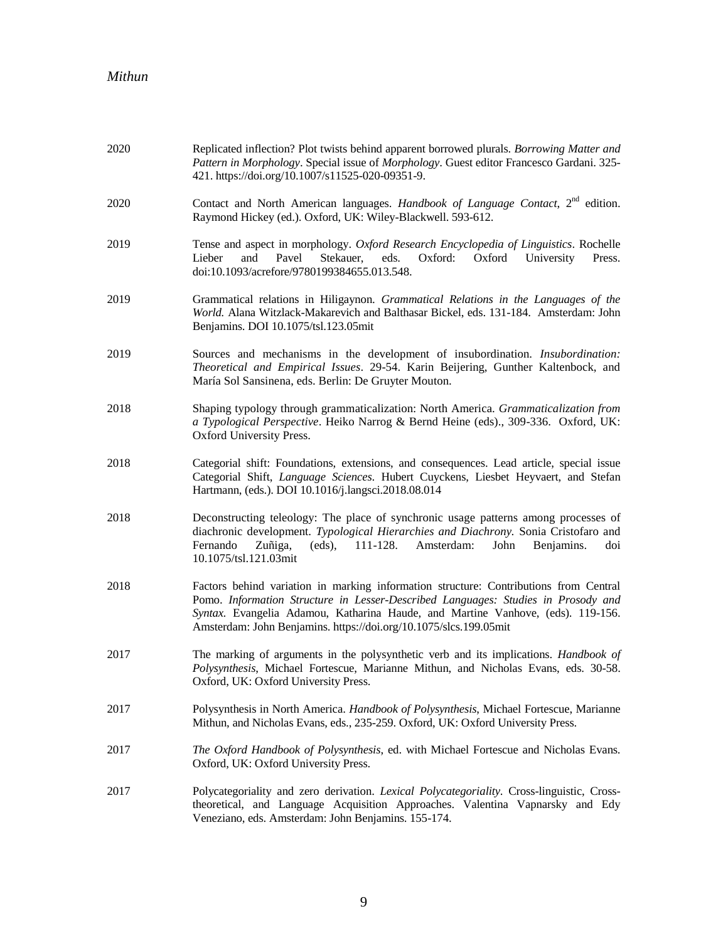| 2020 | Replicated inflection? Plot twists behind apparent borrowed plurals. Borrowing Matter and<br>Pattern in Morphology. Special issue of Morphology. Guest editor Francesco Gardani. 325-<br>421. https://doi.org/10.1007/s11525-020-09351-9.                                                                                          |
|------|------------------------------------------------------------------------------------------------------------------------------------------------------------------------------------------------------------------------------------------------------------------------------------------------------------------------------------|
| 2020 | Contact and North American languages. Handbook of Language Contact, 2 <sup>nd</sup> edition.<br>Raymond Hickey (ed.). Oxford, UK: Wiley-Blackwell. 593-612.                                                                                                                                                                        |
| 2019 | Tense and aspect in morphology. Oxford Research Encyclopedia of Linguistics. Rochelle<br>Lieber<br>and<br>Pavel<br>Stekauer,<br>eds.<br>Oxford:<br>Oxford<br>University<br>Press.<br>doi:10.1093/acrefore/9780199384655.013.548.                                                                                                   |
| 2019 | Grammatical relations in Hiligaynon. Grammatical Relations in the Languages of the<br>World. Alana Witzlack-Makarevich and Balthasar Bickel, eds. 131-184. Amsterdam: John<br>Benjamins. DOI 10.1075/tsl.123.05mit                                                                                                                 |
| 2019 | Sources and mechanisms in the development of insubordination. Insubordination:<br>Theoretical and Empirical Issues. 29-54. Karin Beijering, Gunther Kaltenbock, and<br>María Sol Sansinena, eds. Berlin: De Gruyter Mouton.                                                                                                        |
| 2018 | Shaping typology through grammaticalization: North America. Grammaticalization from<br>a Typological Perspective. Heiko Narrog & Bernd Heine (eds)., 309-336. Oxford, UK:<br>Oxford University Press.                                                                                                                              |
| 2018 | Categorial shift: Foundations, extensions, and consequences. Lead article, special issue<br>Categorial Shift, Language Sciences. Hubert Cuyckens, Liesbet Heyvaert, and Stefan<br>Hartmann, (eds.). DOI 10.1016/j.langsci.2018.08.014                                                                                              |
| 2018 | Deconstructing teleology: The place of synchronic usage patterns among processes of<br>diachronic development. Typological Hierarchies and Diachrony. Sonia Cristofaro and<br>Fernando<br>Zuñiga,<br>(eds),<br>Amsterdam:<br>John<br>Benjamins.<br>111-128.<br>doi<br>10.1075/tsl.121.03mit                                        |
| 2018 | Factors behind variation in marking information structure: Contributions from Central<br>Pomo. Information Structure in Lesser-Described Languages: Studies in Prosody and<br>Syntax. Evangelia Adamou, Katharina Haude, and Martine Vanhove, (eds). 119-156.<br>Amsterdam: John Benjamins. https://doi.org/10.1075/slcs.199.05mit |
| 2017 | The marking of arguments in the polysynthetic verb and its implications. Handbook of<br>Polysynthesis, Michael Fortescue, Marianne Mithun, and Nicholas Evans, eds. 30-58.<br>Oxford, UK: Oxford University Press.                                                                                                                 |
| 2017 | Polysynthesis in North America. Handbook of Polysynthesis, Michael Fortescue, Marianne<br>Mithun, and Nicholas Evans, eds., 235-259. Oxford, UK: Oxford University Press.                                                                                                                                                          |
| 2017 | The Oxford Handbook of Polysynthesis, ed. with Michael Fortescue and Nicholas Evans.<br>Oxford, UK: Oxford University Press.                                                                                                                                                                                                       |
| 2017 | Polycategoriality and zero derivation. Lexical Polycategoriality. Cross-linguistic, Cross-<br>theoretical, and Language Acquisition Approaches. Valentina Vapnarsky and Edy<br>Veneziano, eds. Amsterdam: John Benjamins. 155-174.                                                                                                 |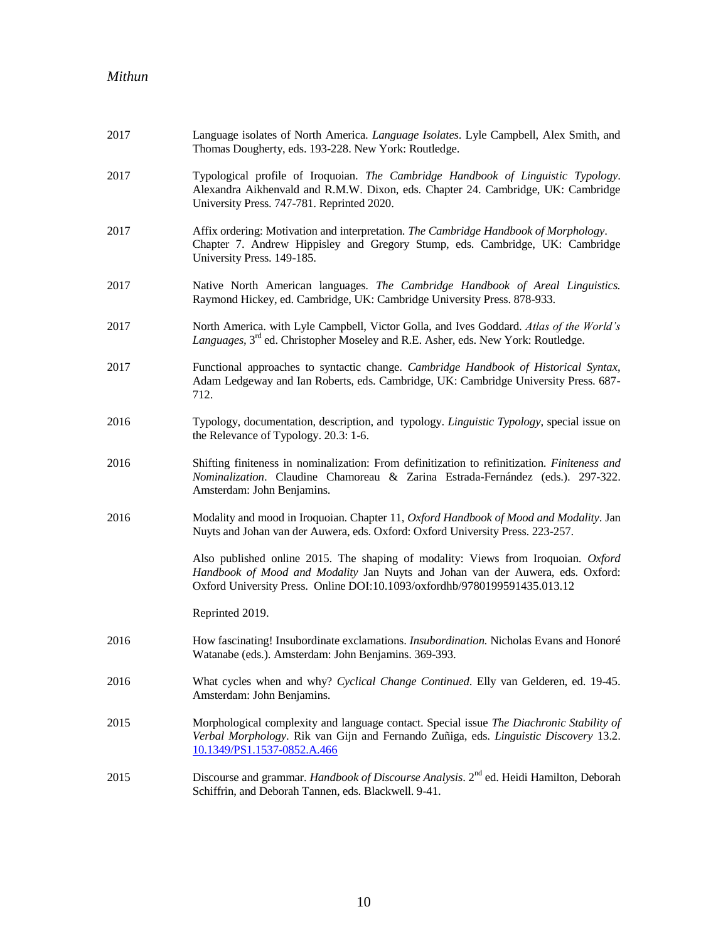| 2017 | Language isolates of North America. Language Isolates. Lyle Campbell, Alex Smith, and<br>Thomas Dougherty, eds. 193-228. New York: Routledge.                                                                                                    |
|------|--------------------------------------------------------------------------------------------------------------------------------------------------------------------------------------------------------------------------------------------------|
| 2017 | Typological profile of Iroquoian. The Cambridge Handbook of Linguistic Typology.<br>Alexandra Aikhenvald and R.M.W. Dixon, eds. Chapter 24. Cambridge, UK: Cambridge<br>University Press. 747-781. Reprinted 2020.                               |
| 2017 | Affix ordering: Motivation and interpretation. The Cambridge Handbook of Morphology.<br>Chapter 7. Andrew Hippisley and Gregory Stump, eds. Cambridge, UK: Cambridge<br>University Press. 149-185.                                               |
| 2017 | Native North American languages. The Cambridge Handbook of Areal Linguistics.<br>Raymond Hickey, ed. Cambridge, UK: Cambridge University Press. 878-933.                                                                                         |
| 2017 | North America. with Lyle Campbell, Victor Golla, and Ives Goddard. Atlas of the World's<br>Languages, 3 <sup>rd</sup> ed. Christopher Moseley and R.E. Asher, eds. New York: Routledge.                                                          |
| 2017 | Functional approaches to syntactic change. Cambridge Handbook of Historical Syntax,<br>Adam Ledgeway and Ian Roberts, eds. Cambridge, UK: Cambridge University Press. 687-<br>712.                                                               |
| 2016 | Typology, documentation, description, and typology. Linguistic Typology, special issue on<br>the Relevance of Typology. 20.3: 1-6.                                                                                                               |
| 2016 | Shifting finiteness in nominalization: From definitization to refinitization. Finiteness and<br>Nominalization. Claudine Chamoreau & Zarina Estrada-Fernández (eds.). 297-322.<br>Amsterdam: John Benjamins.                                     |
| 2016 | Modality and mood in Iroquoian. Chapter 11, Oxford Handbook of Mood and Modality. Jan<br>Nuyts and Johan van der Auwera, eds. Oxford: Oxford University Press. 223-257.                                                                          |
|      | Also published online 2015. The shaping of modality: Views from Iroquoian. Oxford<br>Handbook of Mood and Modality Jan Nuyts and Johan van der Auwera, eds. Oxford:<br>Oxford University Press. Online DOI:10.1093/oxfordhb/9780199591435.013.12 |
|      | Reprinted 2019.                                                                                                                                                                                                                                  |
| 2016 | How fascinating! Insubordinate exclamations. <i>Insubordination</i> . Nicholas Evans and Honoré<br>Watanabe (eds.). Amsterdam: John Benjamins. 369-393.                                                                                          |
| 2016 | What cycles when and why? Cyclical Change Continued. Elly van Gelderen, ed. 19-45.<br>Amsterdam: John Benjamins.                                                                                                                                 |
| 2015 | Morphological complexity and language contact. Special issue The Diachronic Stability of<br>Verbal Morphology. Rik van Gijn and Fernando Zuñiga, eds. Linguistic Discovery 13.2.<br>10.1349/PS1.1537-0852.A.466                                  |
| 2015 | Discourse and grammar. Handbook of Discourse Analysis. 2 <sup>nd</sup> ed. Heidi Hamilton, Deborah<br>Schiffrin, and Deborah Tannen, eds. Blackwell. 9-41.                                                                                       |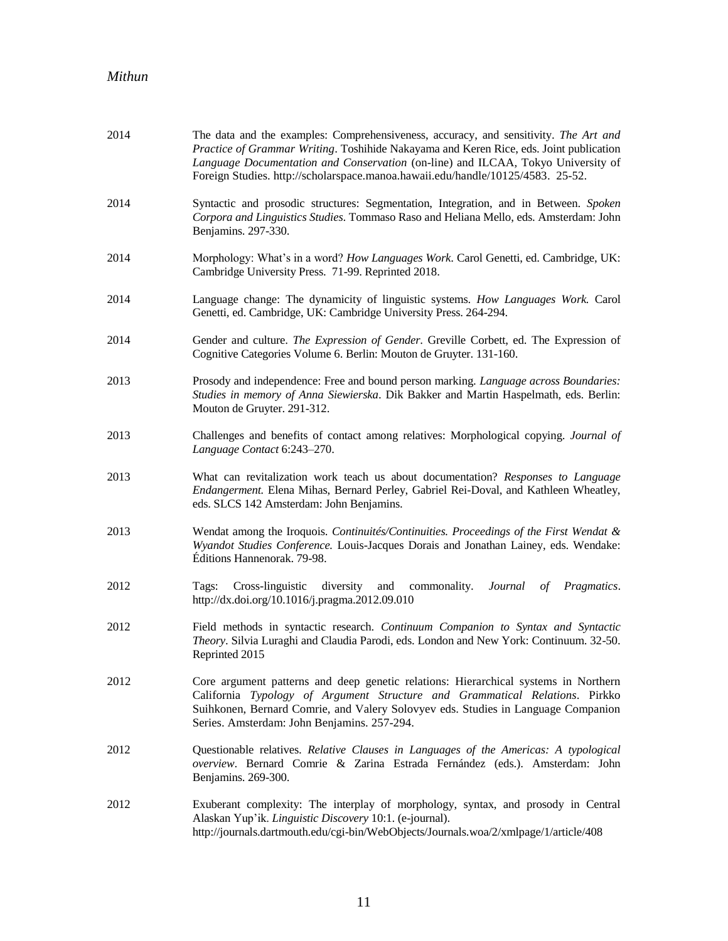| 2014 | The data and the examples: Comprehensiveness, accuracy, and sensitivity. The Art and<br>Practice of Grammar Writing. Toshihide Nakayama and Keren Rice, eds. Joint publication<br>Language Documentation and Conservation (on-line) and ILCAA, Tokyo University of<br>Foreign Studies. http://scholarspace.manoa.hawaii.edu/handle/10125/4583. 25-52. |
|------|-------------------------------------------------------------------------------------------------------------------------------------------------------------------------------------------------------------------------------------------------------------------------------------------------------------------------------------------------------|
| 2014 | Syntactic and prosodic structures: Segmentation, Integration, and in Between. Spoken<br>Corpora and Linguistics Studies. Tommaso Raso and Heliana Mello, eds. Amsterdam: John<br>Benjamins. 297-330.                                                                                                                                                  |
| 2014 | Morphology: What's in a word? How Languages Work. Carol Genetti, ed. Cambridge, UK:<br>Cambridge University Press. 71-99. Reprinted 2018.                                                                                                                                                                                                             |
| 2014 | Language change: The dynamicity of linguistic systems. How Languages Work. Carol<br>Genetti, ed. Cambridge, UK: Cambridge University Press. 264-294.                                                                                                                                                                                                  |
| 2014 | Gender and culture. The Expression of Gender. Greville Corbett, ed. The Expression of<br>Cognitive Categories Volume 6. Berlin: Mouton de Gruyter. 131-160.                                                                                                                                                                                           |
| 2013 | Prosody and independence: Free and bound person marking. Language across Boundaries:<br>Studies in memory of Anna Siewierska. Dik Bakker and Martin Haspelmath, eds. Berlin:<br>Mouton de Gruyter. 291-312.                                                                                                                                           |
| 2013 | Challenges and benefits of contact among relatives: Morphological copying. Journal of<br>Language Contact 6:243-270.                                                                                                                                                                                                                                  |
| 2013 | What can revitalization work teach us about documentation? Responses to Language<br>Endangerment. Elena Mihas, Bernard Perley, Gabriel Rei-Doval, and Kathleen Wheatley,<br>eds. SLCS 142 Amsterdam: John Benjamins.                                                                                                                                  |
| 2013 | Wendat among the Iroquois. Continuités/Continuities. Proceedings of the First Wendat &<br>Wyandot Studies Conference. Louis-Jacques Dorais and Jonathan Lainey, eds. Wendake:<br>Éditions Hannenorak. 79-98.                                                                                                                                          |
| 2012 | Cross-linguistic diversity<br>commonality.<br>Tags:<br>and<br>Journal<br><i>Pragmatics.</i><br>of<br>http://dx.doi.org/10.1016/j.pragma.2012.09.010                                                                                                                                                                                                   |
| 2012 | Field methods in syntactic research. Continuum Companion to Syntax and Syntactic<br>Theory. Silvia Luraghi and Claudia Parodi, eds. London and New York: Continuum. 32-50.<br>Reprinted 2015                                                                                                                                                          |
| 2012 | Core argument patterns and deep genetic relations: Hierarchical systems in Northern<br>California Typology of Argument Structure and Grammatical Relations. Pirkko<br>Suihkonen, Bernard Comrie, and Valery Solovyev eds. Studies in Language Companion<br>Series. Amsterdam: John Benjamins. 257-294.                                                |
| 2012 | Questionable relatives. Relative Clauses in Languages of the Americas: A typological<br>overview. Bernard Comrie & Zarina Estrada Fernández (eds.). Amsterdam: John<br>Benjamins. 269-300.                                                                                                                                                            |
| 2012 | Exuberant complexity: The interplay of morphology, syntax, and prosody in Central<br>Alaskan Yup'ik. Linguistic Discovery 10:1. (e-journal).<br>http://journals.dartmouth.edu/cgi-bin/WebObjects/Journals.woa/2/xmlpage/1/article/408                                                                                                                 |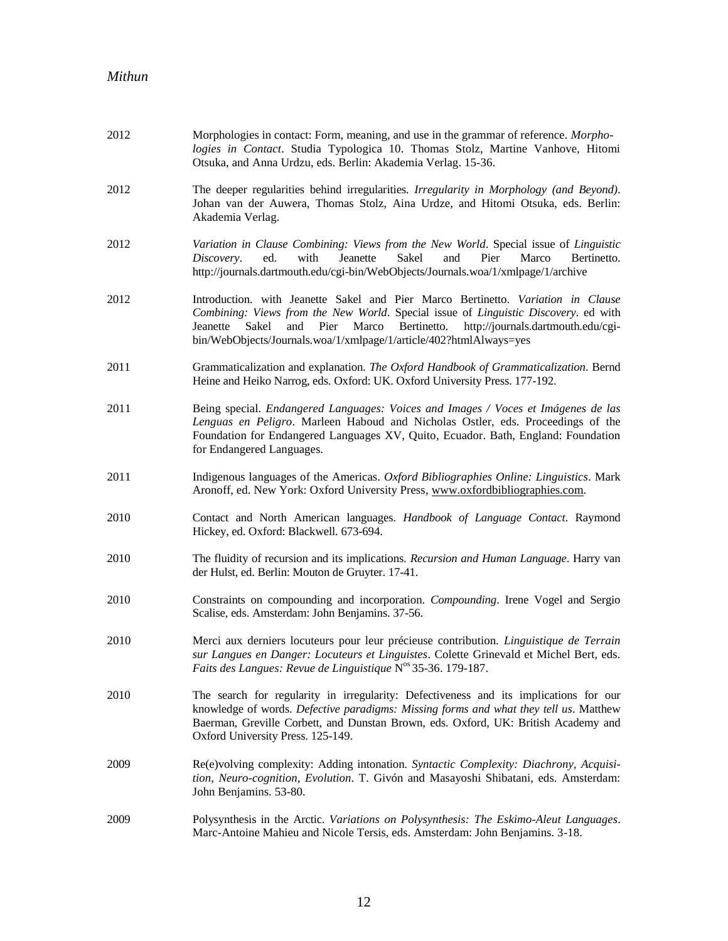| 2012 | Morphologies in contact: Form, meaning, and use in the grammar of reference. Morpho-<br>logies in Contact. Studia Typologica 10. Thomas Stolz, Martine Vanhove, Hitomi<br>Otsuka, and Anna Urdzu, eds. Berlin: Akademia Verlag. 15-36.                                                                                                          |
|------|-------------------------------------------------------------------------------------------------------------------------------------------------------------------------------------------------------------------------------------------------------------------------------------------------------------------------------------------------|
| 2012 | The deeper regularities behind irregularities. Irregularity in Morphology (and Beyond).<br>Johan van der Auwera, Thomas Stolz, Aina Urdze, and Hitomi Otsuka, eds. Berlin:<br>Akademia Verlag.                                                                                                                                                  |
| 2012 | Variation in Clause Combining: Views from the New World. Special issue of Linguistic<br>ed.<br>with<br>Jeanette<br>Sakel<br>and<br>Pier<br>Marco<br>Bertinetto.<br>Discovery.<br>http://journals.dartmouth.edu/cgi-bin/WebObjects/Journals.woa/1/xmlpage/1/archive                                                                              |
| 2012 | Introduction. with Jeanette Sakel and Pier Marco Bertinetto. Variation in Clause<br>Combining: Views from the New World. Special issue of Linguistic Discovery. ed with<br>Pier<br>Marco<br>Bertinetto.<br>and<br>http://journals.dartmouth.edu/cgi-<br>Jeanette<br>Sakel<br>bin/WebObjects/Journals.woa/1/xmlpage/1/article/402?htmlAlways=yes |
| 2011 | Grammaticalization and explanation. The Oxford Handbook of Grammaticalization. Bernd<br>Heine and Heiko Narrog, eds. Oxford: UK. Oxford University Press. 177-192.                                                                                                                                                                              |
| 2011 | Being special. Endangered Languages: Voices and Images / Voces et Imágenes de las<br>Lenguas en Peligro. Marleen Haboud and Nicholas Ostler, eds. Proceedings of the<br>Foundation for Endangered Languages XV, Quito, Ecuador. Bath, England: Foundation<br>for Endangered Languages.                                                          |
| 2011 | Indigenous languages of the Americas. Oxford Bibliographies Online: Linguistics. Mark<br>Aronoff, ed. New York: Oxford University Press, www.oxfordbibliographies.com.                                                                                                                                                                          |
| 2010 | Contact and North American languages. Handbook of Language Contact. Raymond<br>Hickey, ed. Oxford: Blackwell. 673-694.                                                                                                                                                                                                                          |
| 2010 | The fluidity of recursion and its implications. Recursion and Human Language. Harry van<br>der Hulst, ed. Berlin: Mouton de Gruyter. 17-41.                                                                                                                                                                                                     |
| 2010 | Constraints on compounding and incorporation. Compounding. Irene Vogel and Sergio<br>Scalise, eds. Amsterdam: John Benjamins. 37-56.                                                                                                                                                                                                            |
| 2010 | Merci aux derniers locuteurs pour leur précieuse contribution. Linguistique de Terrain<br>sur Langues en Danger: Locuteurs et Linguistes. Colette Grinevald et Michel Bert, eds.<br>Faits des Langues: Revue de Linguistique N° 35-36. 179-187.                                                                                                 |
| 2010 | The search for regularity in irregularity: Defectiveness and its implications for our<br>knowledge of words. Defective paradigms: Missing forms and what they tell us. Matthew<br>Baerman, Greville Corbett, and Dunstan Brown, eds. Oxford, UK: British Academy and<br>Oxford University Press. 125-149.                                       |
| 2009 | Re(e)volving complexity: Adding intonation. Syntactic Complexity: Diachrony, Acquisi-<br>tion, Neuro-cognition, Evolution. T. Givón and Masayoshi Shibatani, eds. Amsterdam:<br>John Benjamins. 53-80.                                                                                                                                          |
| 2009 | Polysynthesis in the Arctic. Variations on Polysynthesis: The Eskimo-Aleut Languages.<br>Marc-Antoine Mahieu and Nicole Tersis, eds. Amsterdam: John Benjamins. 3-18.                                                                                                                                                                           |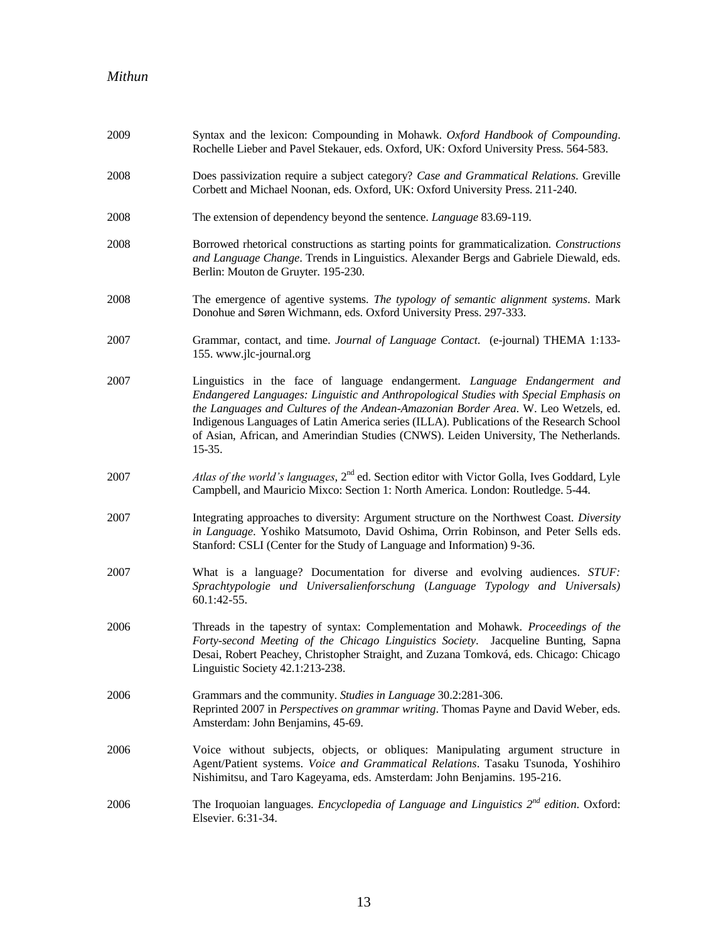| 2009 | Syntax and the lexicon: Compounding in Mohawk. Oxford Handbook of Compounding.<br>Rochelle Lieber and Pavel Stekauer, eds. Oxford, UK: Oxford University Press. 564-583.                                                                                                                                                                                                                                                                                     |
|------|--------------------------------------------------------------------------------------------------------------------------------------------------------------------------------------------------------------------------------------------------------------------------------------------------------------------------------------------------------------------------------------------------------------------------------------------------------------|
| 2008 | Does passivization require a subject category? Case and Grammatical Relations. Greville<br>Corbett and Michael Noonan, eds. Oxford, UK: Oxford University Press. 211-240.                                                                                                                                                                                                                                                                                    |
| 2008 | The extension of dependency beyond the sentence. <i>Language</i> 83.69-119.                                                                                                                                                                                                                                                                                                                                                                                  |
| 2008 | Borrowed rhetorical constructions as starting points for grammaticalization. Constructions<br>and Language Change. Trends in Linguistics. Alexander Bergs and Gabriele Diewald, eds.<br>Berlin: Mouton de Gruyter. 195-230.                                                                                                                                                                                                                                  |
| 2008 | The emergence of agentive systems. The typology of semantic alignment systems. Mark<br>Donohue and Søren Wichmann, eds. Oxford University Press. 297-333.                                                                                                                                                                                                                                                                                                    |
| 2007 | Grammar, contact, and time. Journal of Language Contact. (e-journal) THEMA 1:133-<br>155. www.jlc-journal.org                                                                                                                                                                                                                                                                                                                                                |
| 2007 | Linguistics in the face of language endangerment. Language Endangerment and<br>Endangered Languages: Linguistic and Anthropological Studies with Special Emphasis on<br>the Languages and Cultures of the Andean-Amazonian Border Area. W. Leo Wetzels, ed.<br>Indigenous Languages of Latin America series (ILLA). Publications of the Research School<br>of Asian, African, and Amerindian Studies (CNWS). Leiden University, The Netherlands.<br>$15-35.$ |
| 2007 | Atlas of the world's languages, $2^{nd}$ ed. Section editor with Victor Golla, Ives Goddard, Lyle<br>Campbell, and Mauricio Mixco: Section 1: North America. London: Routledge. 5-44.                                                                                                                                                                                                                                                                        |
| 2007 | Integrating approaches to diversity: Argument structure on the Northwest Coast. Diversity<br>in Language. Yoshiko Matsumoto, David Oshima, Orrin Robinson, and Peter Sells eds.<br>Stanford: CSLI (Center for the Study of Language and Information) 9-36.                                                                                                                                                                                                   |
| 2007 | What is a language? Documentation for diverse and evolving audiences. STUF:<br>Sprachtypologie und Universalienforschung (Language Typology and Universals)<br>60.1:42-55.                                                                                                                                                                                                                                                                                   |
| 2006 | Threads in the tapestry of syntax: Complementation and Mohawk. Proceedings of the<br>Forty-second Meeting of the Chicago Linguistics Society. Jacqueline Bunting, Sapna<br>Desai, Robert Peachey, Christopher Straight, and Zuzana Tomková, eds. Chicago: Chicago<br>Linguistic Society 42.1:213-238.                                                                                                                                                        |
| 2006 | Grammars and the community. Studies in Language 30.2:281-306.<br>Reprinted 2007 in Perspectives on grammar writing. Thomas Payne and David Weber, eds.<br>Amsterdam: John Benjamins, 45-69.                                                                                                                                                                                                                                                                  |
| 2006 | Voice without subjects, objects, or obliques: Manipulating argument structure in<br>Agent/Patient systems. Voice and Grammatical Relations. Tasaku Tsunoda, Yoshihiro<br>Nishimitsu, and Taro Kageyama, eds. Amsterdam: John Benjamins. 195-216.                                                                                                                                                                                                             |
| 2006 | The Iroquoian languages. Encyclopedia of Language and Linguistics $2^{nd}$ edition. Oxford:<br>Elsevier. 6:31-34.                                                                                                                                                                                                                                                                                                                                            |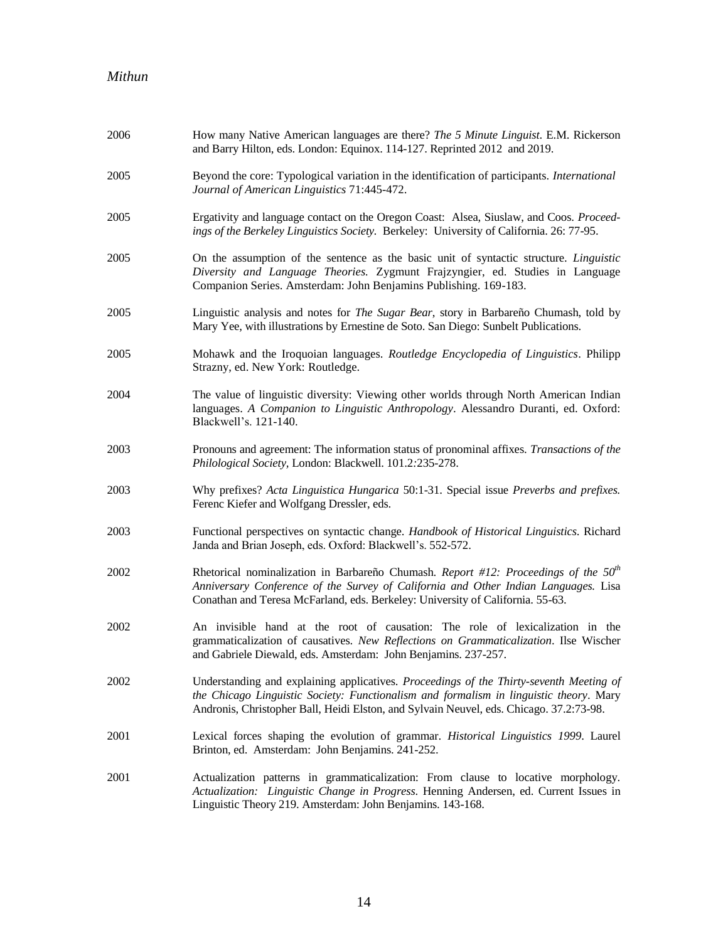| 2006 | How many Native American languages are there? The 5 Minute Linguist. E.M. Rickerson<br>and Barry Hilton, eds. London: Equinox. 114-127. Reprinted 2012 and 2019.                                                                                                             |
|------|------------------------------------------------------------------------------------------------------------------------------------------------------------------------------------------------------------------------------------------------------------------------------|
| 2005 | Beyond the core: Typological variation in the identification of participants. International<br>Journal of American Linguistics 71:445-472.                                                                                                                                   |
| 2005 | Ergativity and language contact on the Oregon Coast: Alsea, Siuslaw, and Coos. Proceed-<br>ings of the Berkeley Linguistics Society. Berkeley: University of California. 26: 77-95.                                                                                          |
| 2005 | On the assumption of the sentence as the basic unit of syntactic structure. Linguistic<br>Diversity and Language Theories. Zygmunt Frajzyngier, ed. Studies in Language<br>Companion Series. Amsterdam: John Benjamins Publishing. 169-183.                                  |
| 2005 | Linguistic analysis and notes for <i>The Sugar Bear</i> , story in Barbareño Chumash, told by<br>Mary Yee, with illustrations by Ernestine de Soto. San Diego: Sunbelt Publications.                                                                                         |
| 2005 | Mohawk and the Iroquoian languages. Routledge Encyclopedia of Linguistics. Philipp<br>Strazny, ed. New York: Routledge.                                                                                                                                                      |
| 2004 | The value of linguistic diversity: Viewing other worlds through North American Indian<br>languages. A Companion to Linguistic Anthropology. Alessandro Duranti, ed. Oxford:<br>Blackwell's. 121-140.                                                                         |
| 2003 | Pronouns and agreement: The information status of pronominal affixes. Transactions of the<br>Philological Society, London: Blackwell. 101.2:235-278.                                                                                                                         |
| 2003 | Why prefixes? Acta Linguistica Hungarica 50:1-31. Special issue Preverbs and prefixes.<br>Ferenc Kiefer and Wolfgang Dressler, eds.                                                                                                                                          |
| 2003 | Functional perspectives on syntactic change. Handbook of Historical Linguistics. Richard<br>Janda and Brian Joseph, eds. Oxford: Blackwell's. 552-572.                                                                                                                       |
| 2002 | Rhetorical nominalization in Barbareño Chumash. Report #12: Proceedings of the $50th$<br>Anniversary Conference of the Survey of California and Other Indian Languages. Lisa<br>Conathan and Teresa McFarland, eds. Berkeley: University of California. 55-63.               |
| 2002 | An invisible hand at the root of causation: The role of lexicalization in the<br>grammaticalization of causatives. New Reflections on Grammaticalization. Ilse Wischer<br>and Gabriele Diewald, eds. Amsterdam: John Benjamins. 237-257.                                     |
| 2002 | Understanding and explaining applicatives. Proceedings of the Thirty-seventh Meeting of<br>the Chicago Linguistic Society: Functionalism and formalism in linguistic theory. Mary<br>Andronis, Christopher Ball, Heidi Elston, and Sylvain Neuvel, eds. Chicago. 37.2:73-98. |
| 2001 | Lexical forces shaping the evolution of grammar. Historical Linguistics 1999. Laurel<br>Brinton, ed. Amsterdam: John Benjamins. 241-252.                                                                                                                                     |
| 2001 | Actualization patterns in grammaticalization: From clause to locative morphology.<br>Actualization: Linguistic Change in Progress. Henning Andersen, ed. Current Issues in<br>Linguistic Theory 219. Amsterdam: John Benjamins. 143-168.                                     |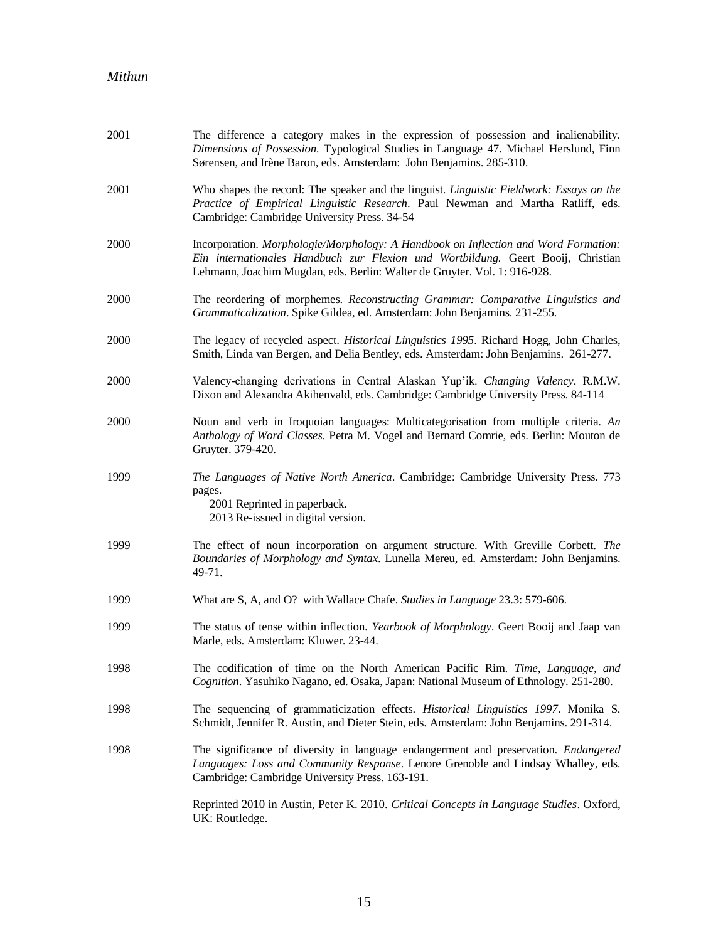| 2001 | The difference a category makes in the expression of possession and inalienability.<br>Dimensions of Possession. Typological Studies in Language 47. Michael Herslund, Finn<br>Sørensen, and Irène Baron, eds. Amsterdam: John Benjamins. 285-310.   |
|------|------------------------------------------------------------------------------------------------------------------------------------------------------------------------------------------------------------------------------------------------------|
| 2001 | Who shapes the record: The speaker and the linguist. Linguistic Fieldwork: Essays on the<br>Practice of Empirical Linguistic Research. Paul Newman and Martha Ratliff, eds.<br>Cambridge: Cambridge University Press. 34-54                          |
| 2000 | Incorporation. Morphologie/Morphology: A Handbook on Inflection and Word Formation:<br>Ein internationales Handbuch zur Flexion und Wortbildung. Geert Booij, Christian<br>Lehmann, Joachim Mugdan, eds. Berlin: Walter de Gruyter. Vol. 1: 916-928. |
| 2000 | The reordering of morphemes. Reconstructing Grammar: Comparative Linguistics and<br>Grammaticalization. Spike Gildea, ed. Amsterdam: John Benjamins. 231-255.                                                                                        |
| 2000 | The legacy of recycled aspect. Historical Linguistics 1995. Richard Hogg, John Charles,<br>Smith, Linda van Bergen, and Delia Bentley, eds. Amsterdam: John Benjamins. 261-277.                                                                      |
| 2000 | Valency-changing derivations in Central Alaskan Yup'ik. Changing Valency. R.M.W.<br>Dixon and Alexandra Akihenvald, eds. Cambridge: Cambridge University Press. 84-114                                                                               |
| 2000 | Noun and verb in Iroquoian languages: Multicategorisation from multiple criteria. An<br>Anthology of Word Classes. Petra M. Vogel and Bernard Comrie, eds. Berlin: Mouton de<br>Gruyter. 379-420.                                                    |
| 1999 | The Languages of Native North America. Cambridge: Cambridge University Press. 773<br>pages.<br>2001 Reprinted in paperback.<br>2013 Re-issued in digital version.                                                                                    |
| 1999 | The effect of noun incorporation on argument structure. With Greville Corbett. The<br>Boundaries of Morphology and Syntax. Lunella Mereu, ed. Amsterdam: John Benjamins.<br>49-71.                                                                   |
| 1999 | What are S, A, and O? with Wallace Chafe. Studies in Language 23.3: 579-606.                                                                                                                                                                         |
| 1999 | The status of tense within inflection. Yearbook of Morphology. Geert Booij and Jaap van<br>Marle, eds. Amsterdam: Kluwer. 23-44.                                                                                                                     |
| 1998 | The codification of time on the North American Pacific Rim. Time, Language, and<br>Cognition. Yasuhiko Nagano, ed. Osaka, Japan: National Museum of Ethnology. 251-280.                                                                              |
| 1998 | The sequencing of grammaticization effects. Historical Linguistics 1997. Monika S.<br>Schmidt, Jennifer R. Austin, and Dieter Stein, eds. Amsterdam: John Benjamins. 291-314.                                                                        |
| 1998 | The significance of diversity in language endangerment and preservation. Endangered<br>Languages: Loss and Community Response. Lenore Grenoble and Lindsay Whalley, eds.<br>Cambridge: Cambridge University Press. 163-191.                          |
|      | Reprinted 2010 in Austin, Peter K. 2010. Critical Concepts in Language Studies. Oxford,<br>UK: Routledge.                                                                                                                                            |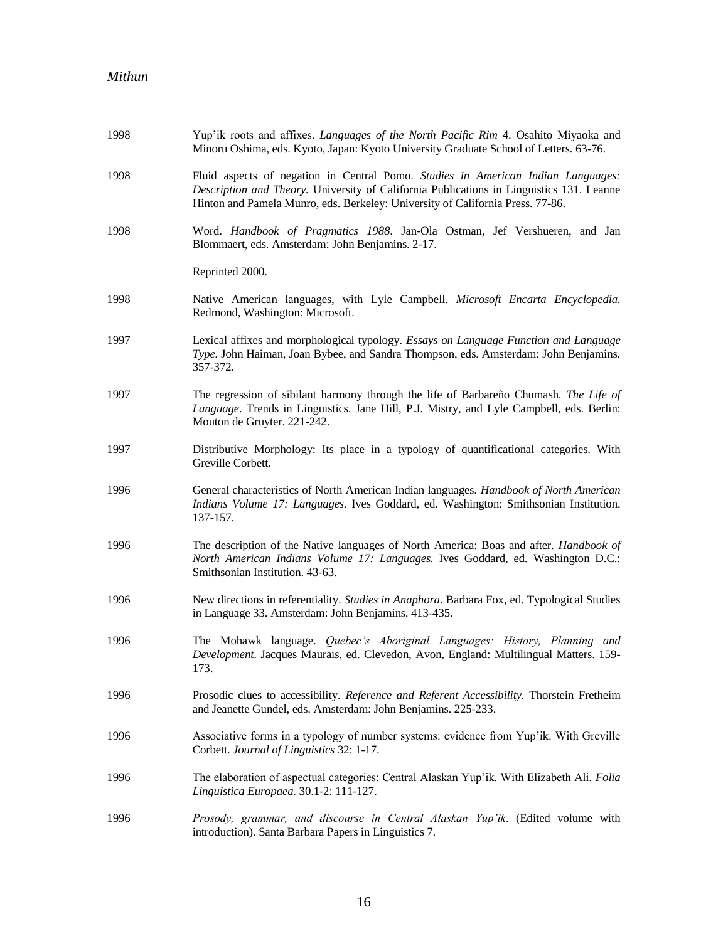| 1998 | Yup'ik roots and affixes. Languages of the North Pacific Rim 4. Osahito Miyaoka and<br>Minoru Oshima, eds. Kyoto, Japan: Kyoto University Graduate School of Letters. 63-76.                                                                                   |
|------|----------------------------------------------------------------------------------------------------------------------------------------------------------------------------------------------------------------------------------------------------------------|
| 1998 | Fluid aspects of negation in Central Pomo. Studies in American Indian Languages:<br>Description and Theory. University of California Publications in Linguistics 131. Leanne<br>Hinton and Pamela Munro, eds. Berkeley: University of California Press. 77-86. |
| 1998 | Word. Handbook of Pragmatics 1988. Jan-Ola Ostman, Jef Vershueren, and Jan<br>Blommaert, eds. Amsterdam: John Benjamins. 2-17.                                                                                                                                 |
|      | Reprinted 2000.                                                                                                                                                                                                                                                |
| 1998 | Native American languages, with Lyle Campbell. Microsoft Encarta Encyclopedia.<br>Redmond, Washington: Microsoft.                                                                                                                                              |
| 1997 | Lexical affixes and morphological typology. Essays on Language Function and Language<br>Type. John Haiman, Joan Bybee, and Sandra Thompson, eds. Amsterdam: John Benjamins.<br>357-372.                                                                        |
| 1997 | The regression of sibilant harmony through the life of Barbareño Chumash. The Life of<br>Language. Trends in Linguistics. Jane Hill, P.J. Mistry, and Lyle Campbell, eds. Berlin:<br>Mouton de Gruyter. 221-242.                                               |
| 1997 | Distributive Morphology: Its place in a typology of quantificational categories. With<br>Greville Corbett.                                                                                                                                                     |
| 1996 | General characteristics of North American Indian languages. Handbook of North American<br>Indians Volume 17: Languages. Ives Goddard, ed. Washington: Smithsonian Institution.<br>137-157.                                                                     |
| 1996 | The description of the Native languages of North America: Boas and after. Handbook of<br>North American Indians Volume 17: Languages. Ives Goddard, ed. Washington D.C.:<br>Smithsonian Institution. 43-63.                                                    |
| 1996 | New directions in referentiality. Studies in Anaphora. Barbara Fox, ed. Typological Studies<br>in Language 33. Amsterdam: John Benjamins. 413-435.                                                                                                             |
| 1996 | The Mohawk language. <i>Quebec's Aboriginal Languages: History</i> , <i>Planning and</i><br>Development. Jacques Maurais, ed. Clevedon, Avon, England: Multilingual Matters. 159-<br>173.                                                                      |
| 1996 | Prosodic clues to accessibility. Reference and Referent Accessibility. Thorstein Fretheim<br>and Jeanette Gundel, eds. Amsterdam: John Benjamins. 225-233.                                                                                                     |
| 1996 | Associative forms in a typology of number systems: evidence from Yup'ik. With Greville<br>Corbett. Journal of Linguistics 32: 1-17.                                                                                                                            |
| 1996 | The elaboration of aspectual categories: Central Alaskan Yup'ik. With Elizabeth Ali. Folia<br>Linguistica Europaea. 30.1-2: 111-127.                                                                                                                           |
| 1996 | Prosody, grammar, and discourse in Central Alaskan Yup'ik. (Edited volume with<br>introduction). Santa Barbara Papers in Linguistics 7.                                                                                                                        |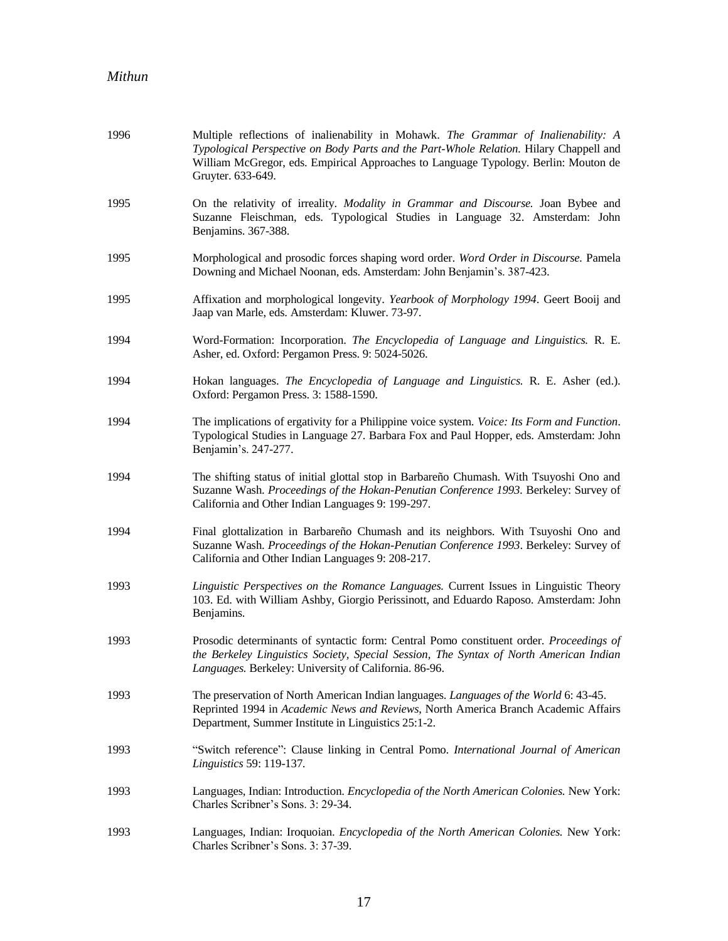| 1996 | Multiple reflections of inalienability in Mohawk. The Grammar of Inalienability: A<br>Typological Perspective on Body Parts and the Part-Whole Relation. Hilary Chappell and<br>William McGregor, eds. Empirical Approaches to Language Typology. Berlin: Mouton de<br>Gruyter. 633-649. |
|------|------------------------------------------------------------------------------------------------------------------------------------------------------------------------------------------------------------------------------------------------------------------------------------------|
| 1995 | On the relativity of irreality. Modality in Grammar and Discourse. Joan Bybee and<br>Suzanne Fleischman, eds. Typological Studies in Language 32. Amsterdam: John<br>Benjamins. 367-388.                                                                                                 |
| 1995 | Morphological and prosodic forces shaping word order. Word Order in Discourse. Pamela<br>Downing and Michael Noonan, eds. Amsterdam: John Benjamin's. 387-423.                                                                                                                           |
| 1995 | Affixation and morphological longevity. Yearbook of Morphology 1994. Geert Booij and<br>Jaap van Marle, eds. Amsterdam: Kluwer. 73-97.                                                                                                                                                   |
| 1994 | Word-Formation: Incorporation. The Encyclopedia of Language and Linguistics. R. E.<br>Asher, ed. Oxford: Pergamon Press. 9: 5024-5026.                                                                                                                                                   |
| 1994 | Hokan languages. The Encyclopedia of Language and Linguistics. R. E. Asher (ed.).<br>Oxford: Pergamon Press. 3: 1588-1590.                                                                                                                                                               |
| 1994 | The implications of ergativity for a Philippine voice system. Voice: Its Form and Function.<br>Typological Studies in Language 27. Barbara Fox and Paul Hopper, eds. Amsterdam: John<br>Benjamin's. 247-277.                                                                             |
| 1994 | The shifting status of initial glottal stop in Barbareño Chumash. With Tsuyoshi Ono and<br>Suzanne Wash. Proceedings of the Hokan-Penutian Conference 1993. Berkeley: Survey of<br>California and Other Indian Languages 9: 199-297.                                                     |
| 1994 | Final glottalization in Barbareño Chumash and its neighbors. With Tsuyoshi Ono and<br>Suzanne Wash. Proceedings of the Hokan-Penutian Conference 1993. Berkeley: Survey of<br>California and Other Indian Languages 9: 208-217.                                                          |
| 1993 | Linguistic Perspectives on the Romance Languages. Current Issues in Linguistic Theory<br>103. Ed. with William Ashby, Giorgio Perissinott, and Eduardo Raposo. Amsterdam: John<br>Benjamins.                                                                                             |
| 1993 | Prosodic determinants of syntactic form: Central Pomo constituent order. Proceedings of<br>the Berkeley Linguistics Society, Special Session, The Syntax of North American Indian<br>Languages. Berkeley: University of California. 86-96.                                               |
| 1993 | The preservation of North American Indian languages. Languages of the World 6: 43-45.<br>Reprinted 1994 in Academic News and Reviews, North America Branch Academic Affairs<br>Department, Summer Institute in Linguistics 25:1-2.                                                       |
| 1993 | "Switch reference": Clause linking in Central Pomo. International Journal of American<br>Linguistics 59: 119-137.                                                                                                                                                                        |
| 1993 | Languages, Indian: Introduction. Encyclopedia of the North American Colonies. New York:<br>Charles Scribner's Sons. 3: 29-34.                                                                                                                                                            |
| 1993 | Languages, Indian: Iroquoian. Encyclopedia of the North American Colonies. New York:<br>Charles Scribner's Sons. 3: 37-39.                                                                                                                                                               |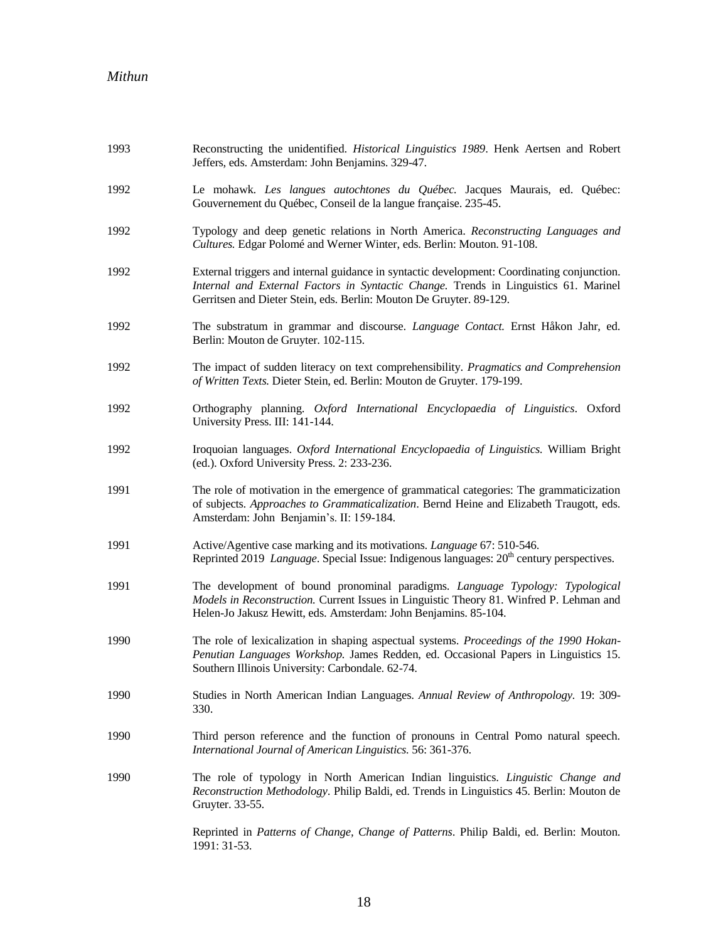| 1993 | Reconstructing the unidentified. Historical Linguistics 1989. Henk Aertsen and Robert<br>Jeffers, eds. Amsterdam: John Benjamins. 329-47.                                                                                                                  |
|------|------------------------------------------------------------------------------------------------------------------------------------------------------------------------------------------------------------------------------------------------------------|
| 1992 | Le mohawk. Les langues autochtones du Québec. Jacques Maurais, ed. Québec:<br>Gouvernement du Québec, Conseil de la langue française. 235-45.                                                                                                              |
| 1992 | Typology and deep genetic relations in North America. Reconstructing Languages and<br>Cultures. Edgar Polomé and Werner Winter, eds. Berlin: Mouton. 91-108.                                                                                               |
| 1992 | External triggers and internal guidance in syntactic development: Coordinating conjunction.<br>Internal and External Factors in Syntactic Change. Trends in Linguistics 61. Marinel<br>Gerritsen and Dieter Stein, eds. Berlin: Mouton De Gruyter. 89-129. |
| 1992 | The substratum in grammar and discourse. Language Contact. Ernst Håkon Jahr, ed.<br>Berlin: Mouton de Gruyter. 102-115.                                                                                                                                    |
| 1992 | The impact of sudden literacy on text comprehensibility. Pragmatics and Comprehension<br>of Written Texts. Dieter Stein, ed. Berlin: Mouton de Gruyter. 179-199.                                                                                           |
| 1992 | Orthography planning. Oxford International Encyclopaedia of Linguistics. Oxford<br>University Press. III: 141-144.                                                                                                                                         |
| 1992 | Iroquoian languages. Oxford International Encyclopaedia of Linguistics. William Bright<br>(ed.). Oxford University Press. 2: 233-236.                                                                                                                      |
| 1991 | The role of motivation in the emergence of grammatical categories: The grammaticization<br>of subjects. Approaches to Grammaticalization. Bernd Heine and Elizabeth Traugott, eds.<br>Amsterdam: John Benjamin's. II: 159-184.                             |
| 1991 | Active/Agentive case marking and its motivations. Language 67: 510-546.<br>Reprinted 2019 Language. Special Issue: Indigenous languages: 20 <sup>th</sup> century perspectives.                                                                            |
| 1991 | The development of bound pronominal paradigms. Language Typology: Typological<br>Models in Reconstruction. Current Issues in Linguistic Theory 81. Winfred P. Lehman and<br>Helen-Jo Jakusz Hewitt, eds. Amsterdam: John Benjamins. 85-104.                |
| 1990 | The role of lexicalization in shaping aspectual systems. Proceedings of the 1990 Hokan-<br>Penutian Languages Workshop. James Redden, ed. Occasional Papers in Linguistics 15.<br>Southern Illinois University: Carbondale. 62-74.                         |
| 1990 | Studies in North American Indian Languages. Annual Review of Anthropology. 19: 309-<br>330.                                                                                                                                                                |
| 1990 | Third person reference and the function of pronouns in Central Pomo natural speech.<br>International Journal of American Linguistics. 56: 361-376.                                                                                                         |
| 1990 | The role of typology in North American Indian linguistics. Linguistic Change and<br>Reconstruction Methodology. Philip Baldi, ed. Trends in Linguistics 45. Berlin: Mouton de<br>Gruyter. 33-55.                                                           |
|      | Reprinted in Patterns of Change, Change of Patterns. Philip Baldi, ed. Berlin: Mouton.<br>1991: 31-53.                                                                                                                                                     |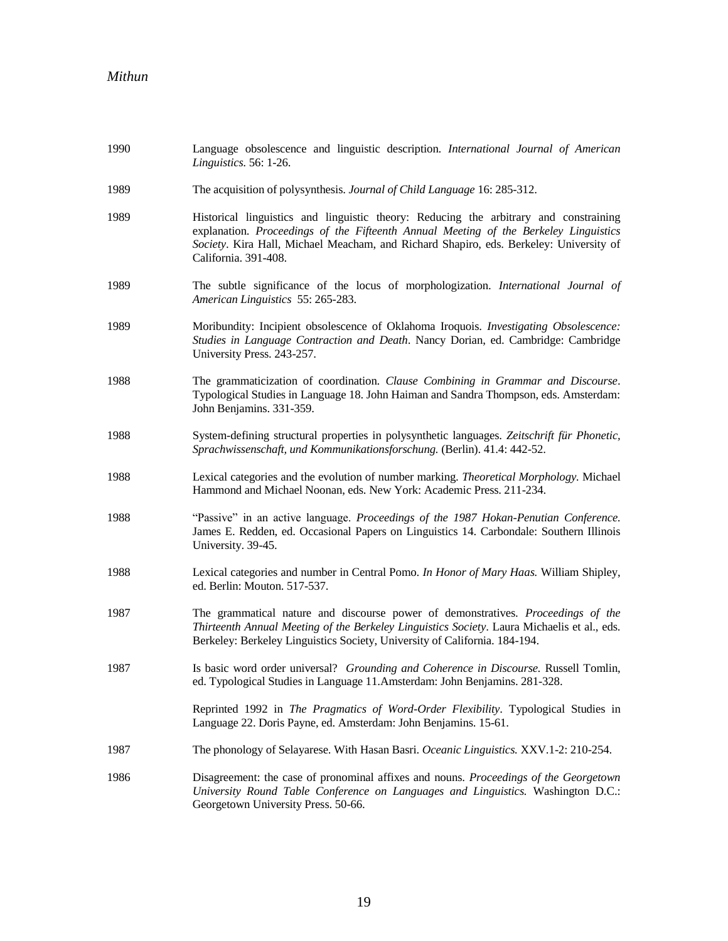| 1990 | Language obsolescence and linguistic description. International Journal of American<br>Linguistics. 56: 1-26.                                                                                                                                                                                   |
|------|-------------------------------------------------------------------------------------------------------------------------------------------------------------------------------------------------------------------------------------------------------------------------------------------------|
| 1989 | The acquisition of polysynthesis. Journal of Child Language 16: 285-312.                                                                                                                                                                                                                        |
| 1989 | Historical linguistics and linguistic theory: Reducing the arbitrary and constraining<br>explanation. Proceedings of the Fifteenth Annual Meeting of the Berkeley Linguistics<br>Society. Kira Hall, Michael Meacham, and Richard Shapiro, eds. Berkeley: University of<br>California. 391-408. |
| 1989 | The subtle significance of the locus of morphologization. International Journal of<br>American Linguistics 55: 265-283.                                                                                                                                                                         |
| 1989 | Moribundity: Incipient obsolescence of Oklahoma Iroquois. Investigating Obsolescence:<br>Studies in Language Contraction and Death. Nancy Dorian, ed. Cambridge: Cambridge<br>University Press. 243-257.                                                                                        |
| 1988 | The grammaticization of coordination. Clause Combining in Grammar and Discourse.<br>Typological Studies in Language 18. John Haiman and Sandra Thompson, eds. Amsterdam:<br>John Benjamins. 331-359.                                                                                            |
| 1988 | System-defining structural properties in polysynthetic languages. Zeitschrift für Phonetic,<br>Sprachwissenschaft, und Kommunikationsforschung. (Berlin). 41.4: 442-52.                                                                                                                         |
| 1988 | Lexical categories and the evolution of number marking. Theoretical Morphology. Michael<br>Hammond and Michael Noonan, eds. New York: Academic Press. 211-234.                                                                                                                                  |
| 1988 | "Passive" in an active language. Proceedings of the 1987 Hokan-Penutian Conference.<br>James E. Redden, ed. Occasional Papers on Linguistics 14. Carbondale: Southern Illinois<br>University. 39-45.                                                                                            |
| 1988 | Lexical categories and number in Central Pomo. In Honor of Mary Haas. William Shipley,<br>ed. Berlin: Mouton. 517-537.                                                                                                                                                                          |
| 1987 | The grammatical nature and discourse power of demonstratives. Proceedings of the<br>Thirteenth Annual Meeting of the Berkeley Linguistics Society. Laura Michaelis et al., eds.<br>Berkeley: Berkeley Linguistics Society, University of California. 184-194.                                   |
| 1987 | Is basic word order universal? Grounding and Coherence in Discourse. Russell Tomlin,<br>ed. Typological Studies in Language 11. Amsterdam: John Benjamins. 281-328.                                                                                                                             |
|      | Reprinted 1992 in The Pragmatics of Word-Order Flexibility. Typological Studies in<br>Language 22. Doris Payne, ed. Amsterdam: John Benjamins. 15-61.                                                                                                                                           |
| 1987 | The phonology of Selayarese. With Hasan Basri. Oceanic Linguistics. XXV.1-2: 210-254.                                                                                                                                                                                                           |
| 1986 | Disagreement: the case of pronominal affixes and nouns. Proceedings of the Georgetown<br>University Round Table Conference on Languages and Linguistics. Washington D.C.:<br>Georgetown University Press. 50-66.                                                                                |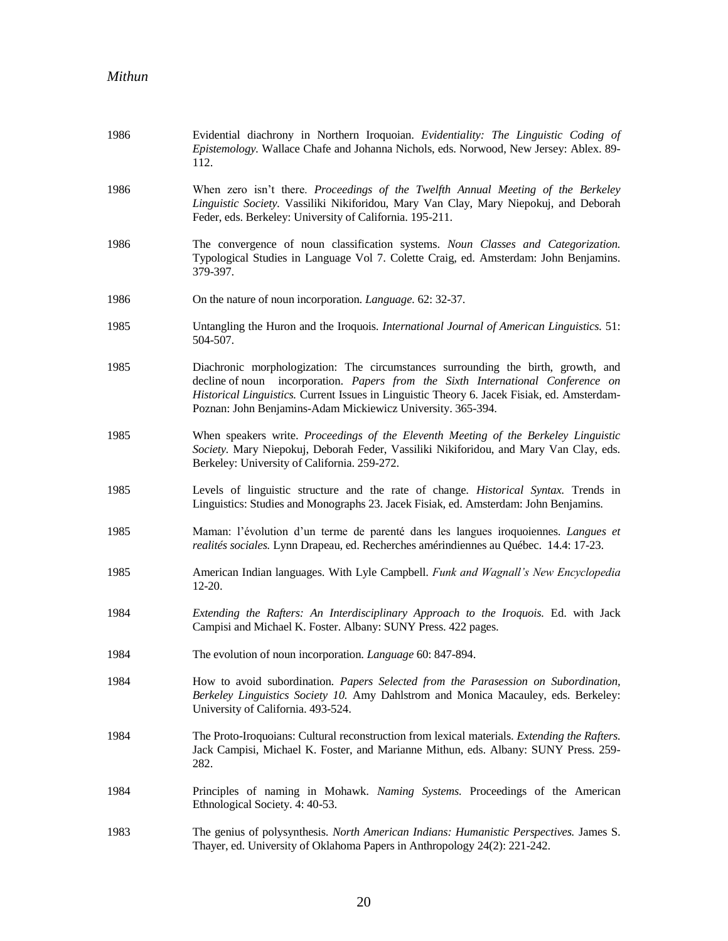| 1986 | Evidential diachrony in Northern Iroquoian. Evidentiality: The Linguistic Coding of<br>Epistemology. Wallace Chafe and Johanna Nichols, eds. Norwood, New Jersey: Ablex. 89-<br>112.                                                                                                                                                |
|------|-------------------------------------------------------------------------------------------------------------------------------------------------------------------------------------------------------------------------------------------------------------------------------------------------------------------------------------|
| 1986 | When zero isn't there. Proceedings of the Twelfth Annual Meeting of the Berkeley<br>Linguistic Society. Vassiliki Nikiforidou, Mary Van Clay, Mary Niepokuj, and Deborah<br>Feder, eds. Berkeley: University of California. 195-211.                                                                                                |
| 1986 | The convergence of noun classification systems. Noun Classes and Categorization.<br>Typological Studies in Language Vol 7. Colette Craig, ed. Amsterdam: John Benjamins.<br>379-397.                                                                                                                                                |
| 1986 | On the nature of noun incorporation. Language. 62: 32-37.                                                                                                                                                                                                                                                                           |
| 1985 | Untangling the Huron and the Iroquois. International Journal of American Linguistics. 51:<br>504-507.                                                                                                                                                                                                                               |
| 1985 | Diachronic morphologization: The circumstances surrounding the birth, growth, and<br>decline of noun incorporation. Papers from the Sixth International Conference on<br>Historical Linguistics. Current Issues in Linguistic Theory 6. Jacek Fisiak, ed. Amsterdam-<br>Poznan: John Benjamins-Adam Mickiewicz University. 365-394. |
| 1985 | When speakers write. Proceedings of the Eleventh Meeting of the Berkeley Linguistic<br>Society. Mary Niepokuj, Deborah Feder, Vassiliki Nikiforidou, and Mary Van Clay, eds.<br>Berkeley: University of California. 259-272.                                                                                                        |
| 1985 | Levels of linguistic structure and the rate of change. Historical Syntax. Trends in<br>Linguistics: Studies and Monographs 23. Jacek Fisiak, ed. Amsterdam: John Benjamins.                                                                                                                                                         |
| 1985 | Maman: l'évolution d'un terme de parenté dans les langues iroquoiennes. Langues et<br>realités sociales. Lynn Drapeau, ed. Recherches amérindiennes au Québec. 14.4: 17-23.                                                                                                                                                         |
| 1985 | American Indian languages. With Lyle Campbell. Funk and Wagnall's New Encyclopedia<br>$12-20.$                                                                                                                                                                                                                                      |
| 1984 | Extending the Rafters: An Interdisciplinary Approach to the Iroquois. Ed. with Jack<br>Campisi and Michael K. Foster. Albany: SUNY Press. 422 pages.                                                                                                                                                                                |
| 1984 | The evolution of noun incorporation. Language 60: 847-894.                                                                                                                                                                                                                                                                          |
| 1984 | How to avoid subordination. Papers Selected from the Parasession on Subordination,<br>Berkeley Linguistics Society 10. Amy Dahlstrom and Monica Macauley, eds. Berkeley:<br>University of California. 493-524.                                                                                                                      |
| 1984 | The Proto-Iroquoians: Cultural reconstruction from lexical materials. Extending the Rafters.<br>Jack Campisi, Michael K. Foster, and Marianne Mithun, eds. Albany: SUNY Press. 259-<br>282.                                                                                                                                         |
| 1984 | Principles of naming in Mohawk. Naming Systems. Proceedings of the American<br>Ethnological Society. 4: 40-53.                                                                                                                                                                                                                      |
| 1983 | The genius of polysynthesis. North American Indians: Humanistic Perspectives. James S.<br>Thayer, ed. University of Oklahoma Papers in Anthropology 24(2): 221-242.                                                                                                                                                                 |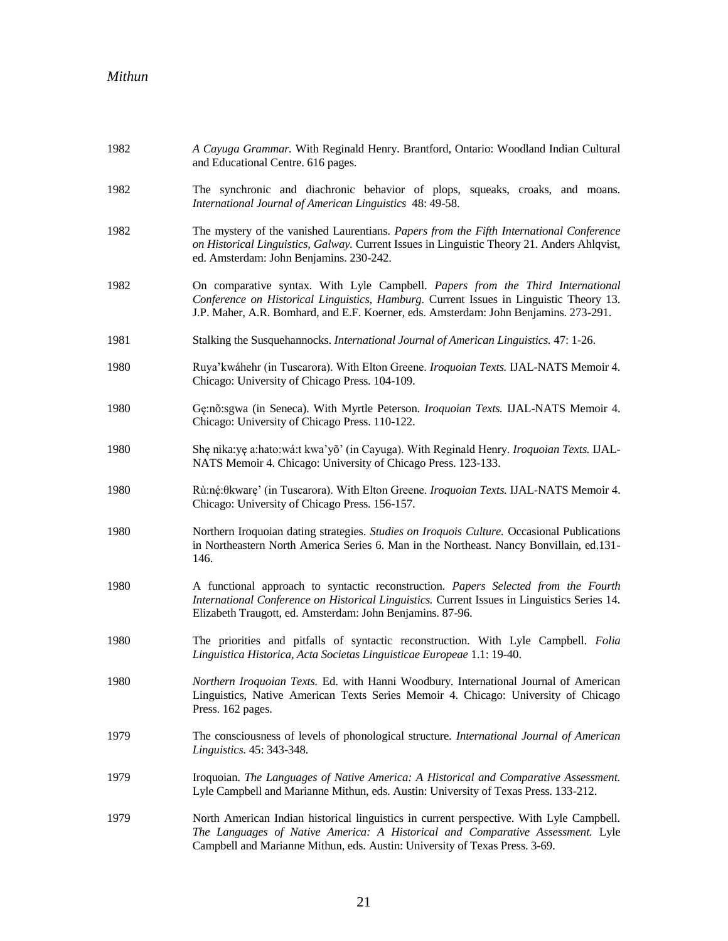| 1982 | A Cayuga Grammar. With Reginald Henry. Brantford, Ontario: Woodland Indian Cultural<br>and Educational Centre. 616 pages.                                                                                                                                        |
|------|------------------------------------------------------------------------------------------------------------------------------------------------------------------------------------------------------------------------------------------------------------------|
| 1982 | The synchronic and diachronic behavior of plops, squeaks, croaks, and moans.<br>International Journal of American Linguistics 48: 49-58.                                                                                                                         |
| 1982 | The mystery of the vanished Laurentians. Papers from the Fifth International Conference<br>on Historical Linguistics, Galway. Current Issues in Linguistic Theory 21. Anders Ahlqvist,<br>ed. Amsterdam: John Benjamins. 230-242.                                |
| 1982 | On comparative syntax. With Lyle Campbell. Papers from the Third International<br>Conference on Historical Linguistics, Hamburg. Current Issues in Linguistic Theory 13.<br>J.P. Maher, A.R. Bomhard, and E.F. Koerner, eds. Amsterdam: John Benjamins. 273-291. |
| 1981 | Stalking the Susquehannocks. International Journal of American Linguistics. 47: 1-26.                                                                                                                                                                            |
| 1980 | Ruya'kwáhehr (in Tuscarora). With Elton Greene. Iroquoian Texts. IJAL-NATS Memoir 4.<br>Chicago: University of Chicago Press. 104-109.                                                                                                                           |
| 1980 | Gę:nõ:sgwa (in Seneca). With Myrtle Peterson. Iroquoian Texts. IJAL-NATS Memoir 4.<br>Chicago: University of Chicago Press. 110-122.                                                                                                                             |
| 1980 | She nika:ye a:hato:wá:t kwa'yõ' (in Cayuga). With Reginald Henry. Iroquoian Texts. IJAL-<br>NATS Memoir 4. Chicago: University of Chicago Press. 123-133.                                                                                                        |
| 1980 | Rù:né:0kware' (in Tuscarora). With Elton Greene. <i>Iroquoian Texts</i> . IJAL-NATS Memoir 4.<br>Chicago: University of Chicago Press. 156-157.                                                                                                                  |
| 1980 | Northern Iroquoian dating strategies. Studies on Iroquois Culture. Occasional Publications<br>in Northeastern North America Series 6. Man in the Northeast. Nancy Bonvillain, ed.131-<br>146.                                                                    |
| 1980 | A functional approach to syntactic reconstruction. Papers Selected from the Fourth<br>International Conference on Historical Linguistics. Current Issues in Linguistics Series 14.<br>Elizabeth Traugott, ed. Amsterdam: John Benjamins. 87-96.                  |
| 1980 | The priorities and pitfalls of syntactic reconstruction. With Lyle Campbell. Folia<br>Linguistica Historica, Acta Societas Linguisticae Europeae 1.1: 19-40.                                                                                                     |
| 1980 | Northern Iroquoian Texts. Ed. with Hanni Woodbury. International Journal of American<br>Linguistics, Native American Texts Series Memoir 4. Chicago: University of Chicago<br>Press. 162 pages.                                                                  |
| 1979 | The consciousness of levels of phonological structure. International Journal of American<br>Linguistics. 45: 343-348.                                                                                                                                            |
| 1979 | Iroquoian. The Languages of Native America: A Historical and Comparative Assessment.<br>Lyle Campbell and Marianne Mithun, eds. Austin: University of Texas Press. 133-212.                                                                                      |
| 1979 | North American Indian historical linguistics in current perspective. With Lyle Campbell.<br>The Languages of Native America: A Historical and Comparative Assessment. Lyle<br>Campbell and Marianne Mithun, eds. Austin: University of Texas Press. 3-69.        |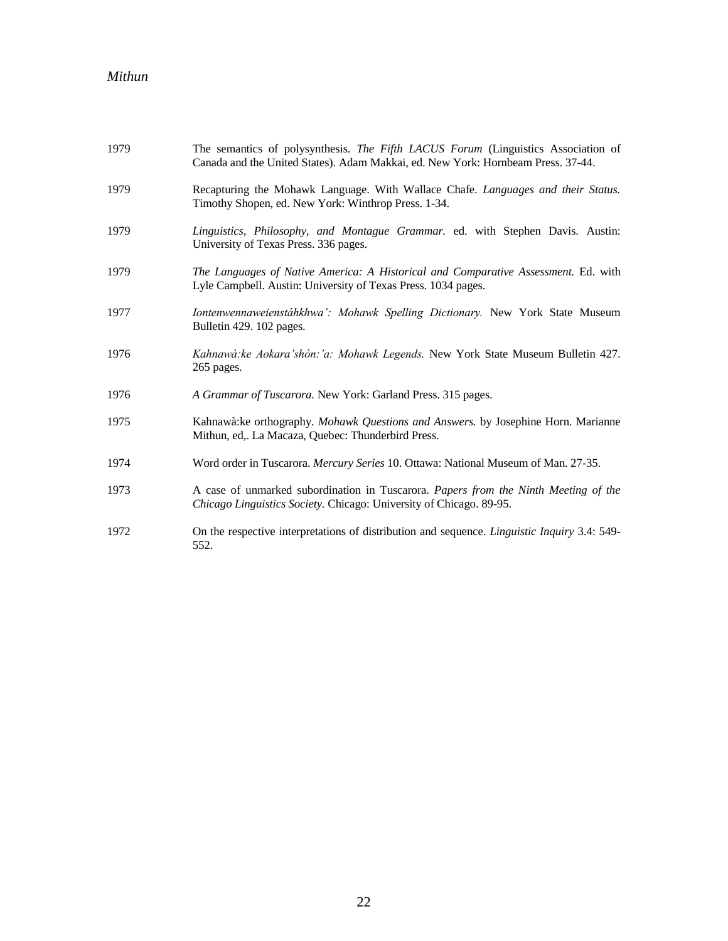| 1979 | The semantics of polysynthesis. The Fifth LACUS Forum (Linguistics Association of<br>Canada and the United States). Adam Makkai, ed. New York: Hornbeam Press. 37-44. |
|------|-----------------------------------------------------------------------------------------------------------------------------------------------------------------------|
| 1979 | Recapturing the Mohawk Language. With Wallace Chafe. Languages and their Status.<br>Timothy Shopen, ed. New York: Winthrop Press. 1-34.                               |
| 1979 | Linguistics, Philosophy, and Montague Grammar. ed. with Stephen Davis. Austin:<br>University of Texas Press. 336 pages.                                               |
| 1979 | The Languages of Native America: A Historical and Comparative Assessment. Ed. with<br>Lyle Campbell. Austin: University of Texas Press. 1034 pages.                   |
| 1977 | Iontenwennaweienstáhkhwa': Mohawk Spelling Dictionary. New York State Museum<br>Bulletin 429. 102 pages.                                                              |
| 1976 | Kahnawà: ke Aokara'shòn: 'a: Mohawk Legends. New York State Museum Bulletin 427.<br>265 pages.                                                                        |
| 1976 | A Grammar of Tuscarora. New York: Garland Press. 315 pages.                                                                                                           |
| 1975 | Kahnawà: ke orthography. Mohawk Questions and Answers. by Josephine Horn. Marianne<br>Mithun, ed,. La Macaza, Quebec: Thunderbird Press.                              |
| 1974 | Word order in Tuscarora. Mercury Series 10. Ottawa: National Museum of Man. 27-35.                                                                                    |
| 1973 | A case of unmarked subordination in Tuscarora. Papers from the Ninth Meeting of the<br>Chicago Linguistics Society. Chicago: University of Chicago. 89-95.            |
| 1972 | On the respective interpretations of distribution and sequence. <i>Linguistic Inquiry</i> 3.4: 549-<br>552.                                                           |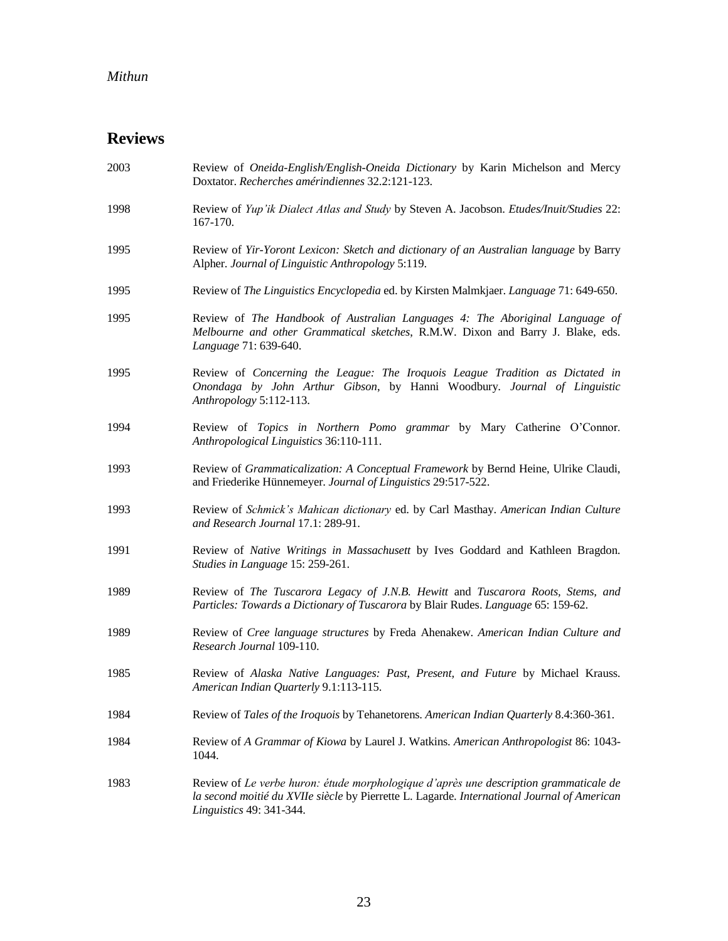## **Reviews**

| 2003 | Review of Oneida-English/English-Oneida Dictionary by Karin Michelson and Mercy<br>Doxtator. Recherches amérindiennes 32.2:121-123.                                                                              |
|------|------------------------------------------------------------------------------------------------------------------------------------------------------------------------------------------------------------------|
| 1998 | Review of Yup'ik Dialect Atlas and Study by Steven A. Jacobson. Etudes/Inuit/Studies 22:<br>167-170.                                                                                                             |
| 1995 | Review of Yir-Yoront Lexicon: Sketch and dictionary of an Australian language by Barry<br>Alpher. Journal of Linguistic Anthropology 5:119.                                                                      |
| 1995 | Review of The Linguistics Encyclopedia ed. by Kirsten Malmkjaer. Language 71: 649-650.                                                                                                                           |
| 1995 | Review of The Handbook of Australian Languages 4: The Aboriginal Language of<br>Melbourne and other Grammatical sketches, R.M.W. Dixon and Barry J. Blake, eds.<br>Language 71: 639-640.                         |
| 1995 | Review of Concerning the League: The Iroquois League Tradition as Dictated in<br>Onondaga by John Arthur Gibson, by Hanni Woodbury. Journal of Linguistic<br>Anthropology 5:112-113.                             |
| 1994 | Review of Topics in Northern Pomo grammar by Mary Catherine O'Connor.<br>Anthropological Linguistics 36:110-111.                                                                                                 |
| 1993 | Review of Grammaticalization: A Conceptual Framework by Bernd Heine, Ulrike Claudi,<br>and Friederike Hünnemeyer. Journal of Linguistics 29:517-522.                                                             |
| 1993 | Review of Schmick's Mahican dictionary ed. by Carl Masthay. American Indian Culture<br>and Research Journal 17.1: 289-91.                                                                                        |
| 1991 | Review of Native Writings in Massachusett by Ives Goddard and Kathleen Bragdon.<br>Studies in Language 15: 259-261.                                                                                              |
| 1989 | Review of The Tuscarora Legacy of J.N.B. Hewitt and Tuscarora Roots, Stems, and<br>Particles: Towards a Dictionary of Tuscarora by Blair Rudes. Language 65: 159-62.                                             |
| 1989 | Review of Cree language structures by Freda Ahenakew. American Indian Culture and<br>Research Journal 109-110.                                                                                                   |
| 1985 | Review of Alaska Native Languages: Past, Present, and Future by Michael Krauss.<br>American Indian Quarterly 9.1:113-115.                                                                                        |
| 1984 | Review of Tales of the Iroquois by Tehanetorens. American Indian Quarterly 8.4:360-361.                                                                                                                          |
| 1984 | Review of A Grammar of Kiowa by Laurel J. Watkins. American Anthropologist 86: 1043-<br>1044.                                                                                                                    |
| 1983 | Review of Le verbe huron: étude morphologique d'après une description grammaticale de<br>la second moitié du XVIIe siècle by Pierrette L. Lagarde. International Journal of American<br>Linguistics 49: 341-344. |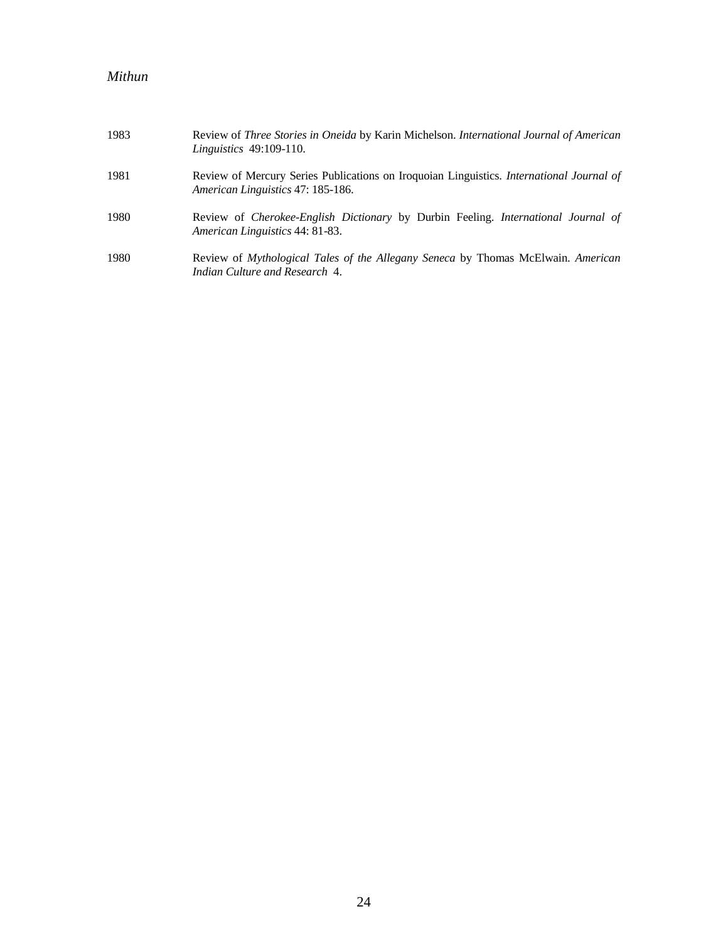| 1983 | Review of Three Stories in Oneida by Karin Michelson. International Journal of American<br><i>Linguistics</i> 49:109-110.          |
|------|------------------------------------------------------------------------------------------------------------------------------------|
| 1981 | Review of Mercury Series Publications on Iroquoian Linguistics. International Journal of<br>American Linguistics 47: 185-186.      |
| 1980 | Review of <i>Cherokee-English Dictionary</i> by Durbin Feeling. <i>International Journal of</i><br>American Linguistics 44: 81-83. |
| 1980 | Review of Mythological Tales of the Allegany Seneca by Thomas McElwain. American<br>Indian Culture and Research 4.                 |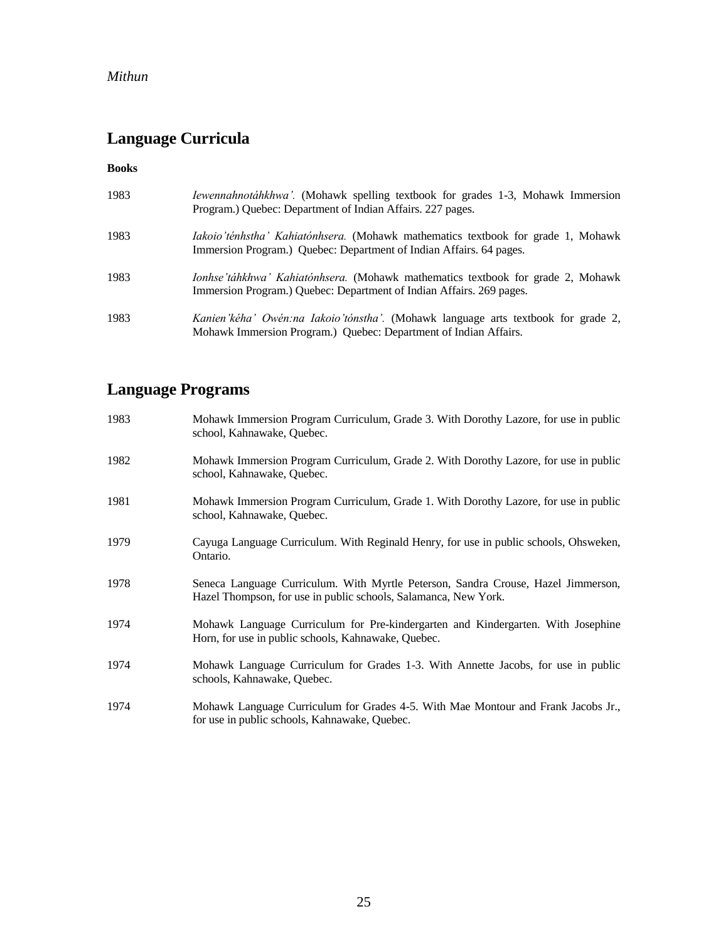# **Language Curricula**

#### **Books**

| 1983 | <i>Iewennahnotáhkhwa'</i> . (Mohawk spelling textbook for grades 1-3, Mohawk Immersion<br>Program.) Quebec: Department of Indian Affairs. 227 pages.            |
|------|-----------------------------------------------------------------------------------------------------------------------------------------------------------------|
| 1983 | Iakoio'ténhstha' Kahiatónhsera. (Mohawk mathematics textbook for grade 1, Mohawk<br>Immersion Program.) Quebec: Department of Indian Affairs. 64 pages.         |
| 1983 | <i>Ionhse 'táhkhwa' Kahiatónhsera.</i> (Mohawk mathematics textbook for grade 2, Mohawk<br>Immersion Program.) Quebec: Department of Indian Affairs. 269 pages. |
| 1983 | Kanien'kéha' Owén:na Iakoio'tónstha'. (Mohawk language arts textbook for grade 2,<br>Mohawk Immersion Program.) Quebec: Department of Indian Affairs.           |

# **Language Programs**

| 1983 | Mohawk Immersion Program Curriculum, Grade 3. With Dorothy Lazore, for use in public<br>school, Kahnawake, Quebec.                                   |
|------|------------------------------------------------------------------------------------------------------------------------------------------------------|
| 1982 | Mohawk Immersion Program Curriculum, Grade 2. With Dorothy Lazore, for use in public<br>school, Kahnawake, Quebec.                                   |
| 1981 | Mohawk Immersion Program Curriculum, Grade 1. With Dorothy Lazore, for use in public<br>school, Kahnawake, Quebec.                                   |
| 1979 | Cayuga Language Curriculum. With Reginald Henry, for use in public schools, Ohsweken,<br>Ontario.                                                    |
| 1978 | Seneca Language Curriculum. With Myrtle Peterson, Sandra Crouse, Hazel Jimmerson,<br>Hazel Thompson, for use in public schools, Salamanca, New York. |
| 1974 | Mohawk Language Curriculum for Pre-kindergarten and Kindergarten. With Josephine<br>Horn, for use in public schools, Kahnawake, Quebec.              |
| 1974 | Mohawk Language Curriculum for Grades 1-3. With Annette Jacobs, for use in public<br>schools, Kahnawake, Quebec.                                     |
| 1974 | Mohawk Language Curriculum for Grades 4-5. With Mae Montour and Frank Jacobs Jr.,<br>for use in public schools, Kahnawake, Quebec.                   |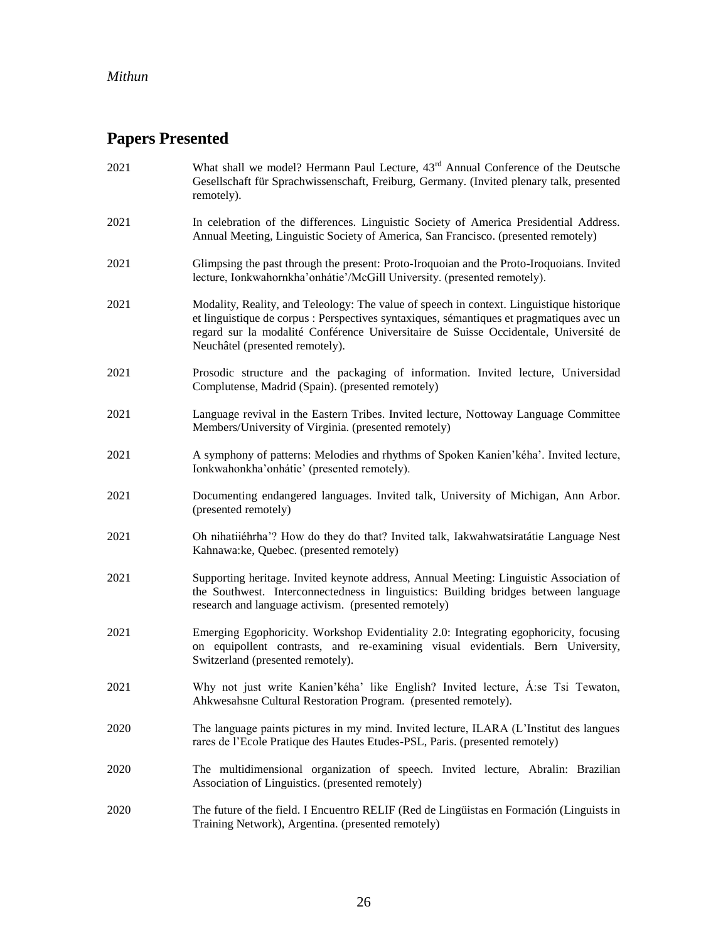# **Papers Presented**

| 2021 | What shall we model? Hermann Paul Lecture, 43 <sup>rd</sup> Annual Conference of the Deutsche<br>Gesellschaft für Sprachwissenschaft, Freiburg, Germany. (Invited plenary talk, presented<br>remotely).                                                                                                           |
|------|-------------------------------------------------------------------------------------------------------------------------------------------------------------------------------------------------------------------------------------------------------------------------------------------------------------------|
| 2021 | In celebration of the differences. Linguistic Society of America Presidential Address.<br>Annual Meeting, Linguistic Society of America, San Francisco. (presented remotely)                                                                                                                                      |
| 2021 | Glimpsing the past through the present: Proto-Iroquoian and the Proto-Iroquoians. Invited<br>lecture, Ionkwahornkha'onhátie'/McGill University. (presented remotely).                                                                                                                                             |
| 2021 | Modality, Reality, and Teleology: The value of speech in context. Linguistique historique<br>et linguistique de corpus : Perspectives syntaxiques, sémantiques et pragmatiques avec un<br>regard sur la modalité Conférence Universitaire de Suisse Occidentale, Université de<br>Neuchâtel (presented remotely). |
| 2021 | Prosodic structure and the packaging of information. Invited lecture, Universidad<br>Complutense, Madrid (Spain). (presented remotely)                                                                                                                                                                            |
| 2021 | Language revival in the Eastern Tribes. Invited lecture, Nottoway Language Committee<br>Members/University of Virginia. (presented remotely)                                                                                                                                                                      |
| 2021 | A symphony of patterns: Melodies and rhythms of Spoken Kanien'kéha'. Invited lecture,<br>Ionkwahonkha'onhátie' (presented remotely).                                                                                                                                                                              |
| 2021 | Documenting endangered languages. Invited talk, University of Michigan, Ann Arbor.<br>(presented remotely)                                                                                                                                                                                                        |
| 2021 | Oh nihatiiéhrha'? How do they do that? Invited talk, Iakwahwatsiratátie Language Nest<br>Kahnawa:ke, Quebec. (presented remotely)                                                                                                                                                                                 |
| 2021 | Supporting heritage. Invited keynote address, Annual Meeting: Linguistic Association of<br>the Southwest. Interconnectedness in linguistics: Building bridges between language<br>research and language activism. (presented remotely)                                                                            |
| 2021 | Emerging Egophoricity. Workshop Evidentiality 2.0: Integrating egophoricity, focusing<br>on equipollent contrasts, and re-examining visual evidentials. Bern University,<br>Switzerland (presented remotely).                                                                                                     |
| 2021 | Why not just write Kanien'kéha' like English? Invited lecture, Á:se Tsi Tewaton,<br>Ahkwesahsne Cultural Restoration Program. (presented remotely).                                                                                                                                                               |
| 2020 | The language paints pictures in my mind. Invited lecture, ILARA (L'Institut des langues<br>rares de l'Ecole Pratique des Hautes Etudes-PSL, Paris. (presented remotely)                                                                                                                                           |
| 2020 | The multidimensional organization of speech. Invited lecture, Abralin: Brazilian<br>Association of Linguistics. (presented remotely)                                                                                                                                                                              |
| 2020 | The future of the field. I Encuentro RELIF (Red de Lingüistas en Formación (Linguists in<br>Training Network), Argentina. (presented remotely)                                                                                                                                                                    |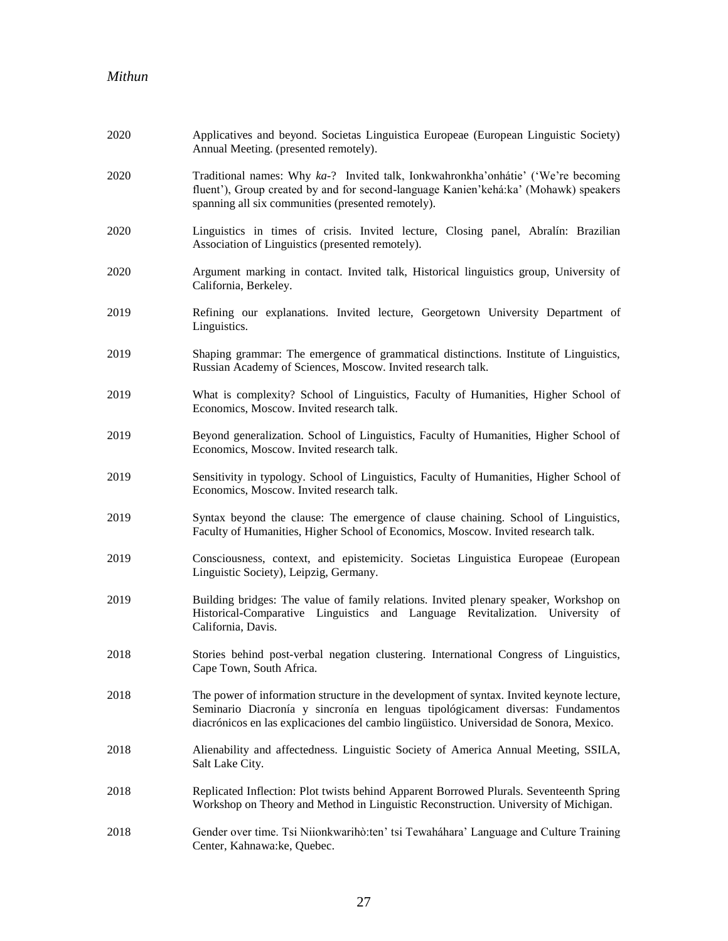| 2020 | Applicatives and beyond. Societas Linguistica Europeae (European Linguistic Society)<br>Annual Meeting. (presented remotely).                                                                                                                                           |
|------|-------------------------------------------------------------------------------------------------------------------------------------------------------------------------------------------------------------------------------------------------------------------------|
| 2020 | Traditional names: Why ka-? Invited talk, Ionkwahronkha'onhátie' ('We're becoming<br>fluent'), Group created by and for second-language Kanien'kehá:ka' (Mohawk) speakers<br>spanning all six communities (presented remotely).                                         |
| 2020 | Linguistics in times of crisis. Invited lecture, Closing panel, Abralín: Brazilian<br>Association of Linguistics (presented remotely).                                                                                                                                  |
| 2020 | Argument marking in contact. Invited talk, Historical linguistics group, University of<br>California, Berkeley.                                                                                                                                                         |
| 2019 | Refining our explanations. Invited lecture, Georgetown University Department of<br>Linguistics.                                                                                                                                                                         |
| 2019 | Shaping grammar: The emergence of grammatical distinctions. Institute of Linguistics,<br>Russian Academy of Sciences, Moscow. Invited research talk.                                                                                                                    |
| 2019 | What is complexity? School of Linguistics, Faculty of Humanities, Higher School of<br>Economics, Moscow. Invited research talk.                                                                                                                                         |
| 2019 | Beyond generalization. School of Linguistics, Faculty of Humanities, Higher School of<br>Economics, Moscow. Invited research talk.                                                                                                                                      |
| 2019 | Sensitivity in typology. School of Linguistics, Faculty of Humanities, Higher School of<br>Economics, Moscow. Invited research talk.                                                                                                                                    |
| 2019 | Syntax beyond the clause: The emergence of clause chaining. School of Linguistics,<br>Faculty of Humanities, Higher School of Economics, Moscow. Invited research talk.                                                                                                 |
| 2019 | Consciousness, context, and epistemicity. Societas Linguistica Europeae (European<br>Linguistic Society), Leipzig, Germany.                                                                                                                                             |
| 2019 | Building bridges: The value of family relations. Invited plenary speaker, Workshop on<br>Historical-Comparative Linguistics and Language Revitalization. University of<br>California, Davis.                                                                            |
| 2018 | Stories behind post-verbal negation clustering. International Congress of Linguistics,<br>Cape Town, South Africa.                                                                                                                                                      |
| 2018 | The power of information structure in the development of syntax. Invited keynote lecture,<br>Seminario Diacronía y sincronía en lenguas tipológicament diversas: Fundamentos<br>diacrónicos en las explicaciones del cambio lingüistico. Universidad de Sonora, Mexico. |
| 2018 | Alienability and affectedness. Linguistic Society of America Annual Meeting, SSILA,<br>Salt Lake City.                                                                                                                                                                  |
| 2018 | Replicated Inflection: Plot twists behind Apparent Borrowed Plurals. Seventeenth Spring<br>Workshop on Theory and Method in Linguistic Reconstruction. University of Michigan.                                                                                          |
| 2018 | Gender over time. Tsi Niionkwarihò: ten' tsi Tewaháhara' Language and Culture Training<br>Center, Kahnawa:ke, Quebec.                                                                                                                                                   |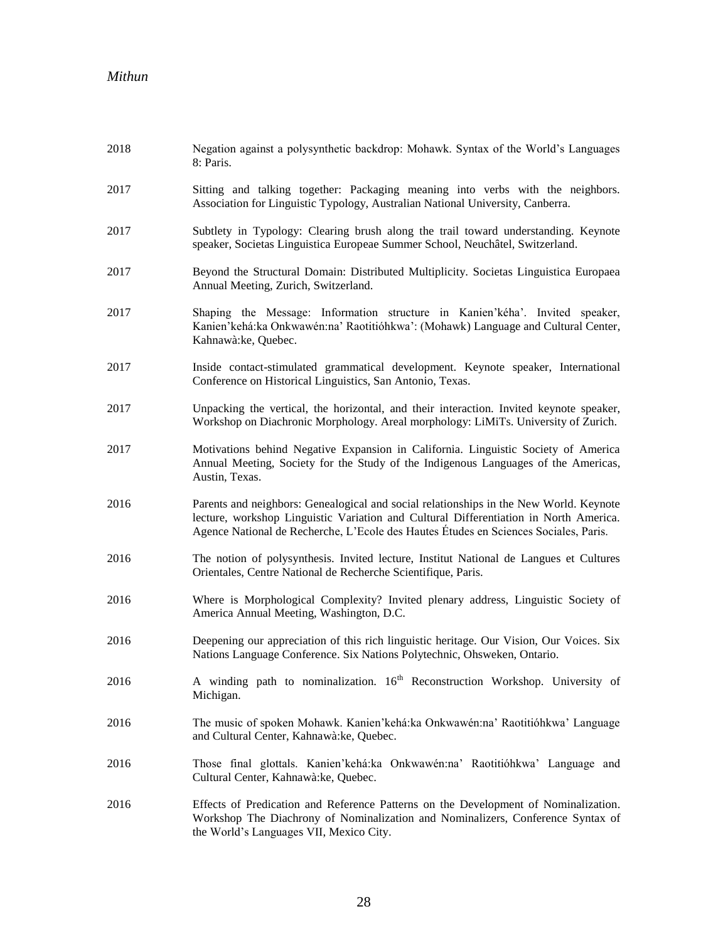| 2018 | Negation against a polysynthetic backdrop: Mohawk. Syntax of the World's Languages<br>8: Paris.                                                                                                                                                                         |
|------|-------------------------------------------------------------------------------------------------------------------------------------------------------------------------------------------------------------------------------------------------------------------------|
| 2017 | Sitting and talking together: Packaging meaning into verbs with the neighbors.<br>Association for Linguistic Typology, Australian National University, Canberra.                                                                                                        |
| 2017 | Subtlety in Typology: Clearing brush along the trail toward understanding. Keynote<br>speaker, Societas Linguistica Europeae Summer School, Neuchâtel, Switzerland.                                                                                                     |
| 2017 | Beyond the Structural Domain: Distributed Multiplicity. Societas Linguistica Europaea<br>Annual Meeting, Zurich, Switzerland.                                                                                                                                           |
| 2017 | Shaping the Message: Information structure in Kanien'kéha'. Invited speaker,<br>Kanien'kehá:ka Onkwawén:na' Raotitióhkwa': (Mohawk) Language and Cultural Center,<br>Kahnawà: ke, Quebec.                                                                               |
| 2017 | Inside contact-stimulated grammatical development. Keynote speaker, International<br>Conference on Historical Linguistics, San Antonio, Texas.                                                                                                                          |
| 2017 | Unpacking the vertical, the horizontal, and their interaction. Invited keynote speaker,<br>Workshop on Diachronic Morphology. Areal morphology: LiMiTs. University of Zurich.                                                                                           |
| 2017 | Motivations behind Negative Expansion in California. Linguistic Society of America<br>Annual Meeting, Society for the Study of the Indigenous Languages of the Americas,<br>Austin, Texas.                                                                              |
| 2016 | Parents and neighbors: Genealogical and social relationships in the New World. Keynote<br>lecture, workshop Linguistic Variation and Cultural Differentiation in North America.<br>Agence National de Recherche, L'Ecole des Hautes Études en Sciences Sociales, Paris. |
| 2016 | The notion of polysynthesis. Invited lecture, Institut National de Langues et Cultures<br>Orientales, Centre National de Recherche Scientifique, Paris.                                                                                                                 |
| 2016 | Where is Morphological Complexity? Invited plenary address, Linguistic Society of<br>America Annual Meeting, Washington, D.C.                                                                                                                                           |
| 2016 | Deepening our appreciation of this rich linguistic heritage. Our Vision, Our Voices. Six<br>Nations Language Conference. Six Nations Polytechnic, Ohsweken, Ontario.                                                                                                    |
| 2016 | A winding path to nominalization. 16 <sup>th</sup> Reconstruction Workshop. University of<br>Michigan.                                                                                                                                                                  |
| 2016 | The music of spoken Mohawk. Kanien'kehá:ka Onkwawén:na' Raotitióhkwa' Language<br>and Cultural Center, Kahnawà:ke, Quebec.                                                                                                                                              |
| 2016 | Those final glottals. Kanien'kehá:ka Onkwawén:na' Raotitióhkwa' Language and<br>Cultural Center, Kahnawà: ke, Quebec.                                                                                                                                                   |
| 2016 | Effects of Predication and Reference Patterns on the Development of Nominalization.<br>Workshop The Diachrony of Nominalization and Nominalizers, Conference Syntax of<br>the World's Languages VII, Mexico City.                                                       |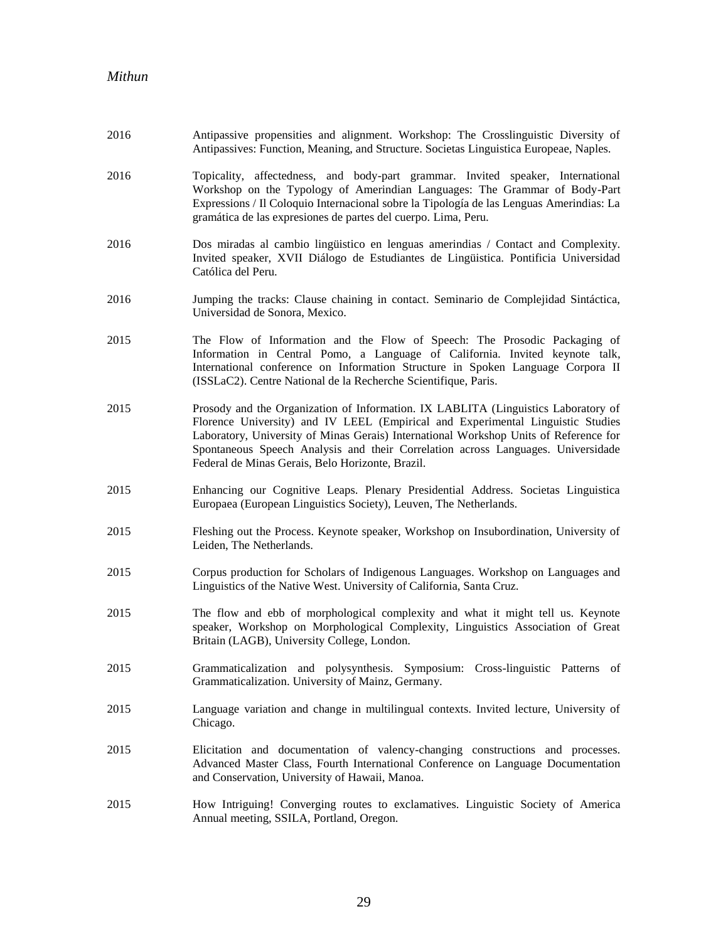| 2016 | Antipassive propensities and alignment. Workshop: The Crosslinguistic Diversity of<br>Antipassives: Function, Meaning, and Structure. Societas Linguistica Europeae, Naples.                                                                                                                                                                                                                           |
|------|--------------------------------------------------------------------------------------------------------------------------------------------------------------------------------------------------------------------------------------------------------------------------------------------------------------------------------------------------------------------------------------------------------|
| 2016 | Topicality, affectedness, and body-part grammar. Invited speaker, International<br>Workshop on the Typology of Amerindian Languages: The Grammar of Body-Part<br>Expressions / Il Coloquio Internacional sobre la Tipología de las Lenguas Amerindias: La<br>gramática de las expresiones de partes del cuerpo. Lima, Peru.                                                                            |
| 2016 | Dos miradas al cambio lingüístico en lenguas amerindias / Contact and Complexity.<br>Invited speaker, XVII Diálogo de Estudiantes de Lingüistica. Pontificia Universidad<br>Católica del Peru.                                                                                                                                                                                                         |
| 2016 | Jumping the tracks: Clause chaining in contact. Seminario de Complejidad Sintáctica,<br>Universidad de Sonora, Mexico.                                                                                                                                                                                                                                                                                 |
| 2015 | The Flow of Information and the Flow of Speech: The Prosodic Packaging of<br>Information in Central Pomo, a Language of California. Invited keynote talk,<br>International conference on Information Structure in Spoken Language Corpora II<br>(ISSLaC2). Centre National de la Recherche Scientifique, Paris.                                                                                        |
| 2015 | Prosody and the Organization of Information. IX LABLITA (Linguistics Laboratory of<br>Florence University) and IV LEEL (Empirical and Experimental Linguistic Studies<br>Laboratory, University of Minas Gerais) International Workshop Units of Reference for<br>Spontaneous Speech Analysis and their Correlation across Languages. Universidade<br>Federal de Minas Gerais, Belo Horizonte, Brazil. |
| 2015 | Enhancing our Cognitive Leaps. Plenary Presidential Address. Societas Linguistica<br>Europaea (European Linguistics Society), Leuven, The Netherlands.                                                                                                                                                                                                                                                 |
| 2015 | Fleshing out the Process. Keynote speaker, Workshop on Insubordination, University of<br>Leiden, The Netherlands.                                                                                                                                                                                                                                                                                      |
| 2015 | Corpus production for Scholars of Indigenous Languages. Workshop on Languages and<br>Linguistics of the Native West. University of California, Santa Cruz.                                                                                                                                                                                                                                             |
| 2015 | The flow and ebb of morphological complexity and what it might tell us. Keynote<br>speaker, Workshop on Morphological Complexity, Linguistics Association of Great<br>Britain (LAGB), University College, London.                                                                                                                                                                                      |
| 2015 | Grammaticalization and polysynthesis. Symposium: Cross-linguistic Patterns of<br>Grammaticalization. University of Mainz, Germany.                                                                                                                                                                                                                                                                     |
| 2015 | Language variation and change in multilingual contexts. Invited lecture, University of<br>Chicago.                                                                                                                                                                                                                                                                                                     |
| 2015 | Elicitation and documentation of valency-changing constructions and processes.<br>Advanced Master Class, Fourth International Conference on Language Documentation<br>and Conservation, University of Hawaii, Manoa.                                                                                                                                                                                   |
| 2015 | How Intriguing! Converging routes to exclamatives. Linguistic Society of America<br>Annual meeting, SSILA, Portland, Oregon.                                                                                                                                                                                                                                                                           |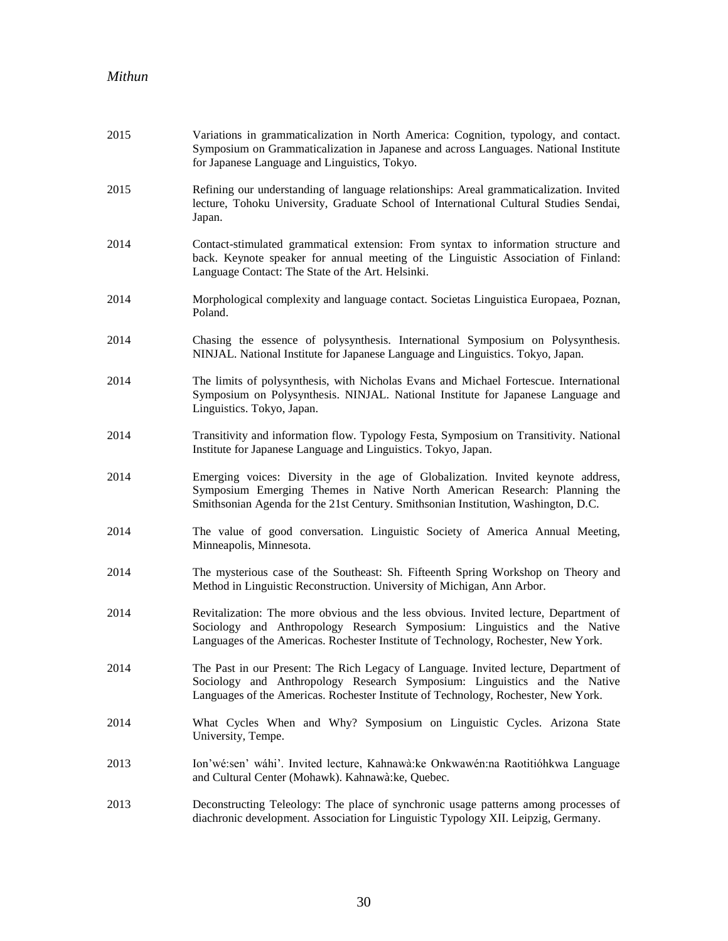| 2015 | Variations in grammaticalization in North America: Cognition, typology, and contact.<br>Symposium on Grammaticalization in Japanese and across Languages. National Institute<br>for Japanese Language and Linguistics, Tokyo.                            |
|------|----------------------------------------------------------------------------------------------------------------------------------------------------------------------------------------------------------------------------------------------------------|
| 2015 | Refining our understanding of language relationships: Areal grammaticalization. Invited<br>lecture, Tohoku University, Graduate School of International Cultural Studies Sendai,<br>Japan.                                                               |
| 2014 | Contact-stimulated grammatical extension: From syntax to information structure and<br>back. Keynote speaker for annual meeting of the Linguistic Association of Finland:<br>Language Contact: The State of the Art. Helsinki.                            |
| 2014 | Morphological complexity and language contact. Societas Linguistica Europaea, Poznan,<br>Poland.                                                                                                                                                         |
| 2014 | Chasing the essence of polysynthesis. International Symposium on Polysynthesis.<br>NINJAL. National Institute for Japanese Language and Linguistics. Tokyo, Japan.                                                                                       |
| 2014 | The limits of polysynthesis, with Nicholas Evans and Michael Fortescue. International<br>Symposium on Polysynthesis. NINJAL. National Institute for Japanese Language and<br>Linguistics. Tokyo, Japan.                                                  |
| 2014 | Transitivity and information flow. Typology Festa, Symposium on Transitivity. National<br>Institute for Japanese Language and Linguistics. Tokyo, Japan.                                                                                                 |
| 2014 | Emerging voices: Diversity in the age of Globalization. Invited keynote address,<br>Symposium Emerging Themes in Native North American Research: Planning the<br>Smithsonian Agenda for the 21st Century. Smithsonian Institution, Washington, D.C.      |
| 2014 | The value of good conversation. Linguistic Society of America Annual Meeting,<br>Minneapolis, Minnesota.                                                                                                                                                 |
| 2014 | The mysterious case of the Southeast: Sh. Fifteenth Spring Workshop on Theory and<br>Method in Linguistic Reconstruction. University of Michigan, Ann Arbor.                                                                                             |
| 2014 | Revitalization: The more obvious and the less obvious. Invited lecture, Department of<br>Sociology and Anthropology Research Symposium: Linguistics and the Native<br>Languages of the Americas. Rochester Institute of Technology, Rochester, New York. |
| 2014 | The Past in our Present: The Rich Legacy of Language. Invited lecture, Department of<br>Sociology and Anthropology Research Symposium: Linguistics and the Native<br>Languages of the Americas. Rochester Institute of Technology, Rochester, New York.  |
| 2014 | What Cycles When and Why? Symposium on Linguistic Cycles. Arizona State<br>University, Tempe.                                                                                                                                                            |
| 2013 | Ion'wé:sen' wáhi'. Invited lecture, Kahnawà:ke Onkwawén:na Raotitióhkwa Language<br>and Cultural Center (Mohawk). Kahnawà: ke, Quebec.                                                                                                                   |
| 2013 | Deconstructing Teleology: The place of synchronic usage patterns among processes of<br>diachronic development. Association for Linguistic Typology XII. Leipzig, Germany.                                                                                |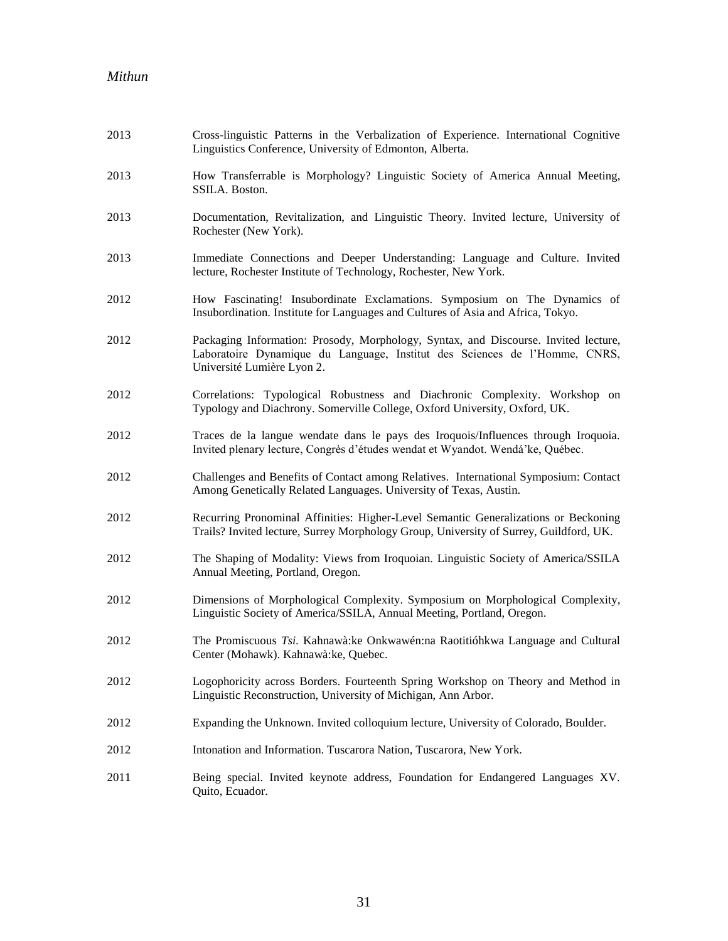| 2013 | Cross-linguistic Patterns in the Verbalization of Experience. International Cognitive<br>Linguistics Conference, University of Edmonton, Alberta.                                               |
|------|-------------------------------------------------------------------------------------------------------------------------------------------------------------------------------------------------|
| 2013 | How Transferrable is Morphology? Linguistic Society of America Annual Meeting,<br>SSILA. Boston.                                                                                                |
| 2013 | Documentation, Revitalization, and Linguistic Theory. Invited lecture, University of<br>Rochester (New York).                                                                                   |
| 2013 | Immediate Connections and Deeper Understanding: Language and Culture. Invited<br>lecture, Rochester Institute of Technology, Rochester, New York.                                               |
| 2012 | How Fascinating! Insubordinate Exclamations. Symposium on The Dynamics of<br>Insubordination. Institute for Languages and Cultures of Asia and Africa, Tokyo.                                   |
| 2012 | Packaging Information: Prosody, Morphology, Syntax, and Discourse. Invited lecture,<br>Laboratoire Dynamique du Language, Institut des Sciences de l'Homme, CNRS,<br>Université Lumière Lyon 2. |
| 2012 | Correlations: Typological Robustness and Diachronic Complexity. Workshop on<br>Typology and Diachrony. Somerville College, Oxford University, Oxford, UK.                                       |
| 2012 | Traces de la langue wendate dans le pays des Iroquois/Influences through Iroquoia.<br>Invited plenary lecture, Congrès d'études wendat et Wyandot. Wendá'ke, Québec.                            |
| 2012 | Challenges and Benefits of Contact among Relatives. International Symposium: Contact<br>Among Genetically Related Languages. University of Texas, Austin.                                       |
| 2012 | Recurring Pronominal Affinities: Higher-Level Semantic Generalizations or Beckoning<br>Trails? Invited lecture, Surrey Morphology Group, University of Surrey, Guildford, UK.                   |
| 2012 | The Shaping of Modality: Views from Iroquoian. Linguistic Society of America/SSILA<br>Annual Meeting, Portland, Oregon.                                                                         |
| 2012 | Dimensions of Morphological Complexity. Symposium on Morphological Complexity,<br>Linguistic Society of America/SSILA, Annual Meeting, Portland, Oregon.                                        |
| 2012 | The Promiscuous Tsi. Kahnawà: ke Onkwawén: na Raotitióhkwa Language and Cultural<br>Center (Mohawk). Kahnawà: ke, Quebec.                                                                       |
| 2012 | Logophoricity across Borders. Fourteenth Spring Workshop on Theory and Method in<br>Linguistic Reconstruction, University of Michigan, Ann Arbor.                                               |
| 2012 | Expanding the Unknown. Invited colloquium lecture, University of Colorado, Boulder.                                                                                                             |
| 2012 | Intonation and Information. Tuscarora Nation, Tuscarora, New York.                                                                                                                              |
| 2011 | Being special. Invited keynote address, Foundation for Endangered Languages XV.<br>Quito, Ecuador.                                                                                              |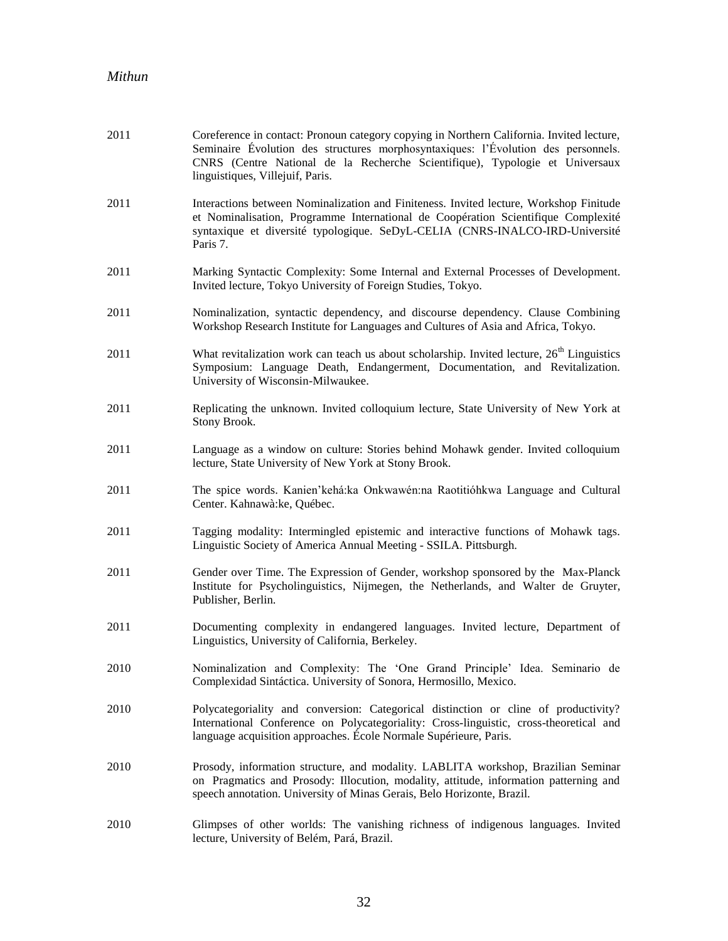| 2011 | Coreference in contact: Pronoun category copying in Northern California. Invited lecture,<br>Seminaire Évolution des structures morphosyntaxiques: l'Évolution des personnels.<br>CNRS (Centre National de la Recherche Scientifique), Typologie et Universaux<br>linguistiques, Villejuif, Paris. |
|------|----------------------------------------------------------------------------------------------------------------------------------------------------------------------------------------------------------------------------------------------------------------------------------------------------|
| 2011 | Interactions between Nominalization and Finiteness. Invited lecture, Workshop Finitude<br>et Nominalisation, Programme International de Coopération Scientifique Complexité<br>syntaxique et diversité typologique. SeDyL-CELIA (CNRS-INALCO-IRD-Université<br>Paris 7.                            |
| 2011 | Marking Syntactic Complexity: Some Internal and External Processes of Development.<br>Invited lecture, Tokyo University of Foreign Studies, Tokyo.                                                                                                                                                 |
| 2011 | Nominalization, syntactic dependency, and discourse dependency. Clause Combining<br>Workshop Research Institute for Languages and Cultures of Asia and Africa, Tokyo.                                                                                                                              |
| 2011 | What revitalization work can teach us about scholarship. Invited lecture, 26 <sup>th</sup> Linguistics<br>Symposium: Language Death, Endangerment, Documentation, and Revitalization.<br>University of Wisconsin-Milwaukee.                                                                        |
| 2011 | Replicating the unknown. Invited colloquium lecture, State University of New York at<br>Stony Brook.                                                                                                                                                                                               |
| 2011 | Language as a window on culture: Stories behind Mohawk gender. Invited colloquium<br>lecture, State University of New York at Stony Brook.                                                                                                                                                         |
| 2011 | The spice words. Kanien'kehá:ka Onkwawén:na Raotitióhkwa Language and Cultural<br>Center. Kahnawà: ke, Québec.                                                                                                                                                                                     |
| 2011 | Tagging modality: Intermingled epistemic and interactive functions of Mohawk tags.<br>Linguistic Society of America Annual Meeting - SSILA. Pittsburgh.                                                                                                                                            |
| 2011 | Gender over Time. The Expression of Gender, workshop sponsored by the Max-Planck<br>Institute for Psycholinguistics, Nijmegen, the Netherlands, and Walter de Gruyter,<br>Publisher, Berlin.                                                                                                       |
| 2011 | Documenting complexity in endangered languages. Invited lecture, Department of<br>Linguistics, University of California, Berkeley.                                                                                                                                                                 |
| 2010 | Nominalization and Complexity: The 'One Grand Principle' Idea. Seminario de<br>Complexidad Sintáctica. University of Sonora, Hermosillo, Mexico.                                                                                                                                                   |
| 2010 | Polycategoriality and conversion: Categorical distinction or cline of productivity?<br>International Conference on Polycategoriality: Cross-linguistic, cross-theoretical and<br>language acquisition approaches. École Normale Supérieure, Paris.                                                 |
| 2010 | Prosody, information structure, and modality. LABLITA workshop, Brazilian Seminar<br>on Pragmatics and Prosody: Illocution, modality, attitude, information patterning and<br>speech annotation. University of Minas Gerais, Belo Horizonte, Brazil.                                               |
| 2010 | Glimpses of other worlds: The vanishing richness of indigenous languages. Invited<br>lecture, University of Belém, Pará, Brazil.                                                                                                                                                                   |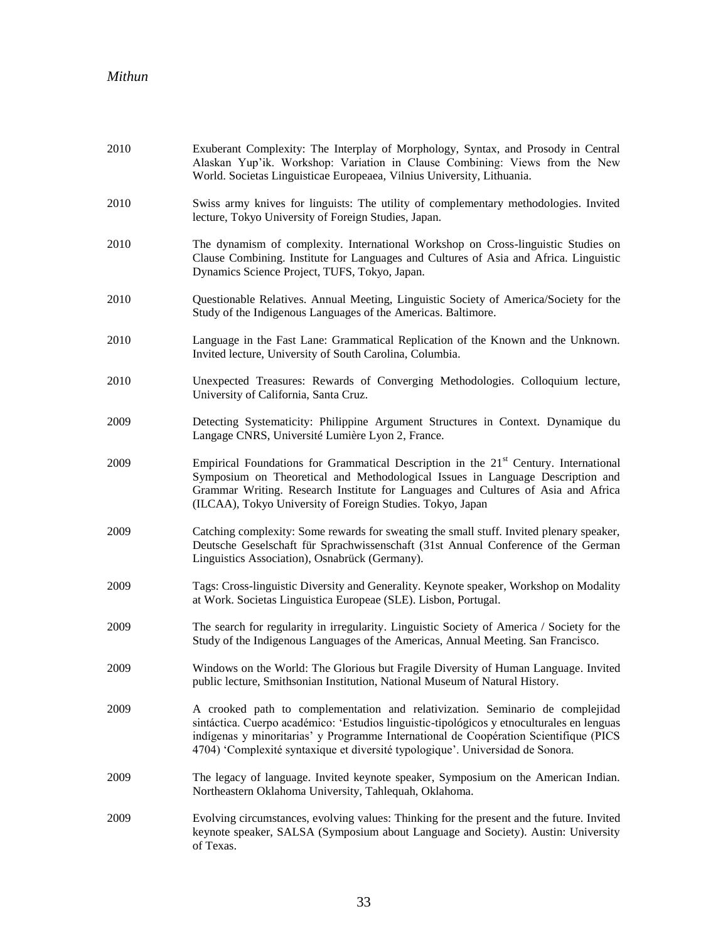| 2010 | Exuberant Complexity: The Interplay of Morphology, Syntax, and Prosody in Central<br>Alaskan Yup'ik. Workshop: Variation in Clause Combining: Views from the New<br>World. Societas Linguisticae Europeaea, Vilnius University, Lithuania.                                                                                                              |
|------|---------------------------------------------------------------------------------------------------------------------------------------------------------------------------------------------------------------------------------------------------------------------------------------------------------------------------------------------------------|
| 2010 | Swiss army knives for linguists: The utility of complementary methodologies. Invited<br>lecture, Tokyo University of Foreign Studies, Japan.                                                                                                                                                                                                            |
| 2010 | The dynamism of complexity. International Workshop on Cross-linguistic Studies on<br>Clause Combining. Institute for Languages and Cultures of Asia and Africa. Linguistic<br>Dynamics Science Project, TUFS, Tokyo, Japan.                                                                                                                             |
| 2010 | Questionable Relatives. Annual Meeting, Linguistic Society of America/Society for the<br>Study of the Indigenous Languages of the Americas. Baltimore.                                                                                                                                                                                                  |
| 2010 | Language in the Fast Lane: Grammatical Replication of the Known and the Unknown.<br>Invited lecture, University of South Carolina, Columbia.                                                                                                                                                                                                            |
| 2010 | Unexpected Treasures: Rewards of Converging Methodologies. Colloquium lecture,<br>University of California, Santa Cruz.                                                                                                                                                                                                                                 |
| 2009 | Detecting Systematicity: Philippine Argument Structures in Context. Dynamique du<br>Langage CNRS, Université Lumière Lyon 2, France.                                                                                                                                                                                                                    |
| 2009 | Empirical Foundations for Grammatical Description in the 21 <sup>st</sup> Century. International<br>Symposium on Theoretical and Methodological Issues in Language Description and<br>Grammar Writing. Research Institute for Languages and Cultures of Asia and Africa<br>(ILCAA), Tokyo University of Foreign Studies. Tokyo, Japan                   |
| 2009 | Catching complexity: Some rewards for sweating the small stuff. Invited plenary speaker,<br>Deutsche Geselschaft für Sprachwissenschaft (31st Annual Conference of the German<br>Linguistics Association), Osnabrück (Germany).                                                                                                                         |
| 2009 | Tags: Cross-linguistic Diversity and Generality. Keynote speaker, Workshop on Modality<br>at Work. Societas Linguistica Europeae (SLE). Lisbon, Portugal.                                                                                                                                                                                               |
| 2009 | The search for regularity in irregularity. Linguistic Society of America / Society for the<br>Study of the Indigenous Languages of the Americas, Annual Meeting. San Francisco.                                                                                                                                                                         |
| 2009 | Windows on the World: The Glorious but Fragile Diversity of Human Language. Invited<br>public lecture, Smithsonian Institution, National Museum of Natural History.                                                                                                                                                                                     |
| 2009 | A crooked path to complementation and relativization. Seminario de complejidad<br>sintáctica. Cuerpo académico: 'Estudios linguistic-tipológicos y etnoculturales en lenguas<br>indígenas y minoritarias' y Programme International de Coopération Scientifique (PICS<br>4704) 'Complexité syntaxique et diversité typologique'. Universidad de Sonora. |
| 2009 | The legacy of language. Invited keynote speaker, Symposium on the American Indian.<br>Northeastern Oklahoma University, Tahlequah, Oklahoma.                                                                                                                                                                                                            |
| 2009 | Evolving circumstances, evolving values: Thinking for the present and the future. Invited<br>keynote speaker, SALSA (Symposium about Language and Society). Austin: University<br>of Texas.                                                                                                                                                             |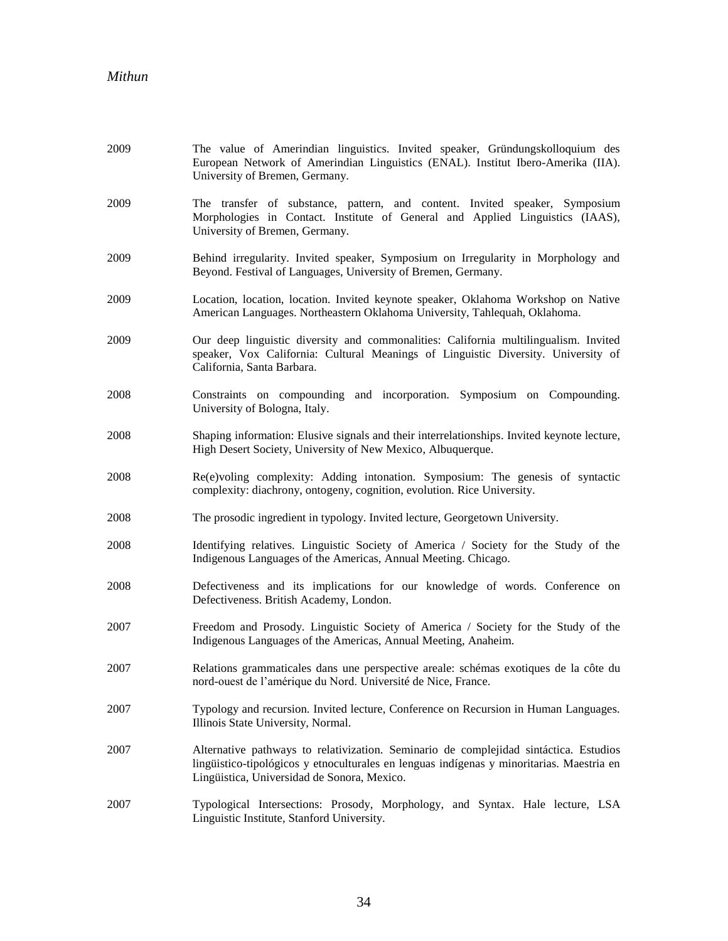| 2009 | The value of Amerindian linguistics. Invited speaker, Gründungskolloquium des<br>European Network of Amerindian Linguistics (ENAL). Institut Ibero-Amerika (IIA).<br>University of Bremen, Germany.                               |
|------|-----------------------------------------------------------------------------------------------------------------------------------------------------------------------------------------------------------------------------------|
| 2009 | The transfer of substance, pattern, and content. Invited speaker, Symposium<br>Morphologies in Contact. Institute of General and Applied Linguistics (IAAS),<br>University of Bremen, Germany.                                    |
| 2009 | Behind irregularity. Invited speaker, Symposium on Irregularity in Morphology and<br>Beyond. Festival of Languages, University of Bremen, Germany.                                                                                |
| 2009 | Location, location, location. Invited keynote speaker, Oklahoma Workshop on Native<br>American Languages. Northeastern Oklahoma University, Tahlequah, Oklahoma.                                                                  |
| 2009 | Our deep linguistic diversity and commonalities: California multilingualism. Invited<br>speaker, Vox California: Cultural Meanings of Linguistic Diversity. University of<br>California, Santa Barbara.                           |
| 2008 | Constraints on compounding and incorporation. Symposium on Compounding.<br>University of Bologna, Italy.                                                                                                                          |
| 2008 | Shaping information: Elusive signals and their interrelationships. Invited keynote lecture,<br>High Desert Society, University of New Mexico, Albuquerque.                                                                        |
| 2008 | Re(e)voling complexity: Adding intonation. Symposium: The genesis of syntactic<br>complexity: diachrony, ontogeny, cognition, evolution. Rice University.                                                                         |
| 2008 | The prosodic ingredient in typology. Invited lecture, Georgetown University.                                                                                                                                                      |
| 2008 | Identifying relatives. Linguistic Society of America / Society for the Study of the<br>Indigenous Languages of the Americas, Annual Meeting. Chicago.                                                                             |
| 2008 | Defectiveness and its implications for our knowledge of words. Conference on<br>Defectiveness. British Academy, London.                                                                                                           |
| 2007 | Freedom and Prosody. Linguistic Society of America / Society for the Study of the<br>Indigenous Languages of the Americas, Annual Meeting, Anaheim.                                                                               |
| 2007 | Relations grammaticales dans une perspective areale: schémas exotiques de la côte du<br>nord-ouest de l'amérique du Nord. Université de Nice, France.                                                                             |
| 2007 | Typology and recursion. Invited lecture, Conference on Recursion in Human Languages.<br>Illinois State University, Normal.                                                                                                        |
| 2007 | Alternative pathways to relativization. Seminario de complejidad sintáctica. Estudios<br>lingüistico-tipológicos y etnoculturales en lenguas indígenas y minoritarias. Maestria en<br>Lingüistica, Universidad de Sonora, Mexico. |
| 2007 | Typological Intersections: Prosody, Morphology, and Syntax. Hale lecture, LSA<br>Linguistic Institute, Stanford University.                                                                                                       |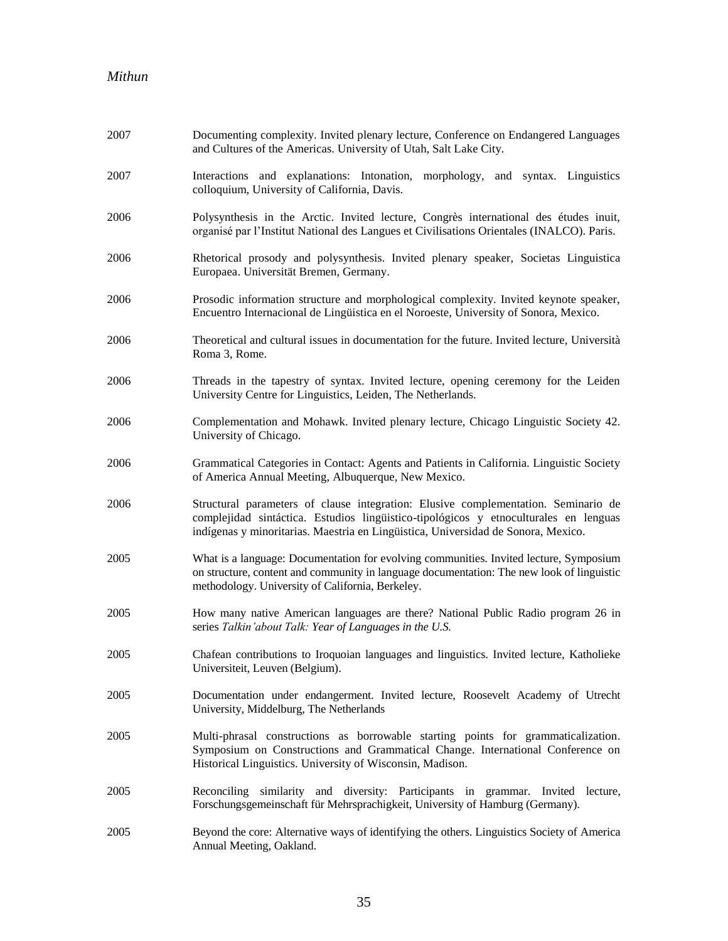| 2007 | Documenting complexity. Invited plenary lecture, Conference on Endangered Languages<br>and Cultures of the Americas. University of Utah, Salt Lake City.                                                                                                        |
|------|-----------------------------------------------------------------------------------------------------------------------------------------------------------------------------------------------------------------------------------------------------------------|
| 2007 | Interactions and explanations: Intonation, morphology, and syntax. Linguistics<br>colloquium, University of California, Davis.                                                                                                                                  |
| 2006 | Polysynthesis in the Arctic. Invited lecture, Congrès international des études inuit,<br>organisé par l'Institut National des Langues et Civilisations Orientales (INALCO). Paris.                                                                              |
| 2006 | Rhetorical prosody and polysynthesis. Invited plenary speaker, Societas Linguistica<br>Europaea. Universität Bremen, Germany.                                                                                                                                   |
| 2006 | Prosodic information structure and morphological complexity. Invited keynote speaker,<br>Encuentro Internacional de Lingüistica en el Noroeste, University of Sonora, Mexico.                                                                                   |
| 2006 | Theoretical and cultural issues in documentation for the future. Invited lecture, Università<br>Roma 3, Rome.                                                                                                                                                   |
| 2006 | Threads in the tapestry of syntax. Invited lecture, opening ceremony for the Leiden<br>University Centre for Linguistics, Leiden, The Netherlands.                                                                                                              |
| 2006 | Complementation and Mohawk. Invited plenary lecture, Chicago Linguistic Society 42.<br>University of Chicago.                                                                                                                                                   |
| 2006 | Grammatical Categories in Contact: Agents and Patients in California. Linguistic Society<br>of America Annual Meeting, Albuquerque, New Mexico.                                                                                                                 |
| 2006 | Structural parameters of clause integration: Elusive complementation. Seminario de<br>complejidad sintáctica. Estudios lingüistico-tipológicos y etnoculturales en lenguas<br>indígenas y minoritarias. Maestria en Lingüistica, Universidad de Sonora, Mexico. |
| 2005 | What is a language: Documentation for evolving communities. Invited lecture, Symposium<br>on structure, content and community in language documentation: The new look of linguistic<br>methodology. University of California, Berkeley.                         |
| 2005 | How many native American languages are there? National Public Radio program 26 in<br>series Talkin'about Talk: Year of Languages in the U.S.                                                                                                                    |
| 2005 | Chafean contributions to Iroquoian languages and linguistics. Invited lecture, Katholieke<br>Universiteit, Leuven (Belgium).                                                                                                                                    |
| 2005 | Documentation under endangerment. Invited lecture, Roosevelt Academy of Utrecht<br>University, Middelburg, The Netherlands                                                                                                                                      |
| 2005 | Multi-phrasal constructions as borrowable starting points for grammaticalization.<br>Symposium on Constructions and Grammatical Change. International Conference on<br>Historical Linguistics. University of Wisconsin, Madison.                                |
| 2005 | Reconciling similarity and diversity: Participants in grammar. Invited lecture,<br>Forschungsgemeinschaft für Mehrsprachigkeit, University of Hamburg (Germany).                                                                                                |
| 2005 | Beyond the core: Alternative ways of identifying the others. Linguistics Society of America<br>Annual Meeting, Oakland.                                                                                                                                         |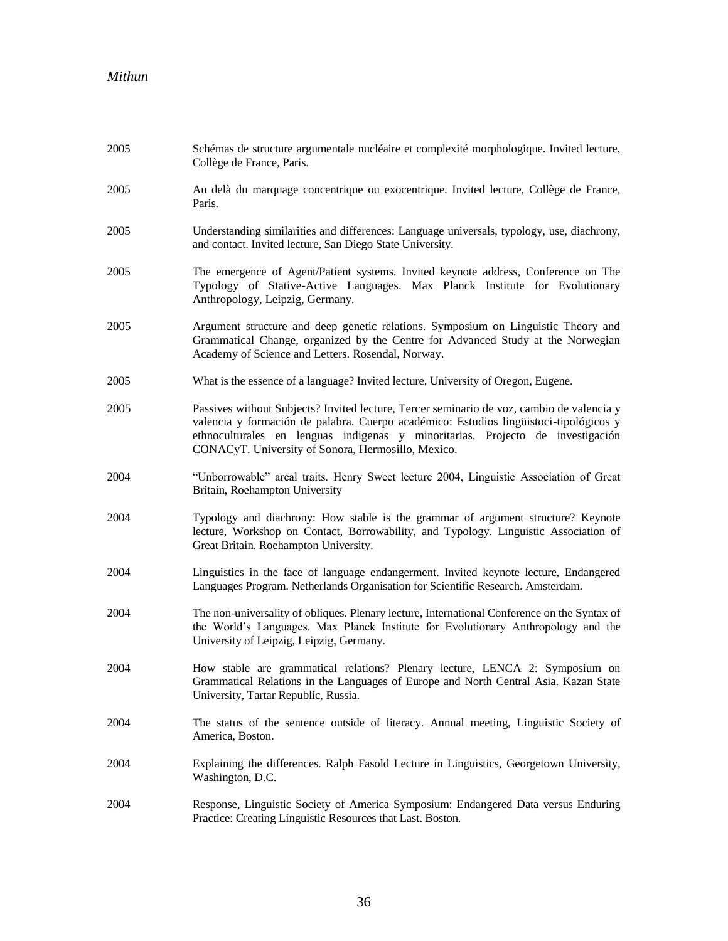| 2005 | Schémas de structure argumentale nucléaire et complexité morphologique. Invited lecture,<br>Collège de France, Paris.                                                                                                                                                                                                      |
|------|----------------------------------------------------------------------------------------------------------------------------------------------------------------------------------------------------------------------------------------------------------------------------------------------------------------------------|
| 2005 | Au delà du marquage concentrique ou exocentrique. Invited lecture, Collège de France,<br>Paris.                                                                                                                                                                                                                            |
| 2005 | Understanding similarities and differences: Language universals, typology, use, diachrony,<br>and contact. Invited lecture, San Diego State University.                                                                                                                                                                    |
| 2005 | The emergence of Agent/Patient systems. Invited keynote address, Conference on The<br>Typology of Stative-Active Languages. Max Planck Institute for Evolutionary<br>Anthropology, Leipzig, Germany.                                                                                                                       |
| 2005 | Argument structure and deep genetic relations. Symposium on Linguistic Theory and<br>Grammatical Change, organized by the Centre for Advanced Study at the Norwegian<br>Academy of Science and Letters. Rosendal, Norway.                                                                                                  |
| 2005 | What is the essence of a language? Invited lecture, University of Oregon, Eugene.                                                                                                                                                                                                                                          |
| 2005 | Passives without Subjects? Invited lecture, Tercer seminario de voz, cambio de valencia y<br>valencia y formación de palabra. Cuerpo académico: Estudios lingüistoci-tipológicos y<br>ethnoculturales en lenguas indigenas y minoritarias. Projecto de investigación<br>CONACyT. University of Sonora, Hermosillo, Mexico. |
| 2004 | "Unborrowable" areal traits. Henry Sweet lecture 2004, Linguistic Association of Great<br>Britain, Roehampton University                                                                                                                                                                                                   |
| 2004 | Typology and diachrony: How stable is the grammar of argument structure? Keynote<br>lecture, Workshop on Contact, Borrowability, and Typology. Linguistic Association of<br>Great Britain. Roehampton University.                                                                                                          |
| 2004 | Linguistics in the face of language endangerment. Invited keynote lecture, Endangered<br>Languages Program. Netherlands Organisation for Scientific Research. Amsterdam.                                                                                                                                                   |
| 2004 | The non-universality of obliques. Plenary lecture, International Conference on the Syntax of<br>the World's Languages. Max Planck Institute for Evolutionary Anthropology and the<br>University of Leipzig, Leipzig, Germany.                                                                                              |
| 2004 | How stable are grammatical relations? Plenary lecture, LENCA 2: Symposium on<br>Grammatical Relations in the Languages of Europe and North Central Asia. Kazan State<br>University, Tartar Republic, Russia.                                                                                                               |
| 2004 | The status of the sentence outside of literacy. Annual meeting, Linguistic Society of<br>America, Boston.                                                                                                                                                                                                                  |
| 2004 | Explaining the differences. Ralph Fasold Lecture in Linguistics, Georgetown University,<br>Washington, D.C.                                                                                                                                                                                                                |
| 2004 | Response, Linguistic Society of America Symposium: Endangered Data versus Enduring<br>Practice: Creating Linguistic Resources that Last. Boston.                                                                                                                                                                           |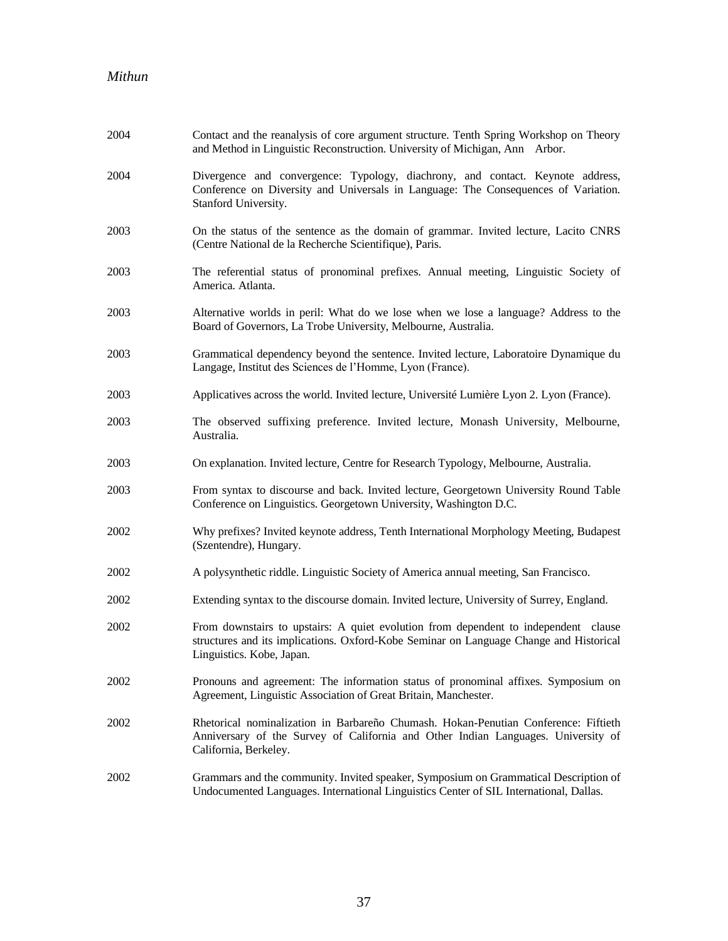| 2004 | Contact and the reanalysis of core argument structure. Tenth Spring Workshop on Theory<br>and Method in Linguistic Reconstruction. University of Michigan, Ann Arbor.                                      |
|------|------------------------------------------------------------------------------------------------------------------------------------------------------------------------------------------------------------|
| 2004 | Divergence and convergence: Typology, diachrony, and contact. Keynote address,<br>Conference on Diversity and Universals in Language: The Consequences of Variation.<br>Stanford University.               |
| 2003 | On the status of the sentence as the domain of grammar. Invited lecture, Lacito CNRS<br>(Centre National de la Recherche Scientifique), Paris.                                                             |
| 2003 | The referential status of pronominal prefixes. Annual meeting, Linguistic Society of<br>America. Atlanta.                                                                                                  |
| 2003 | Alternative worlds in peril: What do we lose when we lose a language? Address to the<br>Board of Governors, La Trobe University, Melbourne, Australia.                                                     |
| 2003 | Grammatical dependency beyond the sentence. Invited lecture, Laboratoire Dynamique du<br>Langage, Institut des Sciences de l'Homme, Lyon (France).                                                         |
| 2003 | Applicatives across the world. Invited lecture, Université Lumière Lyon 2. Lyon (France).                                                                                                                  |
| 2003 | The observed suffixing preference. Invited lecture, Monash University, Melbourne,<br>Australia.                                                                                                            |
| 2003 | On explanation. Invited lecture, Centre for Research Typology, Melbourne, Australia.                                                                                                                       |
| 2003 | From syntax to discourse and back. Invited lecture, Georgetown University Round Table<br>Conference on Linguistics. Georgetown University, Washington D.C.                                                 |
| 2002 | Why prefixes? Invited keynote address, Tenth International Morphology Meeting, Budapest<br>(Szentendre), Hungary.                                                                                          |
| 2002 | A polysynthetic riddle. Linguistic Society of America annual meeting, San Francisco.                                                                                                                       |
| 2002 | Extending syntax to the discourse domain. Invited lecture, University of Surrey, England.                                                                                                                  |
| 2002 | From downstairs to upstairs: A quiet evolution from dependent to independent clause<br>structures and its implications. Oxford-Kobe Seminar on Language Change and Historical<br>Linguistics. Kobe, Japan. |
| 2002 | Pronouns and agreement: The information status of pronominal affixes. Symposium on<br>Agreement, Linguistic Association of Great Britain, Manchester.                                                      |
| 2002 | Rhetorical nominalization in Barbareño Chumash. Hokan-Penutian Conference: Fiftieth<br>Anniversary of the Survey of California and Other Indian Languages. University of<br>California, Berkeley.          |
| 2002 | Grammars and the community. Invited speaker, Symposium on Grammatical Description of<br>Undocumented Languages. International Linguistics Center of SIL International, Dallas.                             |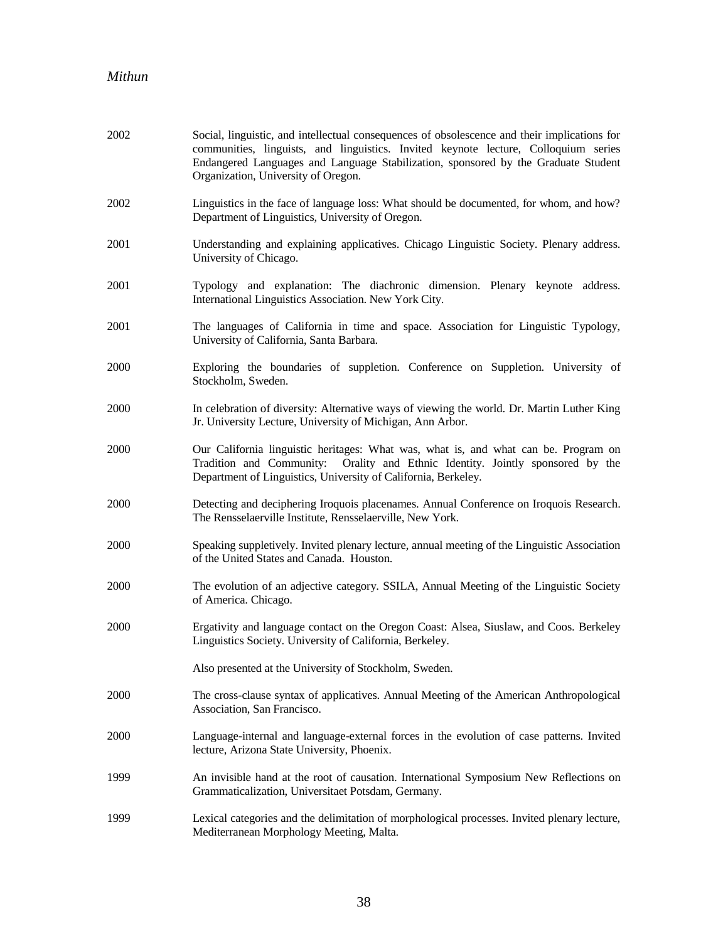| 2002 | Social, linguistic, and intellectual consequences of obsolescence and their implications for<br>communities, linguists, and linguistics. Invited keynote lecture, Colloquium series<br>Endangered Languages and Language Stabilization, sponsored by the Graduate Student<br>Organization, University of Oregon. |
|------|------------------------------------------------------------------------------------------------------------------------------------------------------------------------------------------------------------------------------------------------------------------------------------------------------------------|
| 2002 | Linguistics in the face of language loss: What should be documented, for whom, and how?<br>Department of Linguistics, University of Oregon.                                                                                                                                                                      |
| 2001 | Understanding and explaining applicatives. Chicago Linguistic Society. Plenary address.<br>University of Chicago.                                                                                                                                                                                                |
| 2001 | Typology and explanation: The diachronic dimension. Plenary keynote address.<br>International Linguistics Association. New York City.                                                                                                                                                                            |
| 2001 | The languages of California in time and space. Association for Linguistic Typology,<br>University of California, Santa Barbara.                                                                                                                                                                                  |
| 2000 | Exploring the boundaries of suppletion. Conference on Suppletion. University of<br>Stockholm, Sweden.                                                                                                                                                                                                            |
| 2000 | In celebration of diversity: Alternative ways of viewing the world. Dr. Martin Luther King<br>Jr. University Lecture, University of Michigan, Ann Arbor.                                                                                                                                                         |
| 2000 | Our California linguistic heritages: What was, what is, and what can be. Program on<br>Tradition and Community: Orality and Ethnic Identity. Jointly sponsored by the<br>Department of Linguistics, University of California, Berkeley.                                                                          |
| 2000 | Detecting and deciphering Iroquois placenames. Annual Conference on Iroquois Research.<br>The Rensselaerville Institute, Rensselaerville, New York.                                                                                                                                                              |
| 2000 | Speaking suppletively. Invited plenary lecture, annual meeting of the Linguistic Association<br>of the United States and Canada. Houston.                                                                                                                                                                        |
| 2000 | The evolution of an adjective category. SSILA, Annual Meeting of the Linguistic Society<br>of America. Chicago.                                                                                                                                                                                                  |
| 2000 | Ergativity and language contact on the Oregon Coast: Alsea, Siuslaw, and Coos. Berkeley<br>Linguistics Society. University of California, Berkeley.                                                                                                                                                              |
|      | Also presented at the University of Stockholm, Sweden.                                                                                                                                                                                                                                                           |
| 2000 | The cross-clause syntax of applicatives. Annual Meeting of the American Anthropological<br>Association, San Francisco.                                                                                                                                                                                           |
| 2000 | Language-internal and language-external forces in the evolution of case patterns. Invited<br>lecture, Arizona State University, Phoenix.                                                                                                                                                                         |
| 1999 | An invisible hand at the root of causation. International Symposium New Reflections on<br>Grammaticalization, Universitaet Potsdam, Germany.                                                                                                                                                                     |
| 1999 | Lexical categories and the delimitation of morphological processes. Invited plenary lecture,<br>Mediterranean Morphology Meeting, Malta.                                                                                                                                                                         |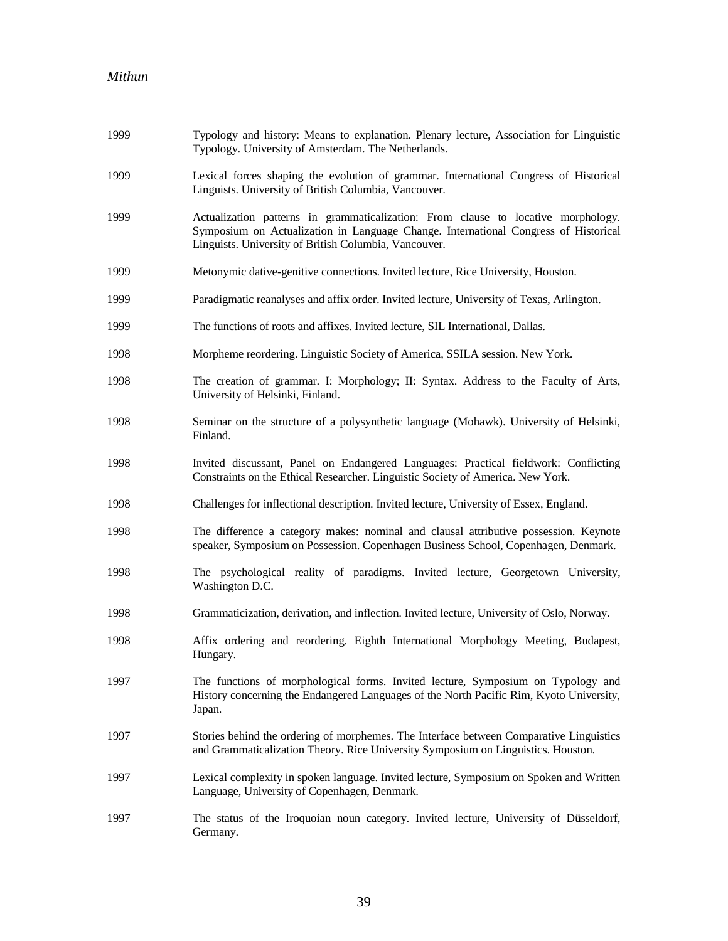| 1999 | Typology and history: Means to explanation. Plenary lecture, Association for Linguistic<br>Typology. University of Amsterdam. The Netherlands.                                                                                    |
|------|-----------------------------------------------------------------------------------------------------------------------------------------------------------------------------------------------------------------------------------|
| 1999 | Lexical forces shaping the evolution of grammar. International Congress of Historical<br>Linguists. University of British Columbia, Vancouver.                                                                                    |
| 1999 | Actualization patterns in grammaticalization: From clause to locative morphology.<br>Symposium on Actualization in Language Change. International Congress of Historical<br>Linguists. University of British Columbia, Vancouver. |
| 1999 | Metonymic dative-genitive connections. Invited lecture, Rice University, Houston.                                                                                                                                                 |
| 1999 | Paradigmatic reanalyses and affix order. Invited lecture, University of Texas, Arlington.                                                                                                                                         |
| 1999 | The functions of roots and affixes. Invited lecture, SIL International, Dallas.                                                                                                                                                   |
| 1998 | Morpheme reordering. Linguistic Society of America, SSILA session. New York.                                                                                                                                                      |
| 1998 | The creation of grammar. I: Morphology; II: Syntax. Address to the Faculty of Arts,<br>University of Helsinki, Finland.                                                                                                           |
| 1998 | Seminar on the structure of a polysynthetic language (Mohawk). University of Helsinki,<br>Finland.                                                                                                                                |
| 1998 | Invited discussant, Panel on Endangered Languages: Practical fieldwork: Conflicting<br>Constraints on the Ethical Researcher. Linguistic Society of America. New York.                                                            |
| 1998 | Challenges for inflectional description. Invited lecture, University of Essex, England.                                                                                                                                           |
| 1998 | The difference a category makes: nominal and clausal attributive possession. Keynote<br>speaker, Symposium on Possession. Copenhagen Business School, Copenhagen, Denmark.                                                        |
| 1998 | The psychological reality of paradigms. Invited lecture, Georgetown University,<br>Washington D.C.                                                                                                                                |
| 1998 | Grammaticization, derivation, and inflection. Invited lecture, University of Oslo, Norway.                                                                                                                                        |
| 1998 | Affix ordering and reordering. Eighth International Morphology Meeting, Budapest,<br>Hungary.                                                                                                                                     |
| 1997 | The functions of morphological forms. Invited lecture, Symposium on Typology and<br>History concerning the Endangered Languages of the North Pacific Rim, Kyoto University,<br>Japan.                                             |
| 1997 | Stories behind the ordering of morphemes. The Interface between Comparative Linguistics<br>and Grammaticalization Theory. Rice University Symposium on Linguistics. Houston.                                                      |
| 1997 | Lexical complexity in spoken language. Invited lecture, Symposium on Spoken and Written<br>Language, University of Copenhagen, Denmark.                                                                                           |
| 1997 | The status of the Iroquoian noun category. Invited lecture, University of Düsseldorf,<br>Germany.                                                                                                                                 |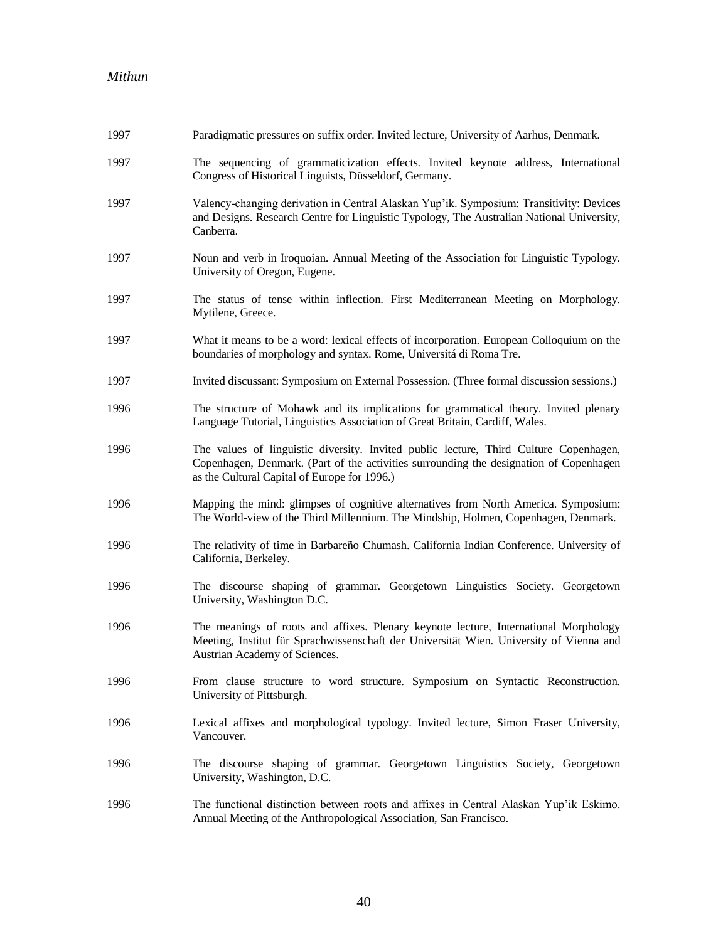| 1997 | Paradigmatic pressures on suffix order. Invited lecture, University of Aarhus, Denmark.                                                                                                                                         |
|------|---------------------------------------------------------------------------------------------------------------------------------------------------------------------------------------------------------------------------------|
| 1997 | The sequencing of grammaticization effects. Invited keynote address, International<br>Congress of Historical Linguists, Düsseldorf, Germany.                                                                                    |
| 1997 | Valency-changing derivation in Central Alaskan Yup'ik. Symposium: Transitivity: Devices<br>and Designs. Research Centre for Linguistic Typology, The Australian National University,<br>Canberra.                               |
| 1997 | Noun and verb in Iroquoian. Annual Meeting of the Association for Linguistic Typology.<br>University of Oregon, Eugene.                                                                                                         |
| 1997 | The status of tense within inflection. First Mediterranean Meeting on Morphology.<br>Mytilene, Greece.                                                                                                                          |
| 1997 | What it means to be a word: lexical effects of incorporation. European Colloquium on the<br>boundaries of morphology and syntax. Rome, Universitá di Roma Tre.                                                                  |
| 1997 | Invited discussant: Symposium on External Possession. (Three formal discussion sessions.)                                                                                                                                       |
| 1996 | The structure of Mohawk and its implications for grammatical theory. Invited plenary<br>Language Tutorial, Linguistics Association of Great Britain, Cardiff, Wales.                                                            |
| 1996 | The values of linguistic diversity. Invited public lecture, Third Culture Copenhagen,<br>Copenhagen, Denmark. (Part of the activities surrounding the designation of Copenhagen<br>as the Cultural Capital of Europe for 1996.) |
| 1996 | Mapping the mind: glimpses of cognitive alternatives from North America. Symposium:<br>The World-view of the Third Millennium. The Mindship, Holmen, Copenhagen, Denmark.                                                       |
| 1996 | The relativity of time in Barbareño Chumash. California Indian Conference. University of<br>California, Berkeley.                                                                                                               |
| 1996 | The discourse shaping of grammar. Georgetown Linguistics Society. Georgetown<br>University, Washington D.C.                                                                                                                     |
| 1996 | The meanings of roots and affixes. Plenary keynote lecture, International Morphology<br>Meeting, Institut für Sprachwissenschaft der Universität Wien. University of Vienna and<br>Austrian Academy of Sciences.                |
| 1996 | From clause structure to word structure. Symposium on Syntactic Reconstruction.<br>University of Pittsburgh.                                                                                                                    |
| 1996 | Lexical affixes and morphological typology. Invited lecture, Simon Fraser University,<br>Vancouver.                                                                                                                             |
| 1996 | The discourse shaping of grammar. Georgetown Linguistics Society, Georgetown<br>University, Washington, D.C.                                                                                                                    |
| 1996 | The functional distinction between roots and affixes in Central Alaskan Yup'ik Eskimo.<br>Annual Meeting of the Anthropological Association, San Francisco.                                                                     |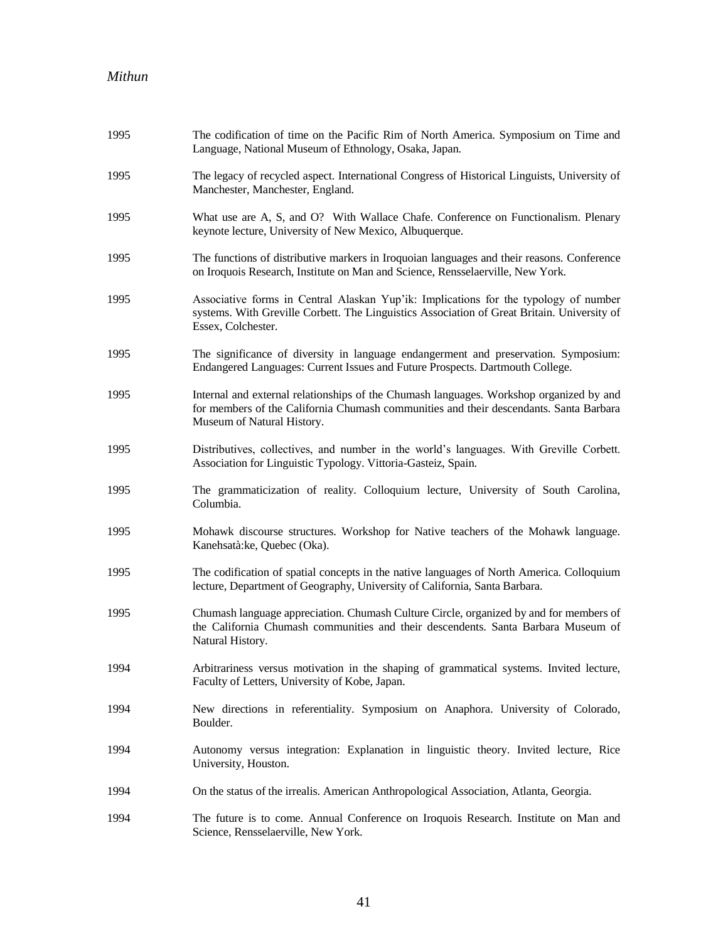| 1995 | The codification of time on the Pacific Rim of North America. Symposium on Time and<br>Language, National Museum of Ethnology, Osaka, Japan.                                                                    |
|------|-----------------------------------------------------------------------------------------------------------------------------------------------------------------------------------------------------------------|
| 1995 | The legacy of recycled aspect. International Congress of Historical Linguists, University of<br>Manchester, Manchester, England.                                                                                |
| 1995 | What use are A, S, and O? With Wallace Chafe. Conference on Functionalism. Plenary<br>keynote lecture, University of New Mexico, Albuquerque.                                                                   |
| 1995 | The functions of distributive markers in Iroquoian languages and their reasons. Conference<br>on Iroquois Research, Institute on Man and Science, Rensselaerville, New York.                                    |
| 1995 | Associative forms in Central Alaskan Yup'ik: Implications for the typology of number<br>systems. With Greville Corbett. The Linguistics Association of Great Britain. University of<br>Essex, Colchester.       |
| 1995 | The significance of diversity in language endangerment and preservation. Symposium:<br>Endangered Languages: Current Issues and Future Prospects. Dartmouth College.                                            |
| 1995 | Internal and external relationships of the Chumash languages. Workshop organized by and<br>for members of the California Chumash communities and their descendants. Santa Barbara<br>Museum of Natural History. |
| 1995 | Distributives, collectives, and number in the world's languages. With Greville Corbett.<br>Association for Linguistic Typology. Vittoria-Gasteiz, Spain.                                                        |
| 1995 | The grammaticization of reality. Colloquium lecture, University of South Carolina,<br>Columbia.                                                                                                                 |
| 1995 | Mohawk discourse structures. Workshop for Native teachers of the Mohawk language.<br>Kanehsatà: ke, Quebec (Oka).                                                                                               |
| 1995 | The codification of spatial concepts in the native languages of North America. Colloquium<br>lecture, Department of Geography, University of California, Santa Barbara.                                         |
| 1995 | Chumash language appreciation. Chumash Culture Circle, organized by and for members of<br>the California Chumash communities and their descendents. Santa Barbara Museum of<br>Natural History.                 |
| 1994 | Arbitrariness versus motivation in the shaping of grammatical systems. Invited lecture,<br>Faculty of Letters, University of Kobe, Japan.                                                                       |
| 1994 | New directions in referentiality. Symposium on Anaphora. University of Colorado,<br>Boulder.                                                                                                                    |
| 1994 | Autonomy versus integration: Explanation in linguistic theory. Invited lecture, Rice<br>University, Houston.                                                                                                    |
| 1994 | On the status of the irrealis. American Anthropological Association, Atlanta, Georgia.                                                                                                                          |
| 1994 | The future is to come. Annual Conference on Iroquois Research. Institute on Man and<br>Science, Rensselaerville, New York.                                                                                      |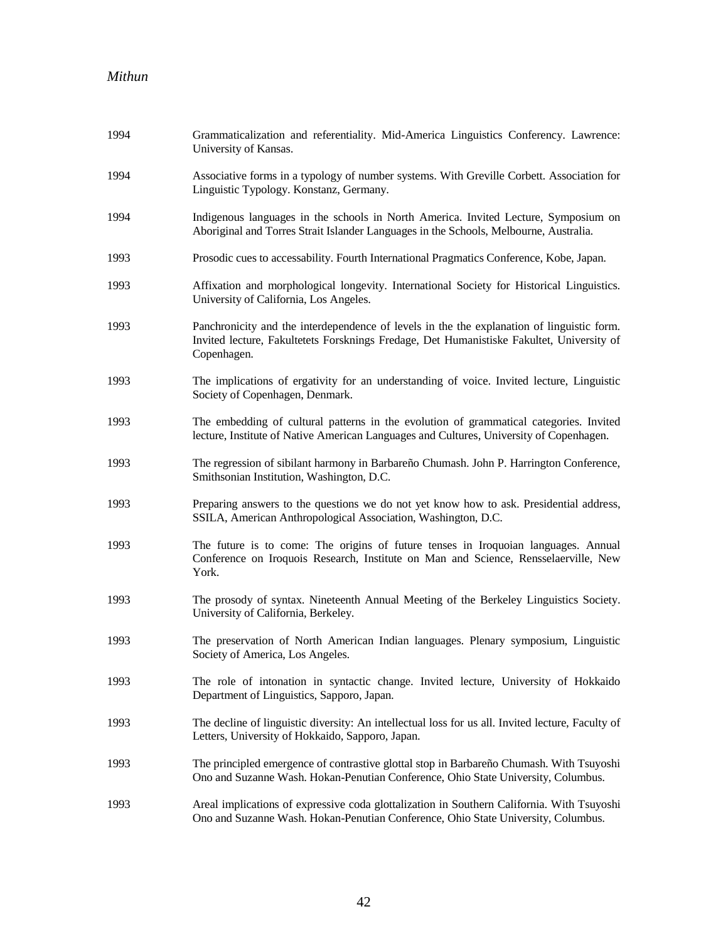| 1994 | Grammaticalization and referentiality. Mid-America Linguistics Conferency. Lawrence:<br>University of Kansas.                                                                                          |
|------|--------------------------------------------------------------------------------------------------------------------------------------------------------------------------------------------------------|
| 1994 | Associative forms in a typology of number systems. With Greville Corbett. Association for<br>Linguistic Typology. Konstanz, Germany.                                                                   |
| 1994 | Indigenous languages in the schools in North America. Invited Lecture, Symposium on<br>Aboriginal and Torres Strait Islander Languages in the Schools, Melbourne, Australia.                           |
| 1993 | Prosodic cues to accessability. Fourth International Pragmatics Conference, Kobe, Japan.                                                                                                               |
| 1993 | Affixation and morphological longevity. International Society for Historical Linguistics.<br>University of California, Los Angeles.                                                                    |
| 1993 | Panchronicity and the interdependence of levels in the the explanation of linguistic form.<br>Invited lecture, Fakultetets Forsknings Fredage, Det Humanistiske Fakultet, University of<br>Copenhagen. |
| 1993 | The implications of ergativity for an understanding of voice. Invited lecture, Linguistic<br>Society of Copenhagen, Denmark.                                                                           |
| 1993 | The embedding of cultural patterns in the evolution of grammatical categories. Invited<br>lecture, Institute of Native American Languages and Cultures, University of Copenhagen.                      |
| 1993 | The regression of sibilant harmony in Barbareño Chumash. John P. Harrington Conference,<br>Smithsonian Institution, Washington, D.C.                                                                   |
| 1993 | Preparing answers to the questions we do not yet know how to ask. Presidential address,<br>SSILA, American Anthropological Association, Washington, D.C.                                               |
| 1993 | The future is to come: The origins of future tenses in Iroquoian languages. Annual<br>Conference on Iroquois Research, Institute on Man and Science, Rensselaerville, New<br>York.                     |
| 1993 | The prosody of syntax. Nineteenth Annual Meeting of the Berkeley Linguistics Society.<br>University of California, Berkeley.                                                                           |
| 1993 | The preservation of North American Indian languages. Plenary symposium, Linguistic<br>Society of America, Los Angeles.                                                                                 |
| 1993 | The role of intonation in syntactic change. Invited lecture, University of Hokkaido<br>Department of Linguistics, Sapporo, Japan.                                                                      |
| 1993 | The decline of linguistic diversity: An intellectual loss for us all. Invited lecture, Faculty of<br>Letters, University of Hokkaido, Sapporo, Japan.                                                  |
| 1993 | The principled emergence of contrastive glottal stop in Barbareño Chumash. With Tsuyoshi<br>Ono and Suzanne Wash. Hokan-Penutian Conference, Ohio State University, Columbus.                          |
| 1993 | Areal implications of expressive coda glottalization in Southern California. With Tsuyoshi<br>Ono and Suzanne Wash. Hokan-Penutian Conference, Ohio State University, Columbus.                        |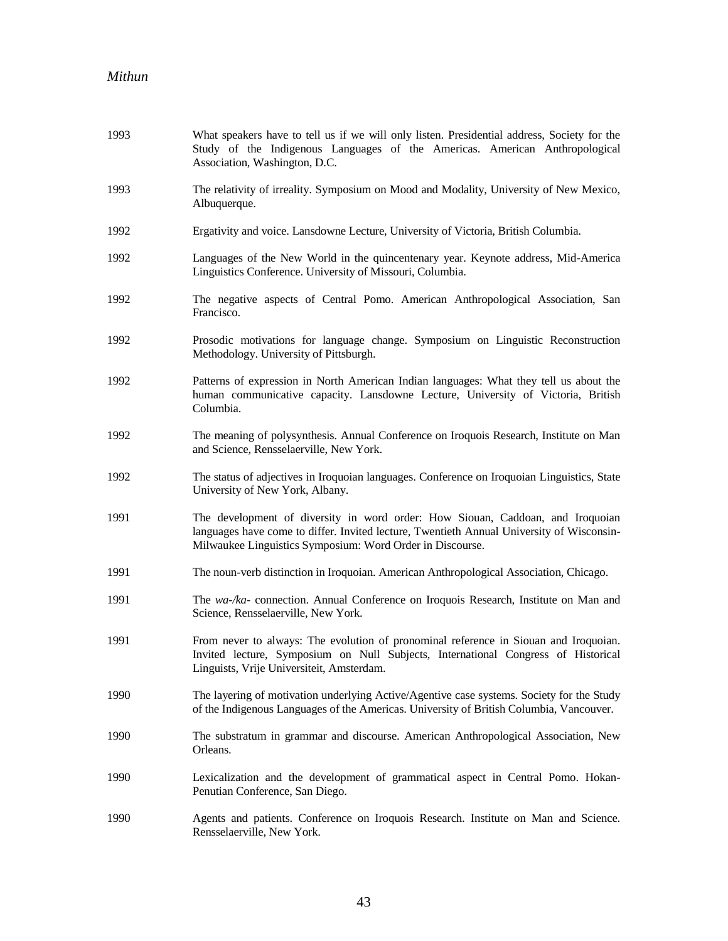| 1993 | What speakers have to tell us if we will only listen. Presidential address, Society for the<br>Study of the Indigenous Languages of the Americas. American Anthropological<br>Association, Washington, D.C.                              |
|------|------------------------------------------------------------------------------------------------------------------------------------------------------------------------------------------------------------------------------------------|
| 1993 | The relativity of irreality. Symposium on Mood and Modality, University of New Mexico,<br>Albuquerque.                                                                                                                                   |
| 1992 | Ergativity and voice. Lansdowne Lecture, University of Victoria, British Columbia.                                                                                                                                                       |
| 1992 | Languages of the New World in the quincentenary year. Keynote address, Mid-America<br>Linguistics Conference. University of Missouri, Columbia.                                                                                          |
| 1992 | The negative aspects of Central Pomo. American Anthropological Association, San<br>Francisco.                                                                                                                                            |
| 1992 | Prosodic motivations for language change. Symposium on Linguistic Reconstruction<br>Methodology. University of Pittsburgh.                                                                                                               |
| 1992 | Patterns of expression in North American Indian languages: What they tell us about the<br>human communicative capacity. Lansdowne Lecture, University of Victoria, British<br>Columbia.                                                  |
| 1992 | The meaning of polysynthesis. Annual Conference on Iroquois Research, Institute on Man<br>and Science, Rensselaerville, New York.                                                                                                        |
| 1992 | The status of adjectives in Iroquoian languages. Conference on Iroquoian Linguistics, State<br>University of New York, Albany.                                                                                                           |
| 1991 | The development of diversity in word order: How Siouan, Caddoan, and Iroquoian<br>languages have come to differ. Invited lecture, Twentieth Annual University of Wisconsin-<br>Milwaukee Linguistics Symposium: Word Order in Discourse. |
| 1991 | The noun-verb distinction in Iroquoian. American Anthropological Association, Chicago.                                                                                                                                                   |
| 1991 | The wa-/ka- connection. Annual Conference on Iroquois Research, Institute on Man and<br>Science, Rensselaerville, New York.                                                                                                              |
| 1991 | From never to always: The evolution of pronominal reference in Siouan and Iroquoian.<br>Invited lecture, Symposium on Null Subjects, International Congress of Historical<br>Linguists, Vrije Universiteit, Amsterdam.                   |
| 1990 | The layering of motivation underlying Active/Agentive case systems. Society for the Study<br>of the Indigenous Languages of the Americas. University of British Columbia, Vancouver.                                                     |
| 1990 | The substratum in grammar and discourse. American Anthropological Association, New<br>Orleans.                                                                                                                                           |
| 1990 | Lexicalization and the development of grammatical aspect in Central Pomo. Hokan-<br>Penutian Conference, San Diego.                                                                                                                      |
| 1990 | Agents and patients. Conference on Iroquois Research. Institute on Man and Science.<br>Rensselaerville, New York.                                                                                                                        |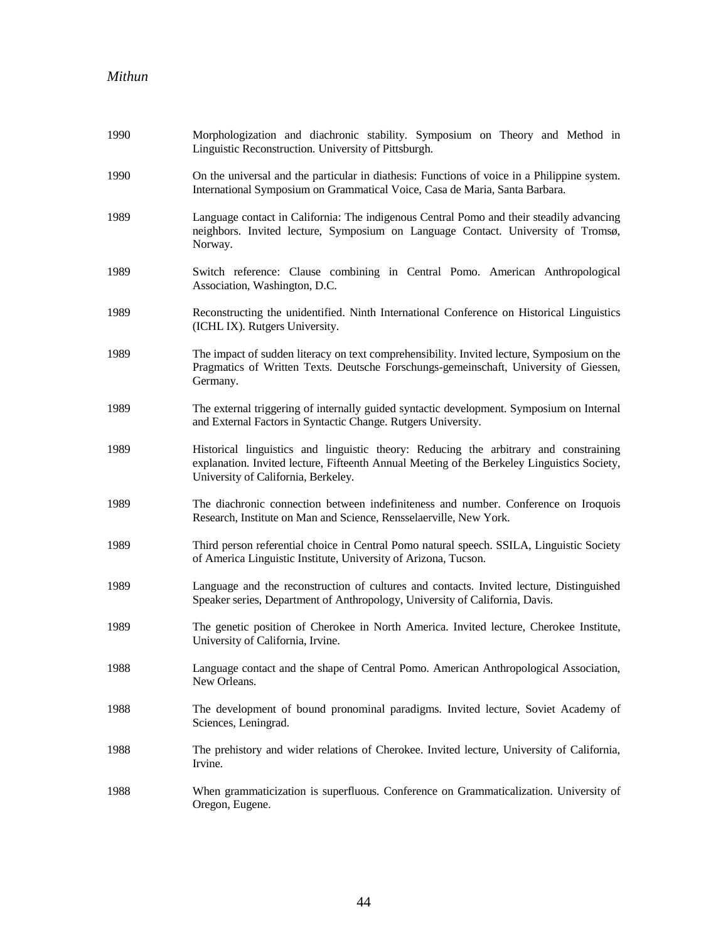| 1990 | Morphologization and diachronic stability. Symposium on Theory and Method in<br>Linguistic Reconstruction. University of Pittsburgh.                                                                                        |
|------|-----------------------------------------------------------------------------------------------------------------------------------------------------------------------------------------------------------------------------|
| 1990 | On the universal and the particular in diathesis: Functions of voice in a Philippine system.<br>International Symposium on Grammatical Voice, Casa de Maria, Santa Barbara.                                                 |
| 1989 | Language contact in California: The indigenous Central Pomo and their steadily advancing<br>neighbors. Invited lecture, Symposium on Language Contact. University of Tromsø,<br>Norway.                                     |
| 1989 | Switch reference: Clause combining in Central Pomo. American Anthropological<br>Association, Washington, D.C.                                                                                                               |
| 1989 | Reconstructing the unidentified. Ninth International Conference on Historical Linguistics<br>(ICHL IX). Rutgers University.                                                                                                 |
| 1989 | The impact of sudden literacy on text comprehensibility. Invited lecture, Symposium on the<br>Pragmatics of Written Texts. Deutsche Forschungs-gemeinschaft, University of Giessen,<br>Germany.                             |
| 1989 | The external triggering of internally guided syntactic development. Symposium on Internal<br>and External Factors in Syntactic Change. Rutgers University.                                                                  |
| 1989 | Historical linguistics and linguistic theory: Reducing the arbitrary and constraining<br>explanation. Invited lecture, Fifteenth Annual Meeting of the Berkeley Linguistics Society,<br>University of California, Berkeley. |
| 1989 | The diachronic connection between indefiniteness and number. Conference on Iroquois<br>Research, Institute on Man and Science, Rensselaerville, New York.                                                                   |
| 1989 | Third person referential choice in Central Pomo natural speech. SSILA, Linguistic Society<br>of America Linguistic Institute, University of Arizona, Tucson.                                                                |
| 1989 | Language and the reconstruction of cultures and contacts. Invited lecture, Distinguished<br>Speaker series, Department of Anthropology, University of California, Davis.                                                    |
| 1989 | The genetic position of Cherokee in North America. Invited lecture, Cherokee Institute,<br>University of California, Irvine.                                                                                                |
| 1988 | Language contact and the shape of Central Pomo. American Anthropological Association,<br>New Orleans.                                                                                                                       |
| 1988 | The development of bound pronominal paradigms. Invited lecture, Soviet Academy of<br>Sciences, Leningrad.                                                                                                                   |
| 1988 | The prehistory and wider relations of Cherokee. Invited lecture, University of California,<br>Irvine.                                                                                                                       |
| 1988 | When grammaticization is superfluous. Conference on Grammaticalization. University of<br>Oregon, Eugene.                                                                                                                    |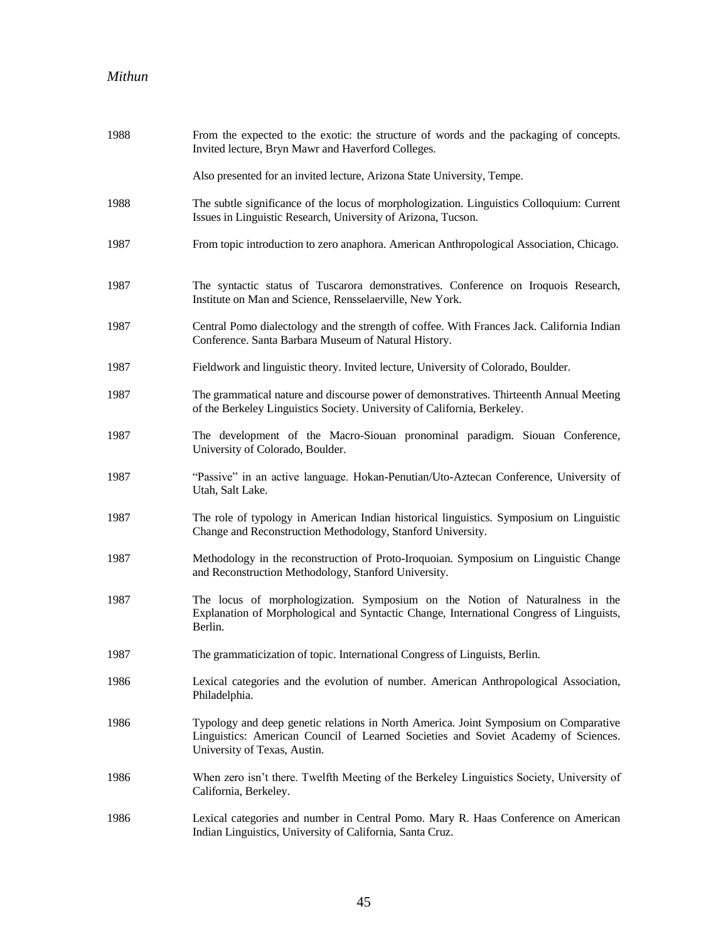| 1988 | From the expected to the exotic: the structure of words and the packaging of concepts.<br>Invited lecture, Bryn Mawr and Haverford Colleges.                                                               |
|------|------------------------------------------------------------------------------------------------------------------------------------------------------------------------------------------------------------|
|      | Also presented for an invited lecture, Arizona State University, Tempe.                                                                                                                                    |
| 1988 | The subtle significance of the locus of morphologization. Linguistics Colloquium: Current<br>Issues in Linguistic Research, University of Arizona, Tucson.                                                 |
| 1987 | From topic introduction to zero anaphora. American Anthropological Association, Chicago.                                                                                                                   |
| 1987 | The syntactic status of Tuscarora demonstratives. Conference on Iroquois Research,<br>Institute on Man and Science, Rensselaerville, New York.                                                             |
| 1987 | Central Pomo dialectology and the strength of coffee. With Frances Jack. California Indian<br>Conference. Santa Barbara Museum of Natural History.                                                         |
| 1987 | Fieldwork and linguistic theory. Invited lecture, University of Colorado, Boulder.                                                                                                                         |
| 1987 | The grammatical nature and discourse power of demonstratives. Thirteenth Annual Meeting<br>of the Berkeley Linguistics Society. University of California, Berkeley.                                        |
| 1987 | The development of the Macro-Siouan pronominal paradigm. Siouan Conference,<br>University of Colorado, Boulder.                                                                                            |
| 1987 | "Passive" in an active language. Hokan-Penutian/Uto-Aztecan Conference, University of<br>Utah, Salt Lake.                                                                                                  |
| 1987 | The role of typology in American Indian historical linguistics. Symposium on Linguistic<br>Change and Reconstruction Methodology, Stanford University.                                                     |
| 1987 | Methodology in the reconstruction of Proto-Iroquoian. Symposium on Linguistic Change<br>and Reconstruction Methodology, Stanford University.                                                               |
| 1987 | The locus of morphologization. Symposium on the Notion of Naturalness in the<br>Explanation of Morphological and Syntactic Change, International Congress of Linguists,<br>Berlin.                         |
| 1987 | The grammaticization of topic. International Congress of Linguists, Berlin.                                                                                                                                |
| 1986 | Lexical categories and the evolution of number. American Anthropological Association,<br>Philadelphia.                                                                                                     |
| 1986 | Typology and deep genetic relations in North America. Joint Symposium on Comparative<br>Linguistics: American Council of Learned Societies and Soviet Academy of Sciences.<br>University of Texas, Austin. |
| 1986 | When zero isn't there. Twelfth Meeting of the Berkeley Linguistics Society, University of<br>California, Berkeley.                                                                                         |
| 1986 | Lexical categories and number in Central Pomo. Mary R. Haas Conference on American<br>Indian Linguistics, University of California, Santa Cruz.                                                            |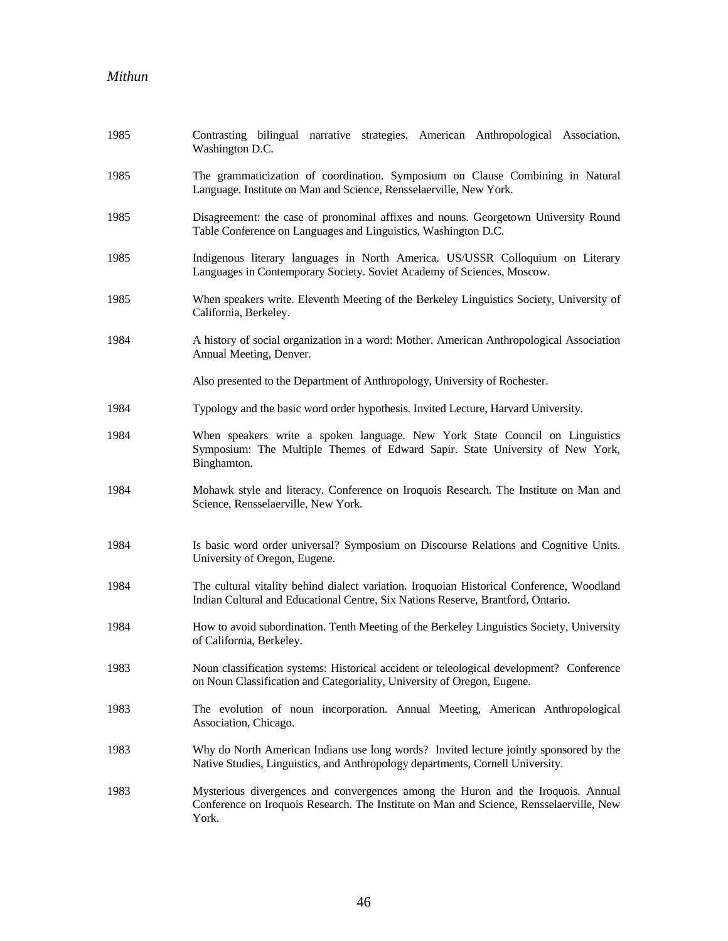| 1985 | Contrasting bilingual narrative strategies. American Anthropological Association,<br>Washington D.C.                                                                                 |
|------|--------------------------------------------------------------------------------------------------------------------------------------------------------------------------------------|
| 1985 | The grammaticization of coordination. Symposium on Clause Combining in Natural<br>Language. Institute on Man and Science, Rensselaerville, New York.                                 |
| 1985 | Disagreement: the case of pronominal affixes and nouns. Georgetown University Round<br>Table Conference on Languages and Linguistics, Washington D.C.                                |
| 1985 | Indigenous literary languages in North America. US/USSR Colloquium on Literary<br>Languages in Contemporary Society. Soviet Academy of Sciences, Moscow.                             |
| 1985 | When speakers write. Eleventh Meeting of the Berkeley Linguistics Society, University of<br>California, Berkeley.                                                                    |
| 1984 | A history of social organization in a word: Mother. American Anthropological Association<br>Annual Meeting, Denver.                                                                  |
|      | Also presented to the Department of Anthropology, University of Rochester.                                                                                                           |
| 1984 | Typology and the basic word order hypothesis. Invited Lecture, Harvard University.                                                                                                   |
| 1984 | When speakers write a spoken language. New York State Council on Linguistics<br>Symposium: The Multiple Themes of Edward Sapir. State University of New York,<br>Binghamton.         |
| 1984 | Mohawk style and literacy. Conference on Iroquois Research. The Institute on Man and<br>Science, Rensselaerville, New York.                                                          |
| 1984 | Is basic word order universal? Symposium on Discourse Relations and Cognitive Units.<br>University of Oregon, Eugene.                                                                |
| 1984 | The cultural vitality behind dialect variation. Iroquoian Historical Conference, Woodland<br>Indian Cultural and Educational Centre, Six Nations Reserve, Brantford, Ontario.        |
| 1984 | How to avoid subordination. Tenth Meeting of the Berkeley Linguistics Society, University<br>of California, Berkeley.                                                                |
| 1983 | Noun classification systems: Historical accident or teleological development? Conference<br>on Noun Classification and Categoriality, University of Oregon, Eugene.                  |
| 1983 | The evolution of noun incorporation. Annual Meeting, American Anthropological<br>Association, Chicago.                                                                               |
| 1983 | Why do North American Indians use long words? Invited lecture jointly sponsored by the<br>Native Studies, Linguistics, and Anthropology departments, Cornell University.             |
| 1983 | Mysterious divergences and convergences among the Huron and the Iroquois. Annual<br>Conference on Iroquois Research. The Institute on Man and Science, Rensselaerville, New<br>York. |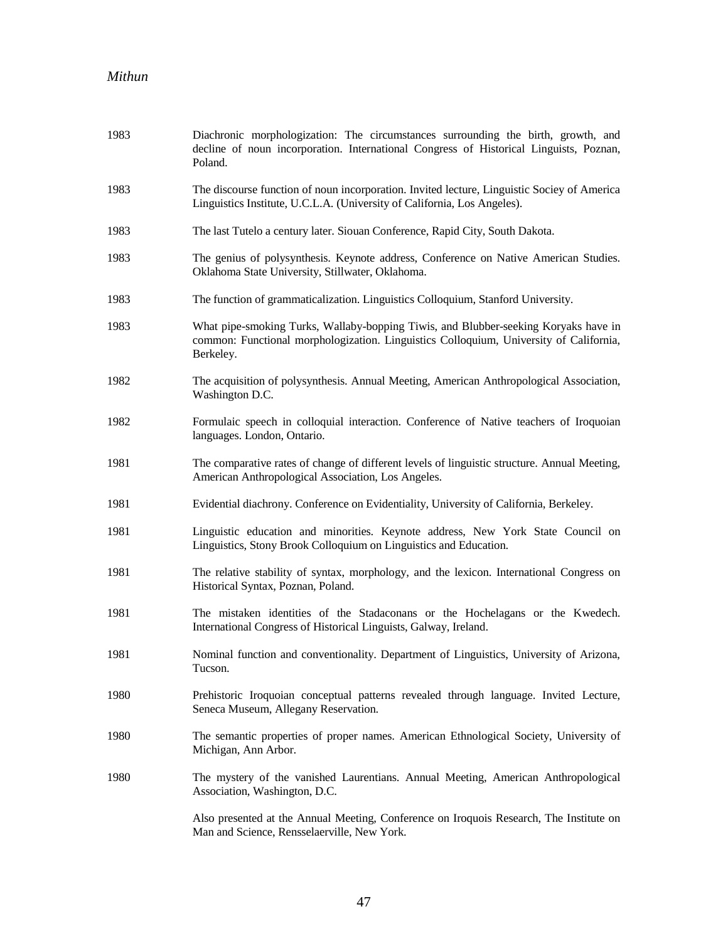| 1983 | Diachronic morphologization: The circumstances surrounding the birth, growth, and<br>decline of noun incorporation. International Congress of Historical Linguists, Poznan,<br>Poland.     |
|------|--------------------------------------------------------------------------------------------------------------------------------------------------------------------------------------------|
| 1983 | The discourse function of noun incorporation. Invited lecture, Linguistic Sociey of America<br>Linguistics Institute, U.C.L.A. (University of California, Los Angeles).                    |
| 1983 | The last Tutelo a century later. Siouan Conference, Rapid City, South Dakota.                                                                                                              |
| 1983 | The genius of polysynthesis. Keynote address, Conference on Native American Studies.<br>Oklahoma State University, Stillwater, Oklahoma.                                                   |
| 1983 | The function of grammaticalization. Linguistics Colloquium, Stanford University.                                                                                                           |
| 1983 | What pipe-smoking Turks, Wallaby-bopping Tiwis, and Blubber-seeking Koryaks have in<br>common: Functional morphologization. Linguistics Colloquium, University of California,<br>Berkeley. |
| 1982 | The acquisition of polysynthesis. Annual Meeting, American Anthropological Association,<br>Washington D.C.                                                                                 |
| 1982 | Formulaic speech in colloquial interaction. Conference of Native teachers of Iroquoian<br>languages. London, Ontario.                                                                      |
| 1981 | The comparative rates of change of different levels of linguistic structure. Annual Meeting,<br>American Anthropological Association, Los Angeles.                                         |
| 1981 | Evidential diachrony. Conference on Evidentiality, University of California, Berkeley.                                                                                                     |
| 1981 | Linguistic education and minorities. Keynote address, New York State Council on<br>Linguistics, Stony Brook Colloquium on Linguistics and Education.                                       |
| 1981 | The relative stability of syntax, morphology, and the lexicon. International Congress on<br>Historical Syntax, Poznan, Poland.                                                             |
| 1981 | The mistaken identities of the Stadaconans or the Hochelagans or the Kwedech.<br>International Congress of Historical Linguists, Galway, Ireland.                                          |
| 1981 | Nominal function and conventionality. Department of Linguistics, University of Arizona,<br>Tucson.                                                                                         |
| 1980 | Prehistoric Iroquoian conceptual patterns revealed through language. Invited Lecture,<br>Seneca Museum, Allegany Reservation.                                                              |
| 1980 | The semantic properties of proper names. American Ethnological Society, University of<br>Michigan, Ann Arbor.                                                                              |
| 1980 | The mystery of the vanished Laurentians. Annual Meeting, American Anthropological<br>Association, Washington, D.C.                                                                         |
|      | Also presented at the Annual Meeting, Conference on Iroquois Research, The Institute on<br>Man and Science, Rensselaerville, New York.                                                     |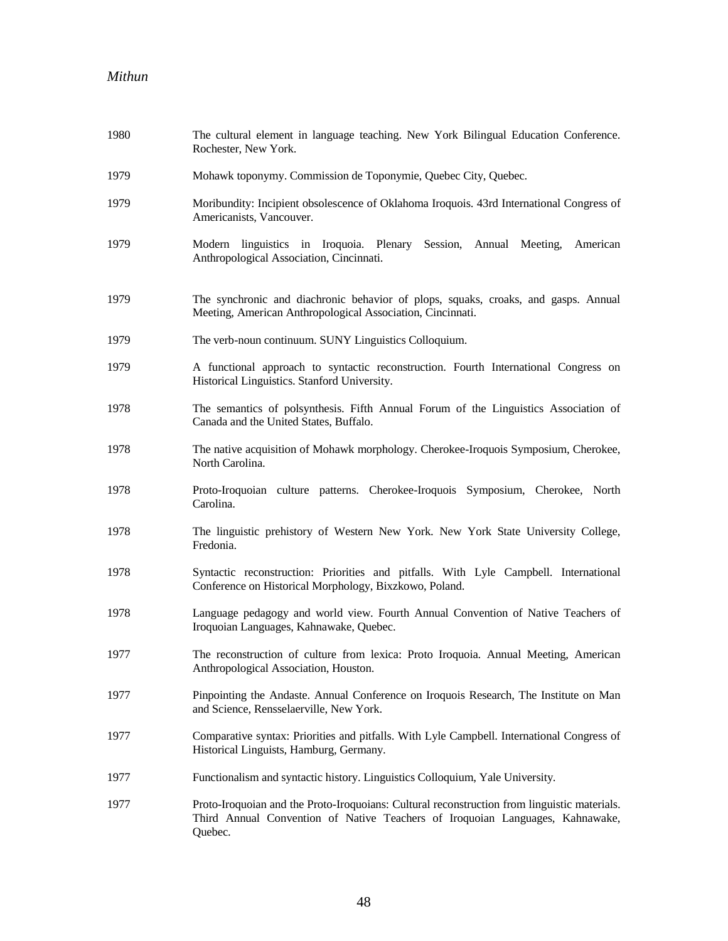| 1980 | The cultural element in language teaching. New York Bilingual Education Conference.<br>Rochester, New York.                                                                              |
|------|------------------------------------------------------------------------------------------------------------------------------------------------------------------------------------------|
| 1979 | Mohawk toponymy. Commission de Toponymie, Quebec City, Quebec.                                                                                                                           |
| 1979 | Moribundity: Incipient obsolescence of Oklahoma Iroquois. 43rd International Congress of<br>Americanists, Vancouver.                                                                     |
| 1979 | Modern linguistics in Iroquoia. Plenary Session, Annual Meeting, American<br>Anthropological Association, Cincinnati.                                                                    |
| 1979 | The synchronic and diachronic behavior of plops, squaks, croaks, and gasps. Annual<br>Meeting, American Anthropological Association, Cincinnati.                                         |
| 1979 | The verb-noun continuum. SUNY Linguistics Colloquium.                                                                                                                                    |
| 1979 | A functional approach to syntactic reconstruction. Fourth International Congress on<br>Historical Linguistics. Stanford University.                                                      |
| 1978 | The semantics of polsynthesis. Fifth Annual Forum of the Linguistics Association of<br>Canada and the United States, Buffalo.                                                            |
| 1978 | The native acquisition of Mohawk morphology. Cherokee-Iroquois Symposium, Cherokee,<br>North Carolina.                                                                                   |
| 1978 | Proto-Iroquoian culture patterns. Cherokee-Iroquois Symposium, Cherokee, North<br>Carolina.                                                                                              |
| 1978 | The linguistic prehistory of Western New York. New York State University College,<br>Fredonia.                                                                                           |
| 1978 | Syntactic reconstruction: Priorities and pitfalls. With Lyle Campbell. International<br>Conference on Historical Morphology, Bixzkowo, Poland.                                           |
| 1978 | Language pedagogy and world view. Fourth Annual Convention of Native Teachers of<br>Iroquoian Languages, Kahnawake, Quebec.                                                              |
| 1977 | The reconstruction of culture from lexica: Proto Iroquoia. Annual Meeting, American<br>Anthropological Association, Houston.                                                             |
| 1977 | Pinpointing the Andaste. Annual Conference on Iroquois Research, The Institute on Man<br>and Science, Rensselaerville, New York.                                                         |
| 1977 | Comparative syntax: Priorities and pitfalls. With Lyle Campbell. International Congress of<br>Historical Linguists, Hamburg, Germany.                                                    |
| 1977 | Functionalism and syntactic history. Linguistics Colloquium, Yale University.                                                                                                            |
| 1977 | Proto-Iroquoian and the Proto-Iroquoians: Cultural reconstruction from linguistic materials.<br>Third Annual Convention of Native Teachers of Iroquoian Languages, Kahnawake,<br>Quebec. |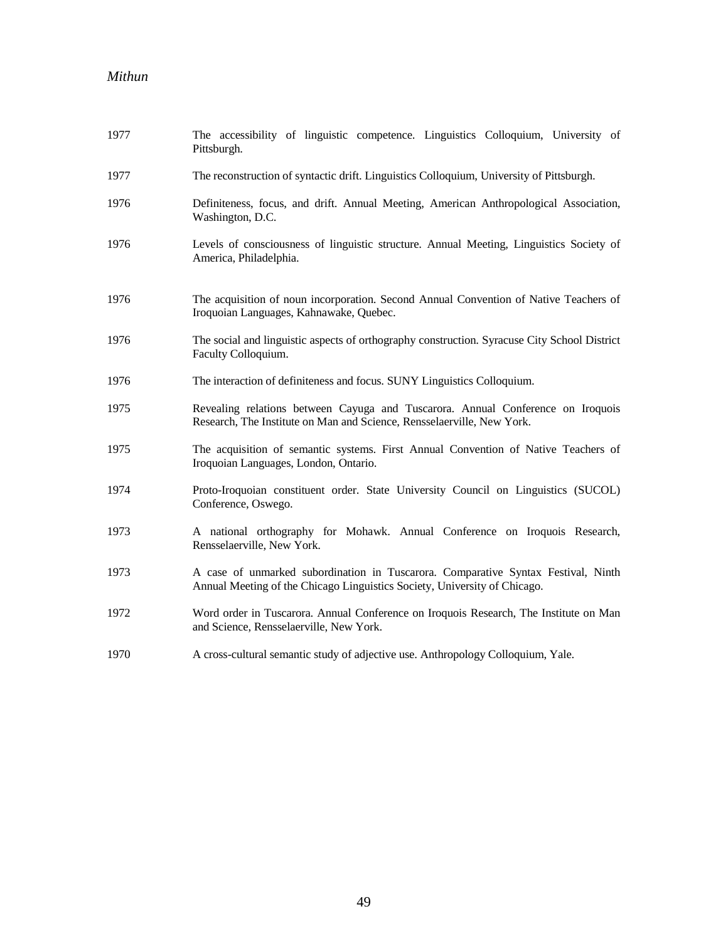| 1977 | The accessibility of linguistic competence. Linguistics Colloquium, University of<br>Pittsburgh.                                                               |
|------|----------------------------------------------------------------------------------------------------------------------------------------------------------------|
| 1977 | The reconstruction of syntactic drift. Linguistics Colloquium, University of Pittsburgh.                                                                       |
| 1976 | Definiteness, focus, and drift. Annual Meeting, American Anthropological Association,<br>Washington, D.C.                                                      |
| 1976 | Levels of consciousness of linguistic structure. Annual Meeting, Linguistics Society of<br>America, Philadelphia.                                              |
| 1976 | The acquisition of noun incorporation. Second Annual Convention of Native Teachers of<br>Iroquoian Languages, Kahnawake, Quebec.                               |
| 1976 | The social and linguistic aspects of orthography construction. Syracuse City School District<br>Faculty Colloquium.                                            |
| 1976 | The interaction of definiteness and focus. SUNY Linguistics Colloquium.                                                                                        |
| 1975 | Revealing relations between Cayuga and Tuscarora. Annual Conference on Iroquois<br>Research, The Institute on Man and Science, Rensselaerville, New York.      |
| 1975 | The acquisition of semantic systems. First Annual Convention of Native Teachers of<br>Iroquoian Languages, London, Ontario.                                    |
| 1974 | Proto-Iroquoian constituent order. State University Council on Linguistics (SUCOL)<br>Conference, Oswego.                                                      |
| 1973 | A national orthography for Mohawk. Annual Conference on Iroquois Research,<br>Rensselaerville, New York.                                                       |
| 1973 | A case of unmarked subordination in Tuscarora. Comparative Syntax Festival, Ninth<br>Annual Meeting of the Chicago Linguistics Society, University of Chicago. |
| 1972 | Word order in Tuscarora. Annual Conference on Iroquois Research, The Institute on Man<br>and Science, Rensselaerville, New York.                               |
| 1970 | A cross-cultural semantic study of adjective use. Anthropology Colloquium, Yale.                                                                               |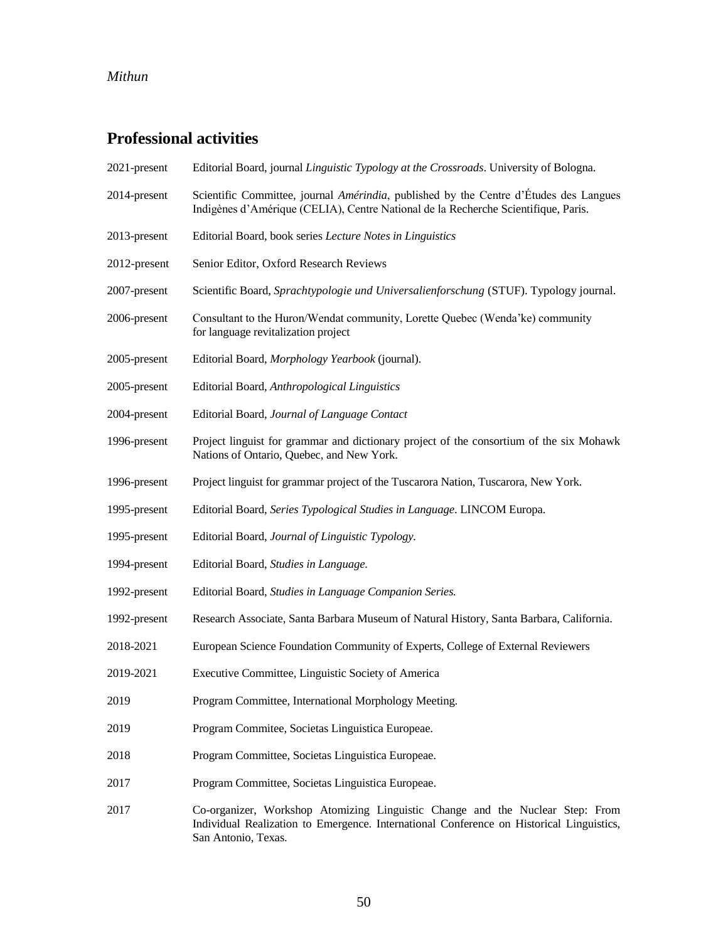# **Professional activities**

| 2021-present | Editorial Board, journal Linguistic Typology at the Crossroads. University of Bologna.                                                                                                           |
|--------------|--------------------------------------------------------------------------------------------------------------------------------------------------------------------------------------------------|
| 2014-present | Scientific Committee, journal <i>Amérindia</i> , published by the Centre d'Études des Langues<br>Indigènes d'Amérique (CELIA), Centre National de la Recherche Scientifique, Paris.              |
| 2013-present | Editorial Board, book series Lecture Notes in Linguistics                                                                                                                                        |
| 2012-present | Senior Editor, Oxford Research Reviews                                                                                                                                                           |
| 2007-present | Scientific Board, Sprachtypologie und Universalienforschung (STUF). Typology journal.                                                                                                            |
| 2006-present | Consultant to the Huron/Wendat community, Lorette Quebec (Wenda'ke) community<br>for language revitalization project                                                                             |
| 2005-present | Editorial Board, Morphology Yearbook (journal).                                                                                                                                                  |
| 2005-present | Editorial Board, Anthropological Linguistics                                                                                                                                                     |
| 2004-present | Editorial Board, Journal of Language Contact                                                                                                                                                     |
| 1996-present | Project linguist for grammar and dictionary project of the consortium of the six Mohawk<br>Nations of Ontario, Quebec, and New York.                                                             |
| 1996-present | Project linguist for grammar project of the Tuscarora Nation, Tuscarora, New York.                                                                                                               |
| 1995-present | Editorial Board, Series Typological Studies in Language. LINCOM Europa.                                                                                                                          |
| 1995-present | Editorial Board, Journal of Linguistic Typology.                                                                                                                                                 |
| 1994-present | Editorial Board, Studies in Language.                                                                                                                                                            |
| 1992-present | Editorial Board, Studies in Language Companion Series.                                                                                                                                           |
| 1992-present | Research Associate, Santa Barbara Museum of Natural History, Santa Barbara, California.                                                                                                          |
| 2018-2021    | European Science Foundation Community of Experts, College of External Reviewers                                                                                                                  |
| 2019-2021    | Executive Committee, Linguistic Society of America                                                                                                                                               |
| 2019         | Program Committee, International Morphology Meeting.                                                                                                                                             |
| 2019         | Program Commitee, Societas Linguistica Europeae.                                                                                                                                                 |
| 2018         | Program Committee, Societas Linguistica Europeae.                                                                                                                                                |
| 2017         | Program Committee, Societas Linguistica Europeae.                                                                                                                                                |
| 2017         | Co-organizer, Workshop Atomizing Linguistic Change and the Nuclear Step: From<br>Individual Realization to Emergence. International Conference on Historical Linguistics,<br>San Antonio, Texas. |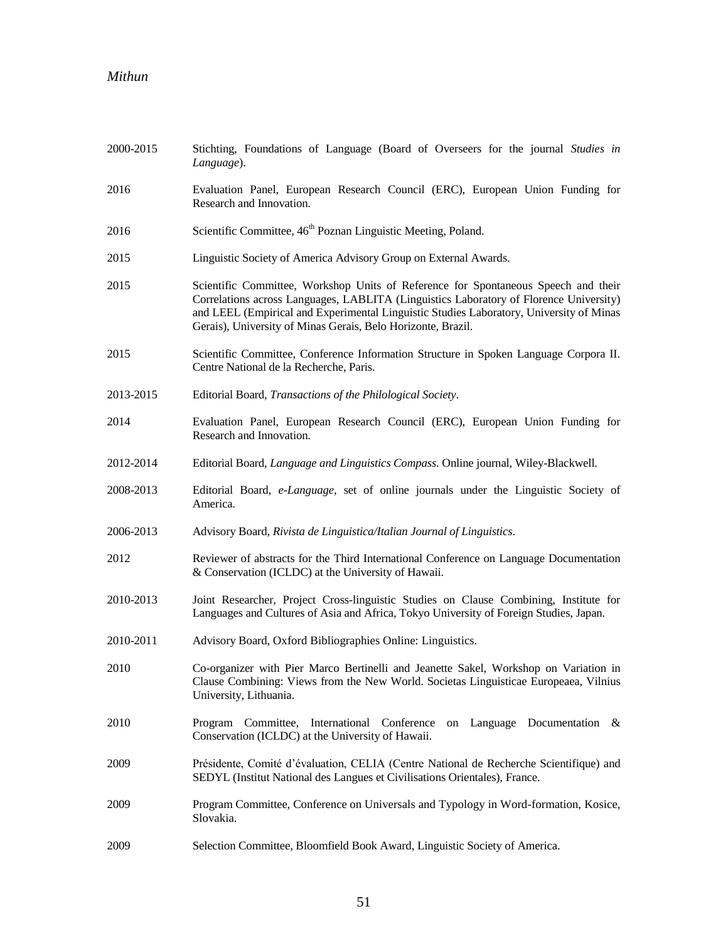| 2000-2015 | Stichting, Foundations of Language (Board of Overseers for the journal Studies in<br>Language).                                                                                                                                                                                                                                         |
|-----------|-----------------------------------------------------------------------------------------------------------------------------------------------------------------------------------------------------------------------------------------------------------------------------------------------------------------------------------------|
| 2016      | Evaluation Panel, European Research Council (ERC), European Union Funding for<br>Research and Innovation.                                                                                                                                                                                                                               |
| 2016      | Scientific Committee, 46 <sup>th</sup> Poznan Linguistic Meeting, Poland.                                                                                                                                                                                                                                                               |
| 2015      | Linguistic Society of America Advisory Group on External Awards.                                                                                                                                                                                                                                                                        |
| 2015      | Scientific Committee, Workshop Units of Reference for Spontaneous Speech and their<br>Correlations across Languages, LABLITA (Linguistics Laboratory of Florence University)<br>and LEEL (Empirical and Experimental Linguistic Studies Laboratory, University of Minas<br>Gerais), University of Minas Gerais, Belo Horizonte, Brazil. |
| 2015      | Scientific Committee, Conference Information Structure in Spoken Language Corpora II.<br>Centre National de la Recherche, Paris.                                                                                                                                                                                                        |
| 2013-2015 | Editorial Board, Transactions of the Philological Society.                                                                                                                                                                                                                                                                              |
| 2014      | Evaluation Panel, European Research Council (ERC), European Union Funding for<br>Research and Innovation.                                                                                                                                                                                                                               |
| 2012-2014 | Editorial Board, Language and Linguistics Compass. Online journal, Wiley-Blackwell.                                                                                                                                                                                                                                                     |
| 2008-2013 | Editorial Board, e-Language, set of online journals under the Linguistic Society of<br>America.                                                                                                                                                                                                                                         |
| 2006-2013 | Advisory Board, Rivista de Linguistica/Italian Journal of Linguistics.                                                                                                                                                                                                                                                                  |
| 2012      | Reviewer of abstracts for the Third International Conference on Language Documentation<br>& Conservation (ICLDC) at the University of Hawaii.                                                                                                                                                                                           |
| 2010-2013 | Joint Researcher, Project Cross-linguistic Studies on Clause Combining, Institute for<br>Languages and Cultures of Asia and Africa, Tokyo University of Foreign Studies, Japan.                                                                                                                                                         |
| 2010-2011 | Advisory Board, Oxford Bibliographies Online: Linguistics.                                                                                                                                                                                                                                                                              |
| 2010      | Co-organizer with Pier Marco Bertinelli and Jeanette Sakel, Workshop on Variation in<br>Clause Combining: Views from the New World. Societas Linguisticae Europeaea, Vilnius<br>University, Lithuania.                                                                                                                                  |
| 2010      | Program Committee, International Conference<br>on Language Documentation $\&$<br>Conservation (ICLDC) at the University of Hawaii.                                                                                                                                                                                                      |
| 2009      | Présidente, Comité d'évaluation, CELIA (Centre National de Recherche Scientifique) and<br>SEDYL (Institut National des Langues et Civilisations Orientales), France.                                                                                                                                                                    |
| 2009      | Program Committee, Conference on Universals and Typology in Word-formation, Kosice,<br>Slovakia.                                                                                                                                                                                                                                        |
| 2009      | Selection Committee, Bloomfield Book Award, Linguistic Society of America.                                                                                                                                                                                                                                                              |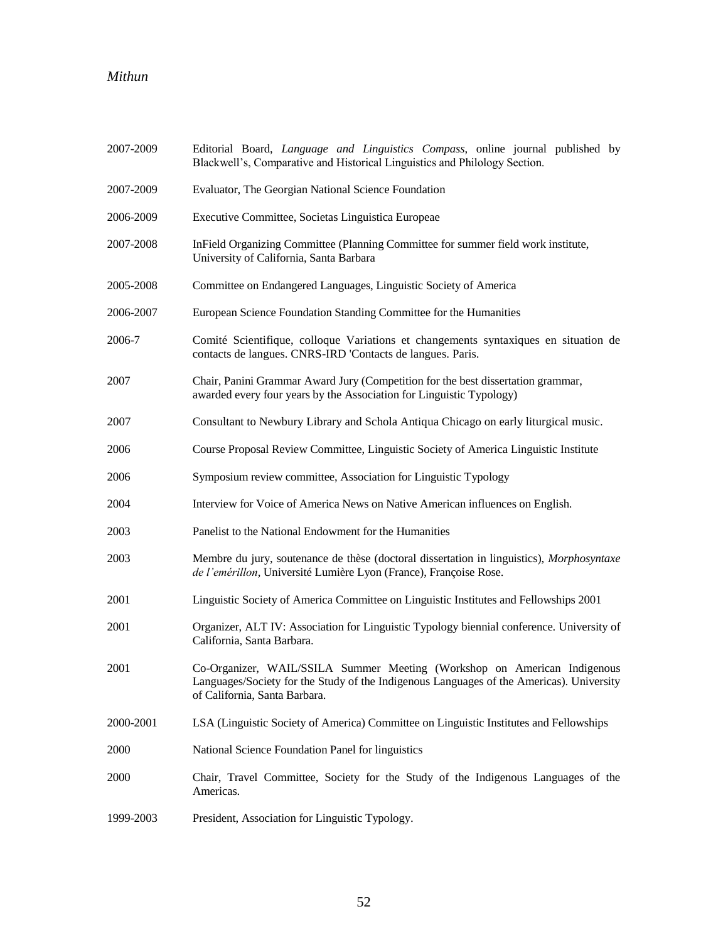| 2007-2009 | Editorial Board, Language and Linguistics Compass, online journal published by<br>Blackwell's, Comparative and Historical Linguistics and Philology Section.                                          |
|-----------|-------------------------------------------------------------------------------------------------------------------------------------------------------------------------------------------------------|
| 2007-2009 | Evaluator, The Georgian National Science Foundation                                                                                                                                                   |
| 2006-2009 | Executive Committee, Societas Linguistica Europeae                                                                                                                                                    |
| 2007-2008 | InField Organizing Committee (Planning Committee for summer field work institute,<br>University of California, Santa Barbara                                                                          |
| 2005-2008 | Committee on Endangered Languages, Linguistic Society of America                                                                                                                                      |
| 2006-2007 | European Science Foundation Standing Committee for the Humanities                                                                                                                                     |
| 2006-7    | Comité Scientifique, colloque Variations et changements syntaxiques en situation de<br>contacts de langues. CNRS-IRD 'Contacts de langues. Paris.                                                     |
| 2007      | Chair, Panini Grammar Award Jury (Competition for the best dissertation grammar,<br>awarded every four years by the Association for Linguistic Typology)                                              |
| 2007      | Consultant to Newbury Library and Schola Antiqua Chicago on early liturgical music.                                                                                                                   |
| 2006      | Course Proposal Review Committee, Linguistic Society of America Linguistic Institute                                                                                                                  |
| 2006      | Symposium review committee, Association for Linguistic Typology                                                                                                                                       |
| 2004      | Interview for Voice of America News on Native American influences on English.                                                                                                                         |
| 2003      | Panelist to the National Endowment for the Humanities                                                                                                                                                 |
| 2003      | Membre du jury, soutenance de thèse (doctoral dissertation in linguistics), Morphosyntaxe<br>de l'emérillon, Université Lumière Lyon (France), Françoise Rose.                                        |
| 2001      | Linguistic Society of America Committee on Linguistic Institutes and Fellowships 2001                                                                                                                 |
| 2001      | Organizer, ALT IV: Association for Linguistic Typology biennial conference. University of<br>California, Santa Barbara.                                                                               |
| 2001      | Co-Organizer, WAIL/SSILA Summer Meeting (Workshop on American Indigenous<br>Languages/Society for the Study of the Indigenous Languages of the Americas). University<br>of California, Santa Barbara. |
| 2000-2001 | LSA (Linguistic Society of America) Committee on Linguistic Institutes and Fellowships                                                                                                                |
| 2000      | National Science Foundation Panel for linguistics                                                                                                                                                     |
| 2000      | Chair, Travel Committee, Society for the Study of the Indigenous Languages of the<br>Americas.                                                                                                        |
| 1999-2003 | President, Association for Linguistic Typology.                                                                                                                                                       |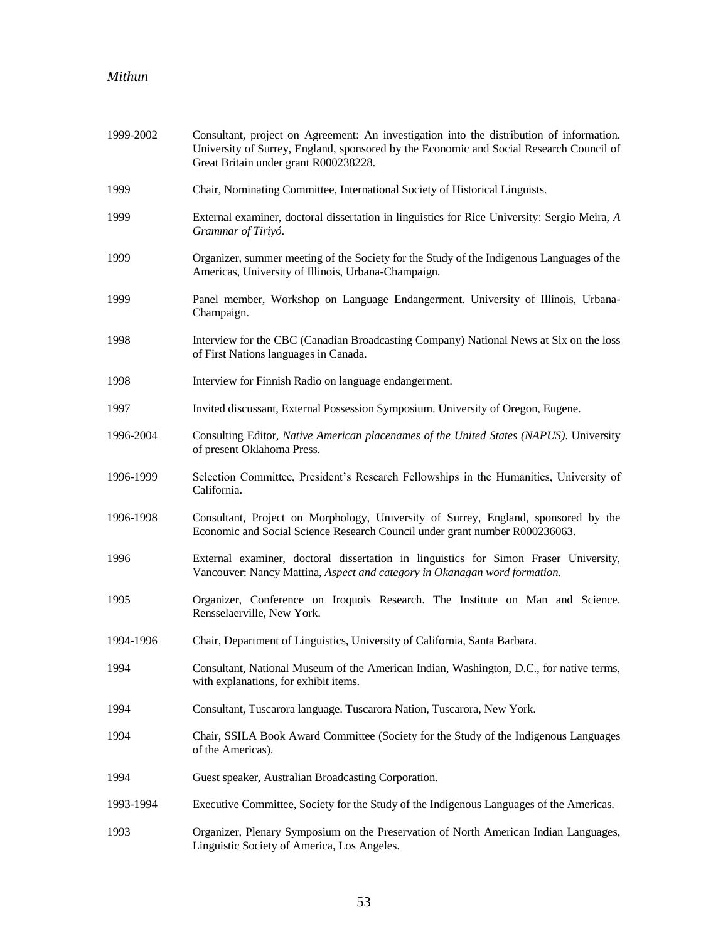| 1999-2002 | Consultant, project on Agreement: An investigation into the distribution of information.<br>University of Surrey, England, sponsored by the Economic and Social Research Council of<br>Great Britain under grant R000238228. |
|-----------|------------------------------------------------------------------------------------------------------------------------------------------------------------------------------------------------------------------------------|
| 1999      | Chair, Nominating Committee, International Society of Historical Linguists.                                                                                                                                                  |
| 1999      | External examiner, doctoral dissertation in linguistics for Rice University: Sergio Meira, A<br>Grammar of Tiriyó.                                                                                                           |
| 1999      | Organizer, summer meeting of the Society for the Study of the Indigenous Languages of the<br>Americas, University of Illinois, Urbana-Champaign.                                                                             |
| 1999      | Panel member, Workshop on Language Endangerment. University of Illinois, Urbana-<br>Champaign.                                                                                                                               |
| 1998      | Interview for the CBC (Canadian Broadcasting Company) National News at Six on the loss<br>of First Nations languages in Canada.                                                                                              |
| 1998      | Interview for Finnish Radio on language endangerment.                                                                                                                                                                        |
| 1997      | Invited discussant, External Possession Symposium. University of Oregon, Eugene.                                                                                                                                             |
| 1996-2004 | Consulting Editor, Native American placenames of the United States (NAPUS). University<br>of present Oklahoma Press.                                                                                                         |
| 1996-1999 | Selection Committee, President's Research Fellowships in the Humanities, University of<br>California.                                                                                                                        |
| 1996-1998 | Consultant, Project on Morphology, University of Surrey, England, sponsored by the<br>Economic and Social Science Research Council under grant number R000236063.                                                            |
| 1996      | External examiner, doctoral dissertation in linguistics for Simon Fraser University,<br>Vancouver: Nancy Mattina, Aspect and category in Okanagan word formation.                                                            |
| 1995      | Organizer, Conference on Iroquois Research. The Institute on Man and Science.<br>Rensselaerville, New York.                                                                                                                  |
| 1994-1996 | Chair, Department of Linguistics, University of California, Santa Barbara.                                                                                                                                                   |
| 1994      | Consultant, National Museum of the American Indian, Washington, D.C., for native terms,<br>with explanations, for exhibit items.                                                                                             |
| 1994      | Consultant, Tuscarora language. Tuscarora Nation, Tuscarora, New York.                                                                                                                                                       |
| 1994      | Chair, SSILA Book Award Committee (Society for the Study of the Indigenous Languages<br>of the Americas).                                                                                                                    |
| 1994      | Guest speaker, Australian Broadcasting Corporation.                                                                                                                                                                          |
| 1993-1994 | Executive Committee, Society for the Study of the Indigenous Languages of the Americas.                                                                                                                                      |
| 1993      | Organizer, Plenary Symposium on the Preservation of North American Indian Languages,<br>Linguistic Society of America, Los Angeles.                                                                                          |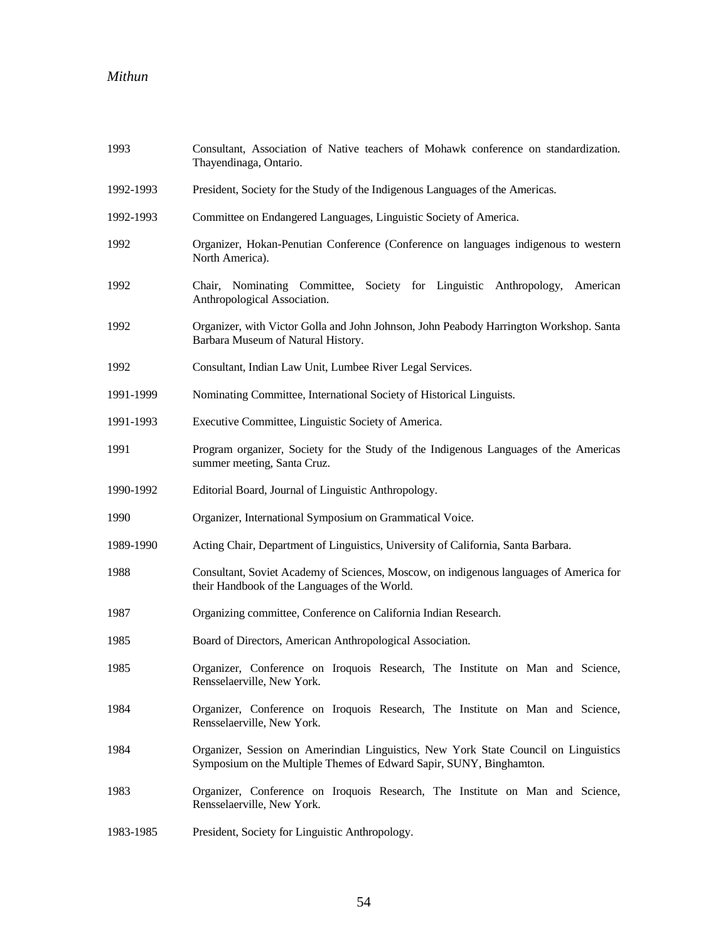| 1993      | Consultant, Association of Native teachers of Mohawk conference on standardization.<br>Thayendinaga, Ontario.                                              |
|-----------|------------------------------------------------------------------------------------------------------------------------------------------------------------|
| 1992-1993 | President, Society for the Study of the Indigenous Languages of the Americas.                                                                              |
| 1992-1993 | Committee on Endangered Languages, Linguistic Society of America.                                                                                          |
| 1992      | Organizer, Hokan-Penutian Conference (Conference on languages indigenous to western<br>North America).                                                     |
| 1992      | Chair, Nominating Committee, Society for Linguistic Anthropology, American<br>Anthropological Association.                                                 |
| 1992      | Organizer, with Victor Golla and John Johnson, John Peabody Harrington Workshop. Santa<br>Barbara Museum of Natural History.                               |
| 1992      | Consultant, Indian Law Unit, Lumbee River Legal Services.                                                                                                  |
| 1991-1999 | Nominating Committee, International Society of Historical Linguists.                                                                                       |
| 1991-1993 | Executive Committee, Linguistic Society of America.                                                                                                        |
| 1991      | Program organizer, Society for the Study of the Indigenous Languages of the Americas<br>summer meeting, Santa Cruz.                                        |
| 1990-1992 | Editorial Board, Journal of Linguistic Anthropology.                                                                                                       |
| 1990      | Organizer, International Symposium on Grammatical Voice.                                                                                                   |
| 1989-1990 | Acting Chair, Department of Linguistics, University of California, Santa Barbara.                                                                          |
| 1988      | Consultant, Soviet Academy of Sciences, Moscow, on indigenous languages of America for<br>their Handbook of the Languages of the World.                    |
| 1987      | Organizing committee, Conference on California Indian Research.                                                                                            |
| 1985      | Board of Directors, American Anthropological Association.                                                                                                  |
| 1985      | Organizer, Conference on Iroquois Research, The Institute on Man and Science,<br>Rensselaerville, New York.                                                |
| 1984      | Organizer, Conference on Iroquois Research, The Institute on Man and Science,<br>Rensselaerville, New York.                                                |
| 1984      | Organizer, Session on Amerindian Linguistics, New York State Council on Linguistics<br>Symposium on the Multiple Themes of Edward Sapir, SUNY, Binghamton. |
| 1983      | Organizer, Conference on Iroquois Research, The Institute on Man and Science,<br>Rensselaerville, New York.                                                |
| 1983-1985 | President, Society for Linguistic Anthropology.                                                                                                            |